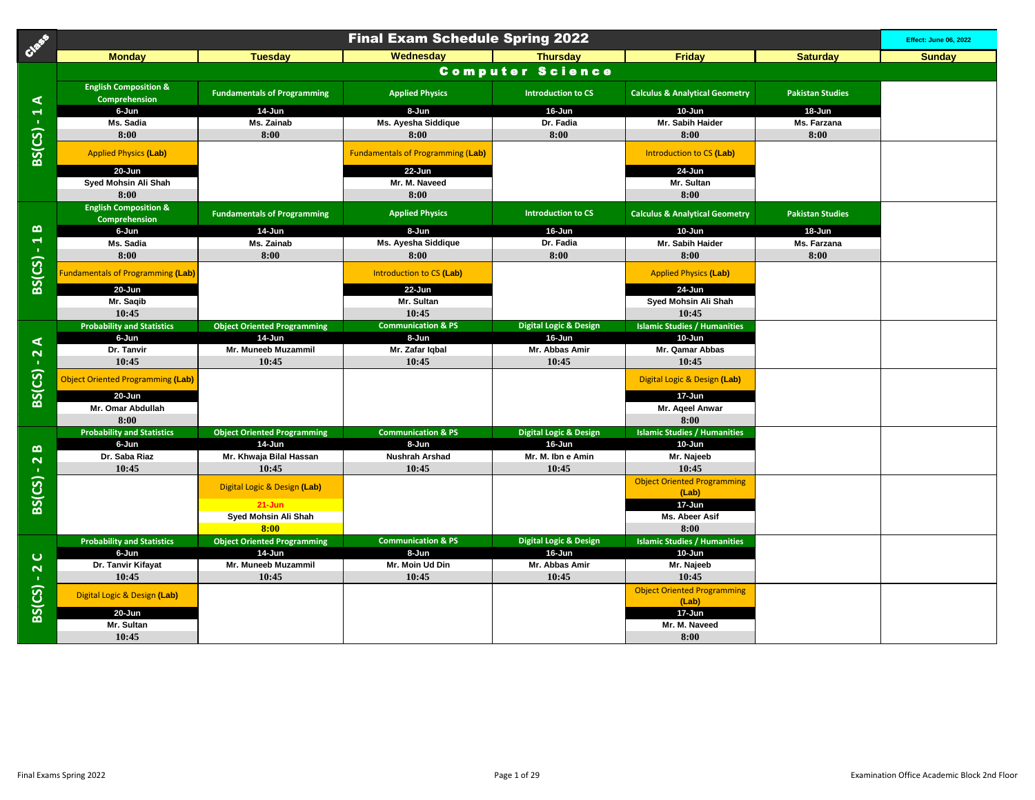| Case                              | <b>Final Exam Schedule Spring 2022</b>            |                                    |                                          |                                   |                                             |                         |               |  |
|-----------------------------------|---------------------------------------------------|------------------------------------|------------------------------------------|-----------------------------------|---------------------------------------------|-------------------------|---------------|--|
|                                   | <b>Monday</b>                                     | <b>Tuesday</b>                     | Wednesday                                | <b>Thursday</b>                   | <b>Friday</b>                               | <b>Saturday</b>         | <b>Sunday</b> |  |
|                                   |                                                   |                                    |                                          | <b>Computer Science</b>           |                                             |                         |               |  |
| ⋖                                 | <b>English Composition &amp;</b><br>Comprehension | <b>Fundamentals of Programming</b> | <b>Applied Physics</b>                   | <b>Introduction to CS</b>         | <b>Calculus &amp; Analytical Geometry</b>   | <b>Pakistan Studies</b> |               |  |
|                                   | 6-Jun                                             | 14-Jun                             | 8-Jun                                    | 16-Jun                            | 10-Jun                                      | 18-Jun                  |               |  |
|                                   | Ms. Sadia                                         | Ms. Zainab                         | Ms. Ayesha Siddique                      | Dr. Fadia                         | Mr. Sabih Haider                            | Ms. Farzana             |               |  |
|                                   | 8:00                                              | 8:00                               | 8:00                                     | 8:00                              | 8:00                                        | 8:00                    |               |  |
| $BS(CS) - 1$                      | <b>Applied Physics (Lab)</b>                      |                                    | <b>Fundamentals of Programming (Lab)</b> |                                   | Introduction to CS (Lab)                    |                         |               |  |
|                                   | 20-Jun                                            |                                    | 22-Jun                                   |                                   | 24-Jun                                      |                         |               |  |
|                                   | Syed Mohsin Ali Shah                              |                                    | Mr. M. Naveed                            |                                   | Mr. Sultan                                  |                         |               |  |
|                                   | 8:00                                              |                                    | 8:00                                     |                                   | 8:00                                        |                         |               |  |
|                                   | <b>English Composition &amp;</b><br>Comprehension | <b>Fundamentals of Programming</b> | <b>Applied Physics</b>                   | <b>Introduction to CS</b>         | <b>Calculus &amp; Analytical Geometry</b>   | <b>Pakistan Studies</b> |               |  |
| $\boldsymbol{\underline{\omega}}$ | 6-Jun                                             | 14-Jun                             | 8-Jun                                    | 16-Jun                            | 10-Jun                                      | 18-Jun                  |               |  |
| $\overline{A}$                    | Ms. Sadia                                         | Ms. Zainab                         | Ms. Ayesha Siddique                      | Dr. Fadia                         | Mr. Sabih Haider                            | Ms. Farzana             |               |  |
|                                   | 8:00                                              | 8:00                               | 8:00                                     | 8:00                              | 8:00                                        | 8:00                    |               |  |
| BS(CS)                            | undamentals of Programming (Lab)                  |                                    | Introduction to CS (Lab)                 |                                   | <b>Applied Physics (Lab)</b>                |                         |               |  |
|                                   | $20 - Jun$                                        |                                    | 22-Jun                                   |                                   | 24-Jun                                      |                         |               |  |
|                                   | Mr. Saqib                                         |                                    | Mr. Sultan                               |                                   | Syed Mohsin Ali Shah                        |                         |               |  |
|                                   | 10:45                                             |                                    | 10:45                                    |                                   | 10:45                                       |                         |               |  |
|                                   | <b>Probability and Statistics</b>                 | <b>Object Oriented Programming</b> | <b>Communication &amp; PS</b>            | <b>Digital Logic &amp; Design</b> | <b>Islamic Studies / Humanities</b>         |                         |               |  |
| $\blacktriangleleft$              | 6-Jun                                             | 14-Jun                             | 8-Jun                                    | 16-Jun                            | 10-Jun                                      |                         |               |  |
| $\frac{1}{2}$                     | Dr. Tanvir                                        | Mr. Muneeb Muzammil                | Mr. Zafar Iqbal                          | Mr. Abbas Amir                    | Mr. Qamar Abbas                             |                         |               |  |
|                                   | 10:45                                             | 10:45                              | 10:45                                    | 10:45                             | 10:45                                       |                         |               |  |
| BS(CS)                            | Object Oriented Programming (Lab)                 |                                    |                                          |                                   | Digital Logic & Design (Lab)                |                         |               |  |
|                                   | $20 - Jun$                                        |                                    |                                          |                                   | 17-Jun                                      |                         |               |  |
|                                   | Mr. Omar Abdullah                                 |                                    |                                          |                                   | Mr. Ageel Anwar                             |                         |               |  |
|                                   | 8:00                                              |                                    |                                          |                                   | 8:00                                        |                         |               |  |
|                                   | <b>Probability and Statistics</b>                 | <b>Object Oriented Programming</b> | <b>Communication &amp; PS</b><br>8-Jun   | <b>Digital Logic &amp; Design</b> | <b>Islamic Studies / Humanities</b>         |                         |               |  |
| $\boldsymbol{\omega}$             | 6-Jun<br>Dr. Saba Riaz                            | 14-Jun<br>Mr. Khwaja Bilal Hassan  | <b>Nushrah Arshad</b>                    | 16-Jun<br>Mr. M. Ibn e Amin       | 10-Jun<br>Mr. Najeeb                        |                         |               |  |
|                                   | 10:45                                             | 10:45                              | 10:45                                    | 10:45                             | 10:45                                       |                         |               |  |
| $BS(CS) - 2$                      |                                                   |                                    |                                          |                                   |                                             |                         |               |  |
|                                   |                                                   | Digital Logic & Design (Lab)       |                                          |                                   | <b>Object Oriented Programming</b><br>(Lab) |                         |               |  |
|                                   |                                                   | $21 - Jun$                         |                                          |                                   | 17-Jun                                      |                         |               |  |
|                                   |                                                   | Syed Mohsin Ali Shah               |                                          |                                   | Ms. Abeer Asif                              |                         |               |  |
|                                   |                                                   | 8:00                               |                                          |                                   | 8:00                                        |                         |               |  |
|                                   | <b>Probability and Statistics</b>                 | <b>Object Oriented Programming</b> | <b>Communication &amp; PS</b>            | <b>Digital Logic &amp; Design</b> | <b>Islamic Studies / Humanities</b>         |                         |               |  |
|                                   | 6-Jun                                             | 14-Jun                             | 8-Jun                                    | 16-Jun                            | 10-Jun                                      |                         |               |  |
| $\mathbf C$                       | Dr. Tanvir Kifayat                                | Mr. Muneeb Muzammil                | Mr. Moin Ud Din                          | Mr. Abbas Amir                    | Mr. Najeeb                                  |                         |               |  |
|                                   | 10:45                                             | 10:45                              | 10:45                                    | 10:45                             | 10:45                                       |                         |               |  |
| $BS(CS) - 2$                      | Digital Logic & Design (Lab)                      |                                    |                                          |                                   | <b>Object Oriented Programming</b><br>(Lab) |                         |               |  |
|                                   | 20-Jun                                            |                                    |                                          |                                   | 17-Jun                                      |                         |               |  |
|                                   | Mr. Sultan                                        |                                    |                                          |                                   | Mr. M. Naveed                               |                         |               |  |
|                                   | 10:45                                             |                                    |                                          |                                   | 8:00                                        |                         |               |  |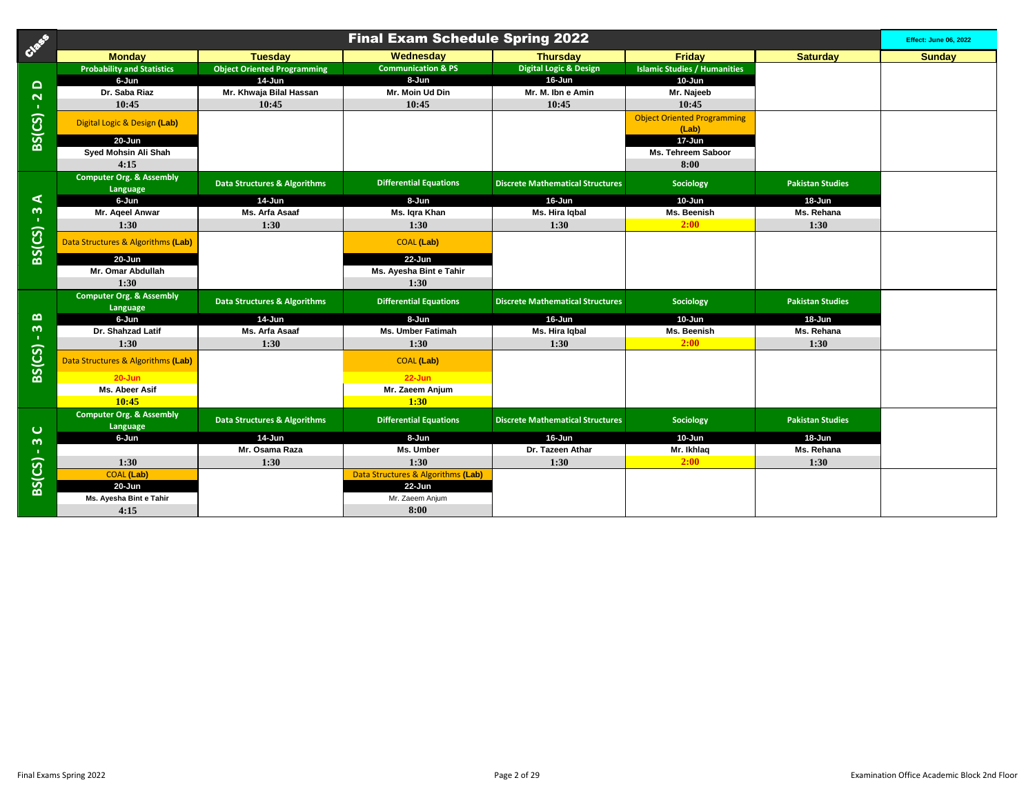| Cast                                  | <b>Final Exam Schedule Spring 2022</b>          |                                         |                                              |                                         |                                             |                         |               |  |
|---------------------------------------|-------------------------------------------------|-----------------------------------------|----------------------------------------------|-----------------------------------------|---------------------------------------------|-------------------------|---------------|--|
|                                       | <b>Monday</b>                                   | <b>Tuesday</b>                          | Wednesday                                    | <b>Thursday</b>                         | Friday                                      | <b>Saturday</b>         | <b>Sundav</b> |  |
|                                       | <b>Probability and Statistics</b>               | <b>Object Oriented Programming</b>      | <b>Communication &amp; PS</b>                | <b>Digital Logic &amp; Design</b>       | <b>Islamic Studies / Humanities</b>         |                         |               |  |
| $\Omega$                              | 6-Jun                                           | 14-Jun                                  | 8-Jun                                        | 16-Jun                                  | 10-Jun                                      |                         |               |  |
| $\mathbf{\tilde{z}}$                  | Dr. Saba Riaz                                   | Mr. Khwaja Bilal Hassan                 | Mr. Moin Ud Din                              | Mr. M. Ibn e Amin                       | Mr. Najeeb                                  |                         |               |  |
| $\mathbf{L}$                          | 10:45                                           | 10:45                                   | 10:45                                        | 10:45                                   | 10:45                                       |                         |               |  |
| BS(CS)                                | Digital Logic & Design (Lab)                    |                                         |                                              |                                         | <b>Object Oriented Programming</b><br>(Lab) |                         |               |  |
|                                       | 20-Jun                                          |                                         |                                              |                                         | 17-Jun                                      |                         |               |  |
|                                       | Syed Mohsin Ali Shah                            |                                         |                                              |                                         | <b>Ms. Tehreem Saboor</b>                   |                         |               |  |
|                                       | 4:15                                            |                                         |                                              |                                         | 8:00                                        |                         |               |  |
|                                       | <b>Computer Org. &amp; Assembly</b><br>Language | Data Structures & Algorithms            | <b>Differential Equations</b>                | <b>Discrete Mathematical Structures</b> | Sociology                                   | <b>Pakistan Studies</b> |               |  |
| ⋖                                     | 6-Jun                                           | 14-Jun                                  | 8-Jun                                        | 16-Jun                                  | 10-Jun                                      | $18 - Jun$              |               |  |
| $\boldsymbol{\omega}$<br>$\mathbf{L}$ | Mr. Ageel Anwar                                 | Ms. Arfa Asaaf                          | Ms. Igra Khan                                | Ms. Hira Igbal                          | Ms. Beenish                                 | Ms. Rehana              |               |  |
|                                       | 1:30                                            | 1:30                                    | 1:30                                         | 1:30                                    | 2:00                                        | 1:30                    |               |  |
| BS(CS)                                | Data Structures & Algorithms (Lab)              |                                         | <b>COAL</b> (Lab)                            |                                         |                                             |                         |               |  |
|                                       | 20-Jun                                          |                                         | 22-Jun                                       |                                         |                                             |                         |               |  |
|                                       | Mr. Omar Abdullah                               |                                         | Ms. Ayesha Bint e Tahir                      |                                         |                                             |                         |               |  |
|                                       | 1:30                                            |                                         | 1:30                                         |                                         |                                             |                         |               |  |
|                                       | <b>Computer Org. &amp; Assembly</b><br>Language | <b>Data Structures &amp; Algorithms</b> | <b>Differential Equations</b>                | <b>Discrete Mathematical Structures</b> | Sociology                                   | <b>Pakistan Studies</b> |               |  |
| $\boldsymbol{\omega}$                 | 6-Jun                                           | 14-Jun                                  | 8-Jun                                        | 16-Jun                                  | 10-Jun                                      | $18 - Jun$              |               |  |
| $\mathbf{\omega}$<br>$\mathbf{L}$     | Dr. Shahzad Latif                               | Ms. Arfa Asaaf                          | Ms. Umber Fatimah                            | Ms. Hira Igbal                          | Ms. Beenish                                 | Ms. Rehana              |               |  |
|                                       | 1:30                                            | 1:30                                    | 1:30                                         | 1:30                                    | 2:00                                        | 1:30                    |               |  |
| BS(CS)                                | Data Structures & Algorithms (Lab)              |                                         | <b>COAL</b> (Lab)                            |                                         |                                             |                         |               |  |
|                                       | $20 - Jun$                                      |                                         | $22 - Jun$                                   |                                         |                                             |                         |               |  |
|                                       | Ms. Abeer Asif                                  |                                         | Mr. Zaeem Anjum                              |                                         |                                             |                         |               |  |
|                                       | 10:45                                           |                                         | 1:30                                         |                                         |                                             |                         |               |  |
|                                       | Computer Org. & Assembly                        | <b>Data Structures &amp; Algorithms</b> | <b>Differential Equations</b>                | <b>Discrete Mathematical Structures</b> | Sociology                                   | <b>Pakistan Studies</b> |               |  |
| $\mathbf C$                           | Language                                        |                                         |                                              |                                         |                                             |                         |               |  |
| $\boldsymbol{\omega}$                 | 6-Jun                                           | 14-Jun                                  | 8-Jun                                        | 16-Jun                                  | 10-Jun                                      | 18-Jun                  |               |  |
|                                       |                                                 | Mr. Osama Raza                          | Ms. Umber                                    | Dr. Tazeen Athar                        | Mr. Ikhlaq                                  | Ms. Rehana              |               |  |
| BS(CS)                                | 1:30                                            | 1:30                                    | 1:30                                         | 1:30                                    | 2:00                                        | 1:30                    |               |  |
|                                       | <b>COAL</b> (Lab)<br>$20 - Jun$                 |                                         | Data Structures & Algorithms (Lab)<br>22-Jun |                                         |                                             |                         |               |  |
|                                       | Ms. Ayesha Bint e Tahir                         |                                         | Mr. Zaeem Anjum                              |                                         |                                             |                         |               |  |
|                                       | 4:15                                            |                                         | 8:00                                         |                                         |                                             |                         |               |  |
|                                       |                                                 |                                         |                                              |                                         |                                             |                         |               |  |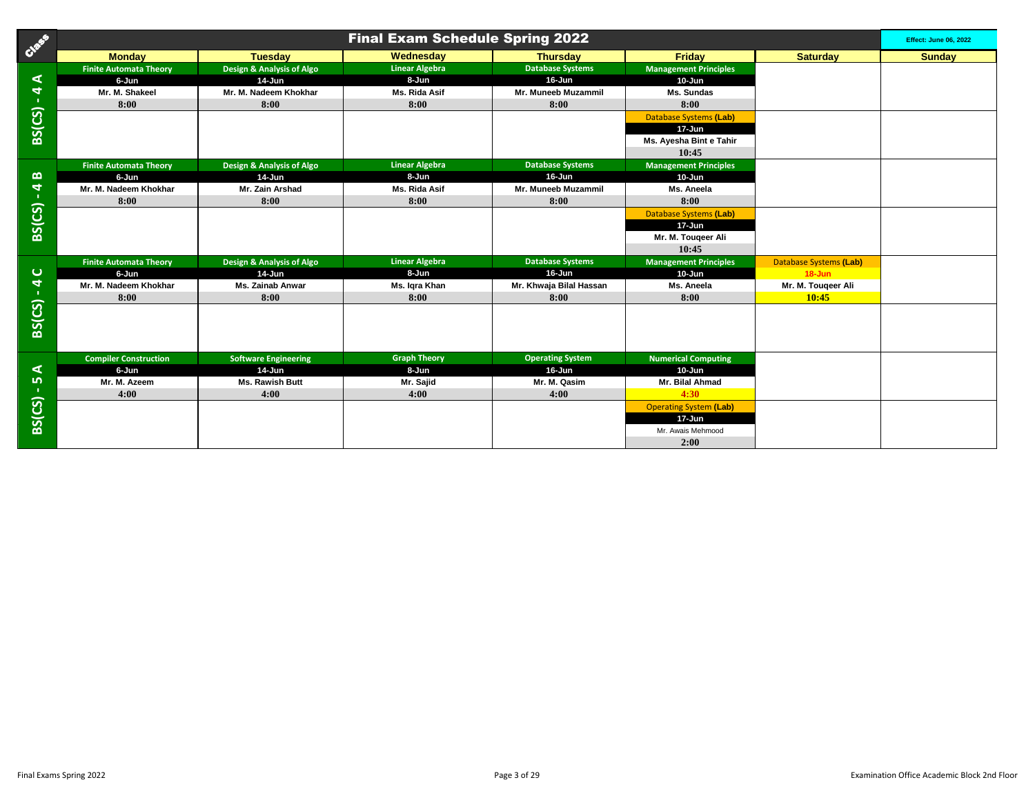| Casa                                      |                               |                             | <b>Final Exam Schedule Spring 2022</b> |                         |                               |                               | <b>Effect: June 06, 2022</b> |
|-------------------------------------------|-------------------------------|-----------------------------|----------------------------------------|-------------------------|-------------------------------|-------------------------------|------------------------------|
|                                           | <b>Monday</b>                 | <b>Tuesday</b>              | Wednesday                              | <b>Thursday</b>         | Friday                        | <b>Saturday</b>               | <b>Sunday</b>                |
|                                           | <b>Finite Automata Theory</b> | Design & Analysis of Algo   | <b>Linear Algebra</b>                  | <b>Database Systems</b> | <b>Management Principles</b>  |                               |                              |
| ⋖                                         | 6-Jun                         | $14$ -Jun                   | 8-Jun                                  | 16-Jun                  | $10 - Jun$                    |                               |                              |
| $\blacktriangleleft$                      | Mr. M. Shakeel                | Mr. M. Nadeem Khokhar       | Ms. Rida Asif                          | Mr. Muneeb Muzammil     | Ms. Sundas                    |                               |                              |
| $\sim 10^7$                               | 8:00                          | 8:00                        | 8:00                                   | 8:00                    | 8:00                          |                               |                              |
| <b>BS(CS)</b>                             |                               |                             |                                        |                         | <b>Database Systems (Lab)</b> |                               |                              |
|                                           |                               |                             |                                        |                         | 17-Jun                        |                               |                              |
|                                           |                               |                             |                                        |                         | Ms. Ayesha Bint e Tahir       |                               |                              |
|                                           |                               |                             |                                        |                         | 10:45                         |                               |                              |
|                                           | <b>Finite Automata Theory</b> | Design & Analysis of Algo   | <b>Linear Algebra</b>                  | <b>Database Systems</b> | <b>Management Principles</b>  |                               |                              |
| മ                                         | 6-Jun                         | 14-Jun                      | 8-Jun                                  | $16 - Jun$              | $10 - Jun$                    |                               |                              |
| $\blacktriangleleft$                      | Mr. M. Nadeem Khokhar         | Mr. Zain Arshad             | Ms. Rida Asif                          | Mr. Muneeb Muzammil     | Ms. Aneela                    |                               |                              |
| $\mathbf{H}^{\prime}$                     | 8:00                          | 8:00                        | 8:00                                   | 8:00                    | 8:00                          |                               |                              |
| BS(CS)                                    |                               |                             |                                        |                         | <b>Database Systems (Lab)</b> |                               |                              |
|                                           |                               |                             |                                        |                         | 17-Jun                        |                               |                              |
|                                           |                               |                             |                                        |                         | Mr. M. Tougeer Ali            |                               |                              |
|                                           |                               |                             |                                        |                         | 10:45                         |                               |                              |
|                                           | <b>Finite Automata Theory</b> | Design & Analysis of Algo   | <b>Linear Algebra</b>                  | <b>Database Systems</b> | <b>Management Principles</b>  | <b>Database Systems (Lab)</b> |                              |
| $\mathbf C$                               | 6-Jun                         | $14$ -Jun                   | 8-Jun                                  | 16-Jun                  | $10 - Jun$                    | $18 - Jun$                    |                              |
| $\overline{\mathbf{a}}$<br>$\mathbf{u}$ . | Mr. M. Nadeem Khokhar         | <b>Ms. Zainab Anwar</b>     | Ms. Igra Khan                          | Mr. Khwaja Bilal Hassan | Ms. Aneela                    | Mr. M. Tougeer Ali            |                              |
|                                           | 8:00                          | 8:00                        | 8:00                                   | 8:00                    | 8:00                          | 10:45                         |                              |
| <b>BS(CS)</b>                             |                               |                             |                                        |                         |                               |                               |                              |
|                                           |                               |                             |                                        |                         |                               |                               |                              |
|                                           |                               |                             |                                        |                         |                               |                               |                              |
|                                           |                               |                             |                                        |                         |                               |                               |                              |
|                                           | <b>Compiler Construction</b>  | <b>Software Engineering</b> | <b>Graph Theory</b>                    | <b>Operating System</b> | <b>Numerical Computing</b>    |                               |                              |
| ⋖                                         | 6-Jun                         | 14-Jun                      | 8-Jun                                  | 16-Jun                  | $10 - Jun$                    |                               |                              |
| LO <sub>1</sub>                           | Mr. M. Azeem                  | Ms. Rawish Butt             | Mr. Sajid                              | Mr. M. Qasim            | Mr. Bilal Ahmad               |                               |                              |
| -11                                       | 4:00                          | 4:00                        | 4:00                                   | 4:00                    | 4:30                          |                               |                              |
| BS(CS)                                    |                               |                             |                                        |                         | <b>Operating System (Lab)</b> |                               |                              |
|                                           |                               |                             |                                        |                         | 17-Jun                        |                               |                              |
|                                           |                               |                             |                                        |                         | Mr. Awais Mehmood             |                               |                              |
|                                           |                               |                             |                                        |                         | 2:00                          |                               |                              |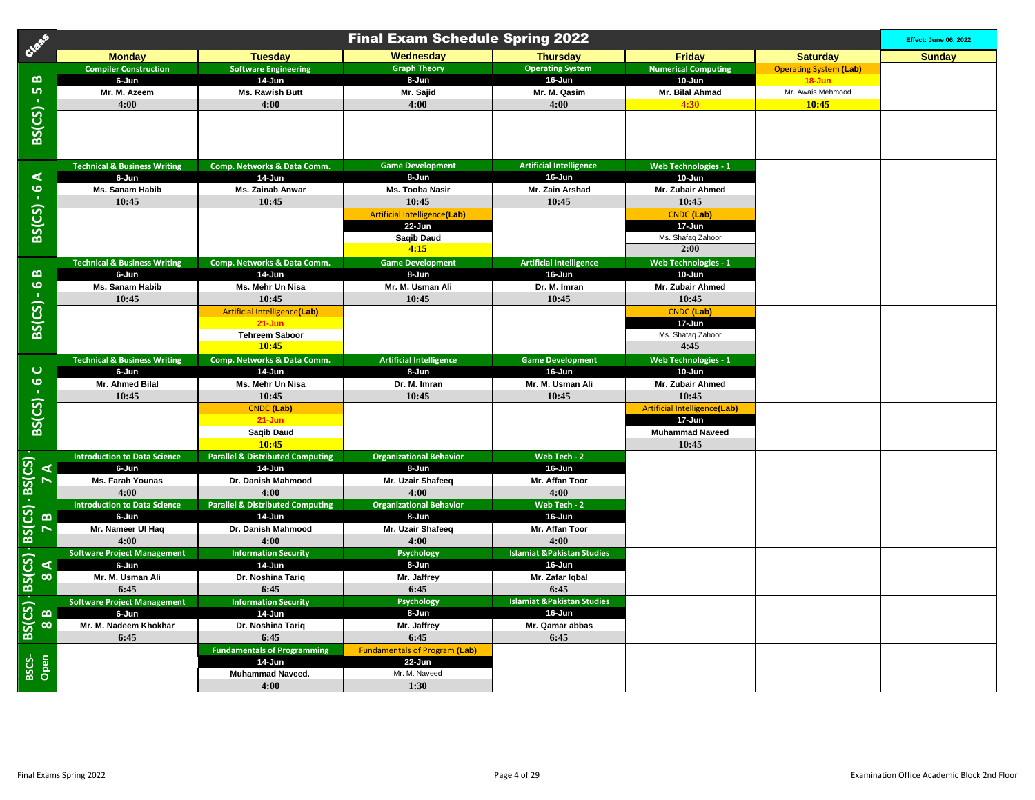| Cees                              | <b>Final Exam Schedule Spring 2022</b>           |                                                       |                                         |                                               |                                       |                               |        |
|-----------------------------------|--------------------------------------------------|-------------------------------------------------------|-----------------------------------------|-----------------------------------------------|---------------------------------------|-------------------------------|--------|
|                                   | <b>Monday</b>                                    | <b>Tuesday</b>                                        | Wednesday                               | <b>Thursday</b>                               | <b>Friday</b>                         | <b>Saturday</b>               | Sunday |
|                                   | <b>Compiler Construction</b>                     | <b>Software Engineering</b>                           | <b>Graph Theory</b>                     | <b>Operating System</b>                       | <b>Numerical Computing</b>            | <b>Operating System (Lab)</b> |        |
| $\boldsymbol{\underline{\omega}}$ | 6-Jun                                            | 14-Jun                                                | 8-Jun                                   | 16-Jun                                        | 10-Jun                                | $18 - Jun$                    |        |
| LO <sub>1</sub>                   | Mr. M. Azeem                                     | Ms. Rawish Butt                                       | Mr. Sajid                               | Mr. M. Qasim                                  | Mr. Bilal Ahmad                       | Mr. Awais Mehmood             |        |
| $\mathbf{u}$                      | 4:00                                             | 4:00                                                  | 4:00                                    | 4:00                                          | 4:30                                  | 10:45                         |        |
| BS(CS)                            |                                                  |                                                       |                                         |                                               |                                       |                               |        |
|                                   |                                                  |                                                       |                                         |                                               |                                       |                               |        |
|                                   |                                                  |                                                       |                                         |                                               |                                       |                               |        |
|                                   |                                                  |                                                       |                                         |                                               |                                       |                               |        |
| ⋖                                 | <b>Technical &amp; Business Writing</b><br>6-Jun | Comp. Networks & Data Comm.<br>14-Jun                 | <b>Game Development</b><br>8-Jun        | <b>Artificial Intelligence</b><br>16-Jun      | <b>Web Technologies - 1</b><br>10-Jun |                               |        |
| $\pmb{\omega}$                    | Ms. Sanam Habib                                  | Ms. Zainab Anwar                                      | Ms. Tooba Nasir                         | Mr. Zain Arshad                               | Mr. Zubair Ahmed                      |                               |        |
| $\mathbf{1}$                      | 10:45                                            | 10:45                                                 | 10:45                                   | 10:45                                         | 10:45                                 |                               |        |
| BS(CS)                            |                                                  |                                                       | <b>Artificial Intelligence(Lab)</b>     |                                               | <b>CNDC</b> (Lab)                     |                               |        |
|                                   |                                                  |                                                       | 22-Jun                                  |                                               | 17-Jun                                |                               |        |
|                                   |                                                  |                                                       | Saqib Daud                              |                                               | Ms. Shafaq Zahoor                     |                               |        |
|                                   |                                                  |                                                       | 4:15                                    |                                               | 2:00                                  |                               |        |
|                                   | <b>Technical &amp; Business Writing</b>          | Comp. Networks & Data Comm.                           | <b>Game Development</b>                 | <b>Artificial Intelligence</b>                | <b>Web Technologies - 1</b>           |                               |        |
| $\bf{m}$                          | 6-Jun                                            | 14-Jun                                                | 8-Jun                                   | 16-Jun                                        | 10-Jun                                |                               |        |
| $\frac{6}{1}$                     | Ms. Sanam Habib                                  | Ms. Mehr Un Nisa                                      | Mr. M. Usman Ali                        | Dr. M. Imran                                  | Mr. Zubair Ahmed                      |                               |        |
|                                   | 10:45                                            | 10:45                                                 | 10:45                                   | 10:45                                         | 10:45                                 |                               |        |
| BS(CS)                            |                                                  | <b>Artificial Intelligence(Lab)</b>                   |                                         |                                               | <b>CNDC</b> (Lab)                     |                               |        |
|                                   |                                                  | $21 - Jun$<br><b>Tehreem Saboor</b>                   |                                         |                                               | 17-Jun<br>Ms. Shafaq Zahoor           |                               |        |
|                                   |                                                  | 10:45                                                 |                                         |                                               | 4:45                                  |                               |        |
|                                   | <b>Technical &amp; Business Writing</b>          | Comp. Networks & Data Comm.                           | <b>Artificial Intelligence</b>          | <b>Game Development</b>                       | <b>Web Technologies - 1</b>           |                               |        |
| $\mathbf C$                       | 6-Jun                                            | 14-Jun                                                | 8-Jun                                   | 16-Jun                                        | 10-Jun                                |                               |        |
|                                   | Mr. Ahmed Bilal                                  | Ms. Mehr Un Nisa                                      | Dr. M. Imran                            | Mr. M. Usman Ali                              | Mr. Zubair Ahmed                      |                               |        |
|                                   | 10:45                                            | 10:45                                                 | 10:45                                   | 10:45                                         | 10:45                                 |                               |        |
| $BS(CS) - 6$                      |                                                  | <b>CNDC</b> (Lab)                                     |                                         |                                               | <b>Artificial Intelligence(Lab)</b>   |                               |        |
|                                   |                                                  | $21 - Jun$                                            |                                         |                                               | 17-Jun                                |                               |        |
|                                   |                                                  | Saqib Daud                                            |                                         |                                               | <b>Muhammad Naveed</b>                |                               |        |
|                                   |                                                  | 10:45                                                 |                                         |                                               | 10:45                                 |                               |        |
| $\blacktriangleleft$              | <b>Introduction to Data Science</b><br>6-Jun     | <b>Parallel &amp; Distributed Computing</b><br>14-Jun | <b>Organizational Behavior</b><br>8-Jun | Web Tech - 2<br>16-Jun                        |                                       |                               |        |
| $\overline{ }$                    | Ms. Farah Younas                                 | Dr. Danish Mahmood                                    | Mr. Uzair Shafeeq                       | Mr. Affan Toor                                |                                       |                               |        |
|                                   | 4:00                                             | 4:00                                                  | 4:00                                    | 4:00                                          |                                       |                               |        |
| $-BS(CS) - BS(CS)$                | <b>Introduction to Data Science</b>              | <b>Parallel &amp; Distributed Computing</b>           | <b>Organizational Behavior</b>          | Web Tech - 2                                  |                                       |                               |        |
| $\mathbf{\Omega}$                 | 6-Jun                                            | 14-Jun                                                | 8-Jun                                   | 16-Jun                                        |                                       |                               |        |
| $\triangleright$                  | Mr. Nameer UI Haq                                | Dr. Danish Mahmood                                    | Mr. Uzair Shafeeq                       | Mr. Affan Toor                                |                                       |                               |        |
|                                   | 4:00                                             | 4:00                                                  | 4:00                                    | 4:00                                          |                                       |                               |        |
|                                   | <b>Software Project Management</b>               | <b>Information Security</b>                           | Psychology                              | <b>Islamiat &amp;Pakistan Studies</b>         |                                       |                               |        |
| ⋖                                 | 6-Jun                                            | 14-Jun                                                | 8-Jun                                   | 16-Jun                                        |                                       |                               |        |
| $\infty$                          | Mr. M. Usman Ali                                 | Dr. Noshina Tariq                                     | Mr. Jaffrey                             | Mr. Zafar Iqbal                               |                                       |                               |        |
| $BS(CS)$ $- BS(CS)$               | 6:45<br><b>Software Project Management</b>       | 6:45<br><b>Information Security</b>                   | 6:45<br>Psychology                      | 6:45<br><b>Islamiat &amp;Pakistan Studies</b> |                                       |                               |        |
| $\boldsymbol{\omega}$             | 6-Jun                                            | 14-Jun                                                | 8-Jun                                   | 16-Jun                                        |                                       |                               |        |
| $\infty$                          | Mr. M. Nadeem Khokhar                            | Dr. Noshina Tariq                                     | Mr. Jaffrey                             | Mr. Qamar abbas                               |                                       |                               |        |
|                                   | 6:45                                             | 6:45                                                  | 6:45                                    | 6:45                                          |                                       |                               |        |
|                                   |                                                  | <b>Fundamentals of Programming</b>                    | <b>Fundamentals of Program (Lab)</b>    |                                               |                                       |                               |        |
| Open                              |                                                  | 14-Jun                                                | $22 - Jun$                              |                                               |                                       |                               |        |
| BSCS-                             |                                                  | <b>Muhammad Naveed.</b>                               | Mr. M. Naveed                           |                                               |                                       |                               |        |
|                                   |                                                  | 4:00                                                  | 1:30                                    |                                               |                                       |                               |        |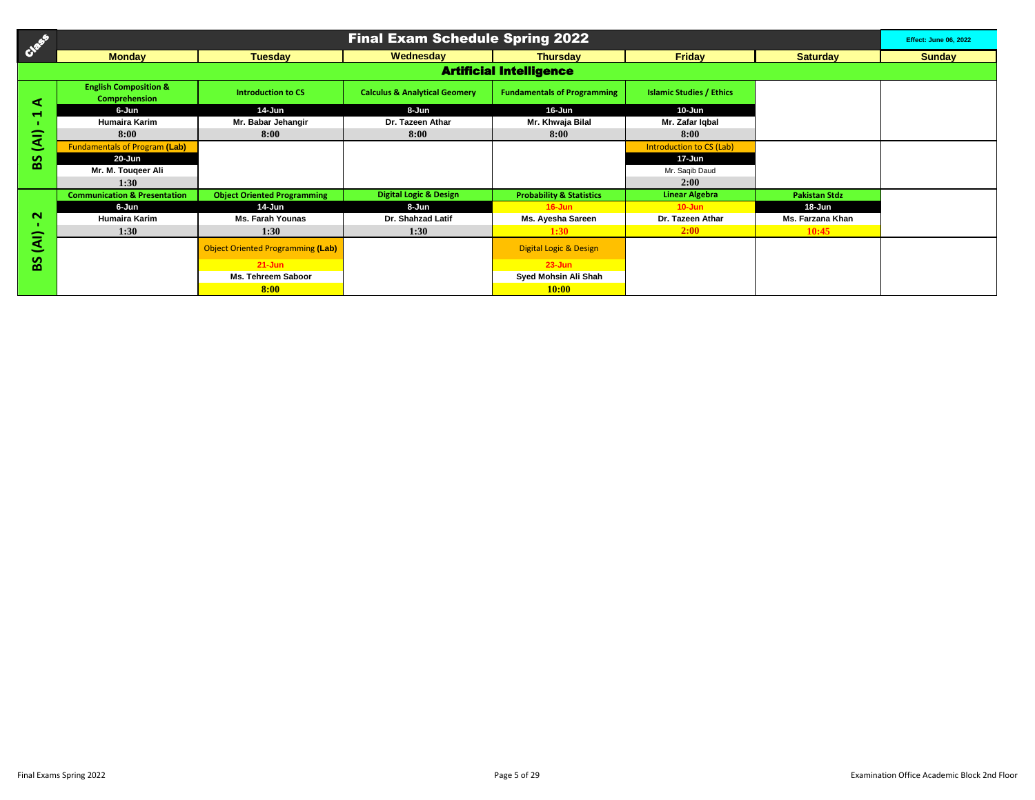| CASE           |                                                   |                                          | <b>Final Exam Schedule Spring 2022</b>   |                                     |                                 |                      | <b>Effect: June 06, 2022</b> |  |  |
|----------------|---------------------------------------------------|------------------------------------------|------------------------------------------|-------------------------------------|---------------------------------|----------------------|------------------------------|--|--|
|                | <b>Monday</b>                                     | <b>Tuesday</b>                           | Wednesday                                | <b>Thursdav</b>                     | <b>Friday</b>                   | <b>Saturday</b>      | <b>Sunday</b>                |  |  |
|                | <b>Artificial Intelligence</b>                    |                                          |                                          |                                     |                                 |                      |                              |  |  |
| đ              | <b>English Composition &amp;</b><br>Comprehension | <b>Introduction to CS</b>                | <b>Calculus &amp; Analytical Geomery</b> | <b>Fundamentals of Programming</b>  | <b>Islamic Studies / Ethics</b> |                      |                              |  |  |
| $\blacksquare$ | 6-Jun                                             | 14-Jun                                   | 8-Jun                                    | 16-Jun                              | $10 - Jun$                      |                      |                              |  |  |
|                | Humaira Karim                                     | Mr. Babar Jehangir                       | Dr. Tazeen Athar                         | Mr. Khwaja Bilal                    | Mr. Zafar Igbal                 |                      |                              |  |  |
| ৱি             | 8:00                                              | 8:00                                     | 8:00                                     | 8:00                                | 8:00                            |                      |                              |  |  |
|                | <b>Fundamentals of Program (Lab)</b>              |                                          |                                          |                                     | Introduction to CS (Lab)        |                      |                              |  |  |
| န္တ            | 20-Jun                                            |                                          |                                          |                                     | 17-Jun                          |                      |                              |  |  |
|                | Mr. M. Tougeer Ali                                |                                          |                                          |                                     | Mr. Saqib Daud                  |                      |                              |  |  |
|                | 1:30                                              |                                          |                                          |                                     | 2:00                            |                      |                              |  |  |
|                | <b>Communication &amp; Presentation</b>           | <b>Object Oriented Programming</b>       | <b>Digital Logic &amp; Design</b>        | <b>Probability &amp; Statistics</b> | <b>Linear Algebra</b>           | <b>Pakistan Stdz</b> |                              |  |  |
|                | 6-Jun                                             | 14-Jun                                   | 8-Jun                                    | $16 - Jun$                          | $10 - Jun$                      | 18-Jun               |                              |  |  |
| $\sim$         | <b>Humaira Karim</b>                              | <b>Ms. Farah Younas</b>                  | Dr. Shahzad Latif                        | Ms. Ayesha Sareen                   | Dr. Tazeen Athar                | Ms. Farzana Khan     |                              |  |  |
|                | 1:30                                              | 1:30                                     | 1:30                                     | 1:30                                | 2:00                            | 10:45                |                              |  |  |
| दि             |                                                   | <b>Object Oriented Programming (Lab)</b> |                                          | <b>Digital Logic &amp; Design</b>   |                                 |                      |                              |  |  |
| SS             |                                                   | $21 - Jun$                               |                                          | $23 - Jun$                          |                                 |                      |                              |  |  |
|                |                                                   | Ms. Tehreem Saboor                       |                                          | Syed Mohsin Ali Shah                |                                 |                      |                              |  |  |
|                |                                                   | 8:00                                     |                                          | 10:00                               |                                 |                      |                              |  |  |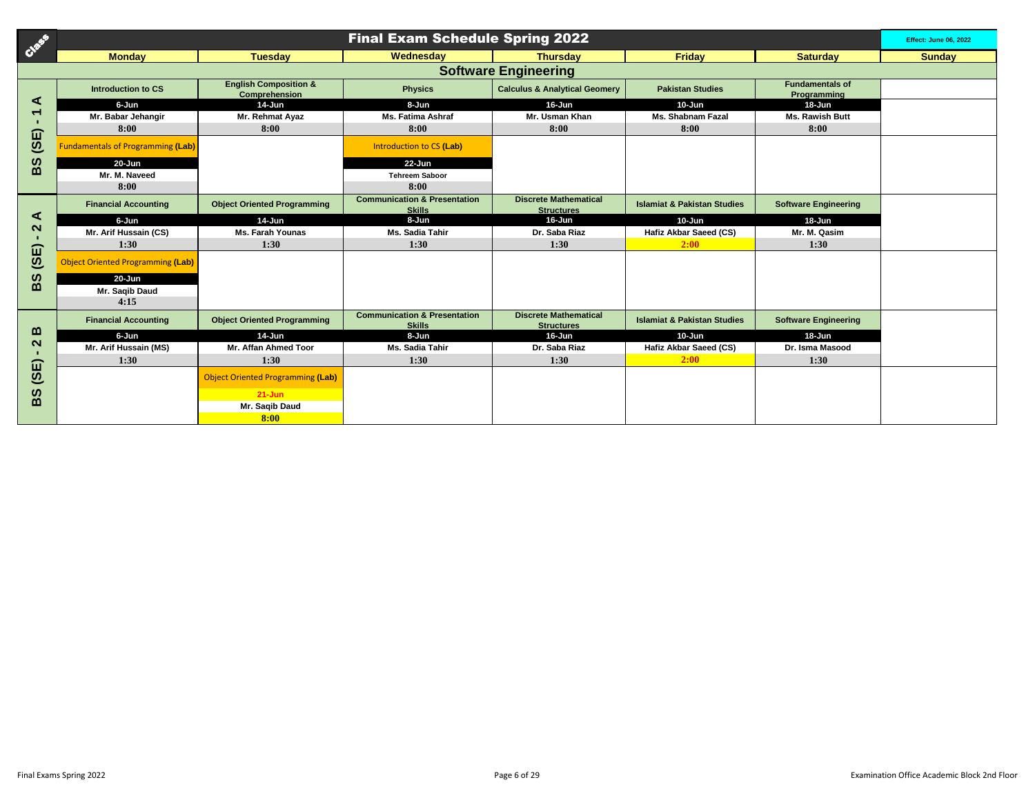| Creek                     | <b>Final Exam Schedule Spring 2022</b>   |                                                   |                                                          |                                                   |                                        |                                       |               |  |  |
|---------------------------|------------------------------------------|---------------------------------------------------|----------------------------------------------------------|---------------------------------------------------|----------------------------------------|---------------------------------------|---------------|--|--|
|                           | <b>Monday</b>                            | <b>Tuesday</b>                                    | Wednesday                                                | <b>Thursday</b>                                   | <b>Friday</b>                          | <b>Saturday</b>                       | <b>Sunday</b> |  |  |
|                           |                                          |                                                   |                                                          | <b>Software Engineering</b>                       |                                        |                                       |               |  |  |
|                           | Introduction to CS                       | <b>English Composition &amp;</b><br>Comprehension | <b>Physics</b>                                           | <b>Calculus &amp; Analytical Geomery</b>          | <b>Pakistan Studies</b>                | <b>Fundamentals of</b><br>Programming |               |  |  |
| ⋖                         | 6-Jun                                    | $14$ -Jun                                         | 8-Jun                                                    | 16-Jun                                            | $10 - Jun$                             | 18-Jun                                |               |  |  |
| ┯                         | Mr. Babar Jehangir                       | Mr. Rehmat Ayaz                                   | <b>Ms. Fatima Ashraf</b>                                 | Mr. Usman Khan                                    | <b>Ms. Shabnam Fazal</b>               | Ms. Rawish Butt                       |               |  |  |
| í                         | 8:00                                     | 8:00                                              | 8:00                                                     | 8:00                                              | 8:00                                   | 8:00                                  |               |  |  |
| $\widehat{\mathbf{e}}$    | <b>Fundamentals of Programming (Lab)</b> |                                                   | Introduction to CS (Lab)                                 |                                                   |                                        |                                       |               |  |  |
| <b>BS</b>                 | $20 - Jun$                               |                                                   | $22 - Jun$                                               |                                                   |                                        |                                       |               |  |  |
|                           | Mr. M. Naveed                            |                                                   | <b>Tehreem Saboor</b>                                    |                                                   |                                        |                                       |               |  |  |
|                           | 8:00                                     |                                                   | 8:00                                                     |                                                   |                                        |                                       |               |  |  |
|                           | <b>Financial Accounting</b>              | <b>Object Oriented Programming</b>                | <b>Communication &amp; Presentation</b><br><b>Skills</b> | <b>Discrete Mathematical</b><br><b>Structures</b> | <b>Islamiat &amp; Pakistan Studies</b> | <b>Software Engineering</b>           |               |  |  |
| ⋖                         | 6-Jun                                    | $14$ -Jun                                         | 8-Jun                                                    | $16 - Jun$                                        | $10 - Jun$                             | 18-Jun                                |               |  |  |
| $\mathbf{\Omega}$<br>- 11 | Mr. Arif Hussain (CS)                    | <b>Ms. Farah Younas</b>                           | Ms. Sadia Tahir                                          | Dr. Saba Riaz                                     | Hafiz Akbar Saeed (CS)                 | Mr. M. Qasim                          |               |  |  |
| í                         | 1:30                                     | 1:30                                              | 1:30                                                     | 1:30                                              | 2:00                                   | 1:30                                  |               |  |  |
| $\widehat{\mathbf{e}}$    | <b>Object Oriented Programming (Lab)</b> |                                                   |                                                          |                                                   |                                        |                                       |               |  |  |
| ဖာ                        | $20 - Jun$                               |                                                   |                                                          |                                                   |                                        |                                       |               |  |  |
| $\mathbf{m}$              | Mr. Saqib Daud                           |                                                   |                                                          |                                                   |                                        |                                       |               |  |  |
|                           | 4:15                                     |                                                   |                                                          |                                                   |                                        |                                       |               |  |  |
|                           | <b>Financial Accounting</b>              | <b>Object Oriented Programming</b>                | <b>Communication &amp; Presentation</b><br><b>Skills</b> | <b>Discrete Mathematical</b><br><b>Structures</b> | <b>Islamiat &amp; Pakistan Studies</b> | <b>Software Engineering</b>           |               |  |  |
| മ                         | 6-Jun                                    | 14-Jun                                            | 8-Jun                                                    | $16 - Jun$                                        | 10-Jun                                 | 18-Jun                                |               |  |  |
| $\mathbf{\Omega}$<br>п.   | Mr. Arif Hussain (MS)                    | Mr. Affan Ahmed Toor                              | Ms. Sadia Tahir                                          | Dr. Saba Riaz                                     | Hafiz Akbar Saeed (CS)                 | Dr. Isma Masood                       |               |  |  |
|                           | 1:30                                     | 1:30                                              | 1:30                                                     | 1:30                                              | 2:00                                   | 1:30                                  |               |  |  |
| (3E)                      |                                          | <b>Object Oriented Programming (Lab)</b>          |                                                          |                                                   |                                        |                                       |               |  |  |
| ဖာ                        |                                          | $21 - Jun$                                        |                                                          |                                                   |                                        |                                       |               |  |  |
| $\mathbf{m}$              |                                          | Mr. Saqib Daud                                    |                                                          |                                                   |                                        |                                       |               |  |  |
|                           |                                          | 8:00                                              |                                                          |                                                   |                                        |                                       |               |  |  |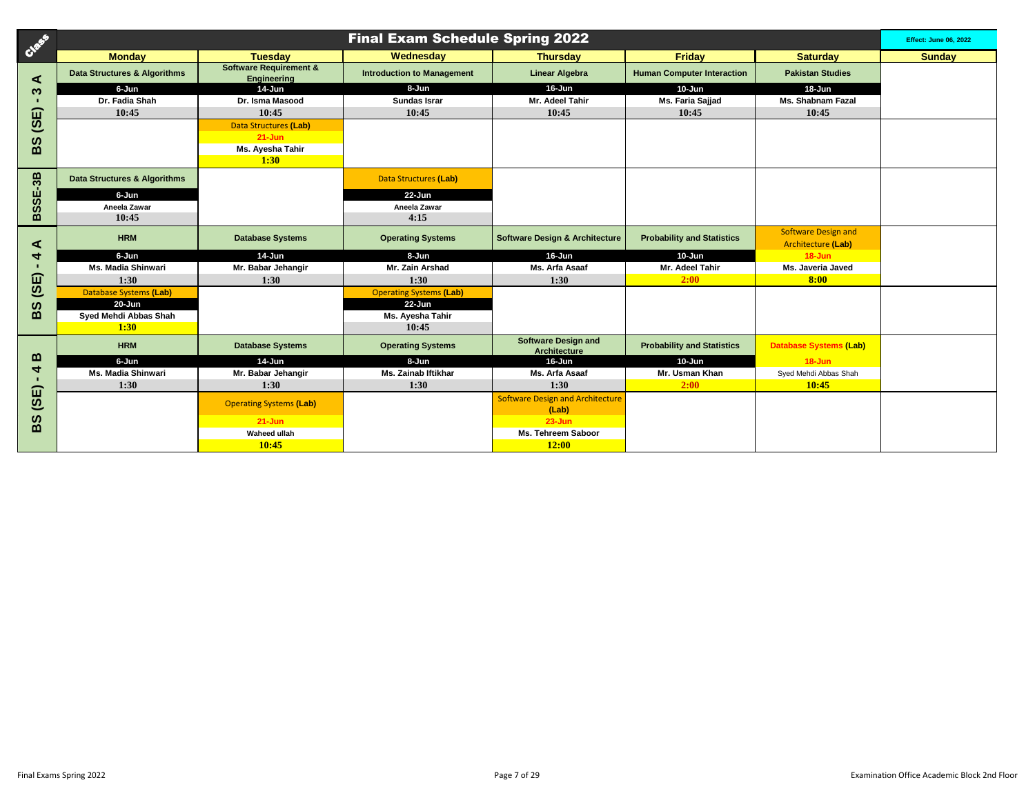| Creek                 | <b>Final Exam Schedule Spring 2022</b> |                                                  |                                   |                                                   |                                   |                                                  |               |
|-----------------------|----------------------------------------|--------------------------------------------------|-----------------------------------|---------------------------------------------------|-----------------------------------|--------------------------------------------------|---------------|
|                       | <b>Monday</b>                          | <b>Tuesday</b>                                   | Wednesday                         | <b>Thursday</b>                                   | <b>Friday</b>                     | <b>Saturday</b>                                  | <b>Sunday</b> |
| ⋖                     | Data Structures & Algorithms           | <b>Software Requirement &amp;</b><br>Engineering | <b>Introduction to Management</b> | <b>Linear Algebra</b>                             | <b>Human Computer Interaction</b> | <b>Pakistan Studies</b>                          |               |
| ო                     | 6-Jun                                  | $14$ -Jun                                        | 8-Jun                             | 16-Jun                                            | 10-Jun                            | 18-Jun                                           |               |
|                       | Dr. Fadia Shah                         | Dr. Isma Masood                                  | <b>Sundas Israr</b>               | Mr. Adeel Tahir                                   | Ms. Faria Sajjad                  | <b>Ms. Shabnam Fazal</b>                         |               |
| 山                     | 10:45                                  | 10:45                                            | 10:45                             | 10:45                                             | 10:45                             | 10:45                                            |               |
| <u>ග</u>              |                                        | <b>Data Structures (Lab)</b>                     |                                   |                                                   |                                   |                                                  |               |
| ທ                     |                                        | $21 - Jun$                                       |                                   |                                                   |                                   |                                                  |               |
| $\mathbf{m}$          |                                        | Ms. Ayesha Tahir                                 |                                   |                                                   |                                   |                                                  |               |
|                       |                                        | 1:30                                             |                                   |                                                   |                                   |                                                  |               |
| $E-3B$                | Data Structures & Algorithms           |                                                  | Data Structures (Lab)             |                                                   |                                   |                                                  |               |
|                       | 6-Jun                                  |                                                  | $22 - Jun$                        |                                                   |                                   |                                                  |               |
| 5S                    | Aneela Zawar                           |                                                  | Aneela Zawar                      |                                                   |                                   |                                                  |               |
| ⋒                     | 10:45                                  |                                                  | 4:15                              |                                                   |                                   |                                                  |               |
| ⋖                     | <b>HRM</b>                             | <b>Database Systems</b>                          | <b>Operating Systems</b>          | <b>Software Design &amp; Architecture</b>         | <b>Probability and Statistics</b> | <b>Software Design and</b><br>Architecture (Lab) |               |
|                       | 6-Jun                                  | $14$ -Jun                                        | 8-Jun                             | 16-Jun                                            | $10 - Jun$                        | $18 - Jun$                                       |               |
|                       | Ms. Madia Shinwari                     | Mr. Babar Jehangir                               | Mr. Zain Arshad                   | Ms. Arfa Asaaf                                    | Mr. Adeel Tahir                   | Ms. Javeria Javed                                |               |
| (SE)                  | 1:30                                   | 1:30                                             | 1:30                              | 1:30                                              | 2:00                              | 8:00                                             |               |
|                       | <b>Database Systems (Lab)</b>          |                                                  | <b>Operating Systems (Lab)</b>    |                                                   |                                   |                                                  |               |
| 8g                    | $20 - Jun$                             |                                                  | 22-Jun                            |                                                   |                                   |                                                  |               |
|                       | Syed Mehdi Abbas Shah                  |                                                  | Ms. Ayesha Tahir                  |                                                   |                                   |                                                  |               |
|                       | 1:30                                   |                                                  | 10:45                             |                                                   |                                   |                                                  |               |
|                       | <b>HRM</b>                             | <b>Database Systems</b>                          | <b>Operating Systems</b>          | <b>Software Design and</b><br><b>Architecture</b> | <b>Probability and Statistics</b> | <b>Database Systems (Lab)</b>                    |               |
| മ                     | 6-Jun                                  | $14$ -Jun                                        | 8-Jun                             | 16-Jun                                            | $10 - Jun$                        | $18 - Jun$                                       |               |
| ₹                     | Ms. Madia Shinwari                     | Mr. Babar Jehangir                               | <b>Ms. Zainab Iftikhar</b>        | Ms. Arfa Asaaf                                    | Mr. Usman Khan                    | Syed Mehdi Abbas Shah                            |               |
| ίπ                    | 1:30                                   | 1:30                                             | 1:30                              | 1:30                                              | 2:00                              | 10:45                                            |               |
| <u>ග</u>              |                                        | <b>Operating Systems (Lab)</b>                   |                                   | <b>Software Design and Architecture</b><br>(Lab)  |                                   |                                                  |               |
| $\boldsymbol{\omega}$ |                                        | $21 - Jun$                                       |                                   | $23 - Jun$                                        |                                   |                                                  |               |
| $\mathbf{m}$          |                                        | <b>Waheed ullah</b>                              |                                   | Ms. Tehreem Saboor                                |                                   |                                                  |               |
|                       |                                        | 10:45                                            |                                   | 12:00                                             |                                   |                                                  |               |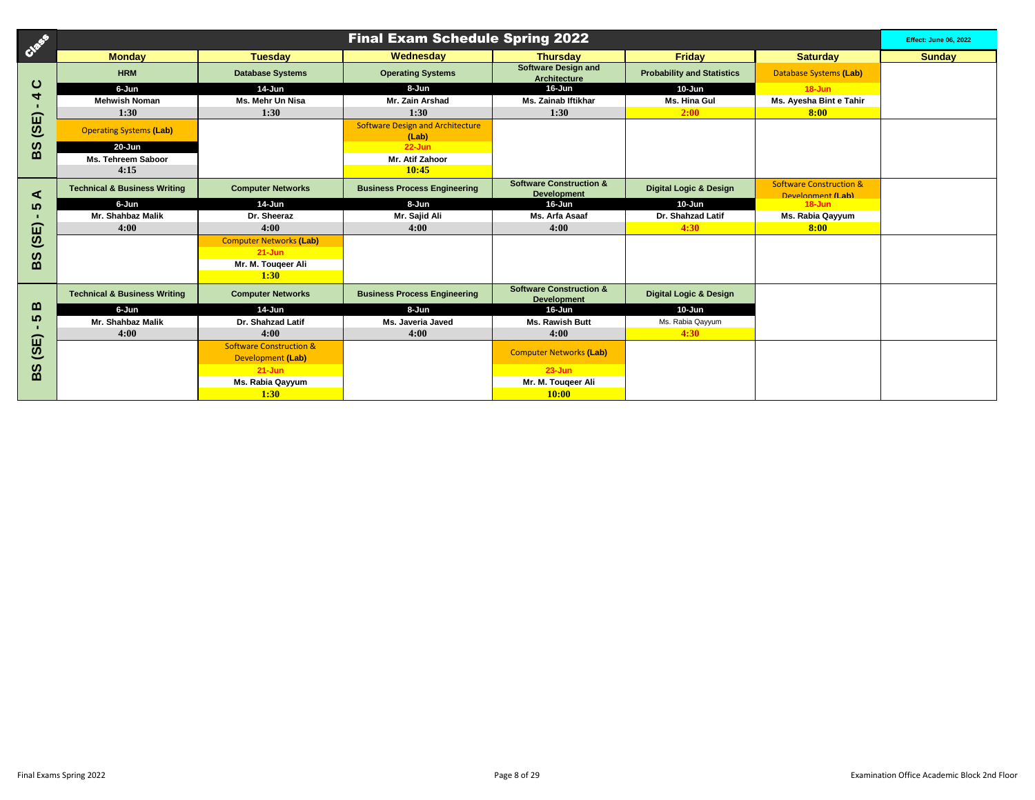| Creek                  |                                         |                                    | <b>Final Exam Schedule Spring 2022</b>           |                                                          |                                   |                                                                | <b>Effect: June 06, 2022</b> |
|------------------------|-----------------------------------------|------------------------------------|--------------------------------------------------|----------------------------------------------------------|-----------------------------------|----------------------------------------------------------------|------------------------------|
|                        | <b>Monday</b>                           | <b>Tuesday</b>                     | Wednesday                                        | <b>Thursday</b>                                          | <b>Friday</b>                     | <b>Saturday</b>                                                | <b>Sunday</b>                |
|                        | <b>HRM</b>                              | <b>Database Systems</b>            | <b>Operating Systems</b>                         | <b>Software Design and</b><br><b>Architecture</b>        | <b>Probability and Statistics</b> | <b>Database Systems (Lab)</b>                                  |                              |
| ပ                      | 6-Jun                                   | 14-Jun                             | 8-Jun                                            | 16-Jun                                                   | $10 - Jun$                        | $18 - Jun$                                                     |                              |
| ₹                      | <b>Mehwish Noman</b>                    | Ms. Mehr Un Nisa                   | Mr. Zain Arshad                                  | <b>Ms. Zainab Iftikhar</b>                               | Ms. Hina Gul                      | Ms. Ayesha Bint e Tahir                                        |                              |
| ⋒                      | 1:30                                    | 1:30                               | 1:30                                             | 1:30                                                     | 2:00                              | 8:00                                                           |                              |
| $\overline{\omega}$    | <b>Operating Systems (Lab)</b>          |                                    | <b>Software Design and Architecture</b><br>(Lab) |                                                          |                                   |                                                                |                              |
| ທ                      | $20 - Jun$                              |                                    | $22 - Jun$                                       |                                                          |                                   |                                                                |                              |
| മ                      | Ms. Tehreem Saboor                      |                                    | Mr. Atif Zahoor                                  |                                                          |                                   |                                                                |                              |
|                        | 4:15                                    |                                    | 10:45                                            |                                                          |                                   |                                                                |                              |
| ⋖                      | <b>Technical &amp; Business Writing</b> | <b>Computer Networks</b>           | <b>Business Process Engineering</b>              | <b>Software Construction &amp;</b><br><b>Development</b> | <b>Digital Logic &amp; Design</b> | <b>Software Construction &amp;</b><br><b>Development (Lah)</b> |                              |
| က                      | 6-Jun                                   | 14-Jun                             | 8-Jun                                            | 16-Jun                                                   | 10-Jun                            | $18 - Jun$                                                     |                              |
|                        | Mr. Shahbaz Malik                       | Dr. Sheeraz                        | Mr. Sajid Ali                                    | Ms. Arfa Asaaf                                           | Dr. Shahzad Latif                 | Ms. Rabia Qayyum                                               |                              |
| í                      | 4:00                                    | 4:00                               | 4:00                                             | 4:00                                                     | 4:30                              | 8:00                                                           |                              |
| $\overline{\omega}$    |                                         | <b>Computer Networks (Lab)</b>     |                                                  |                                                          |                                   |                                                                |                              |
| ທ                      |                                         | $21 - Jun$                         |                                                  |                                                          |                                   |                                                                |                              |
| $\mathbf{m}$           |                                         | Mr. M. Tougeer Ali                 |                                                  |                                                          |                                   |                                                                |                              |
|                        |                                         | 1:30                               |                                                  |                                                          |                                   |                                                                |                              |
|                        | <b>Technical &amp; Business Writing</b> | <b>Computer Networks</b>           | <b>Business Process Engineering</b>              | <b>Software Construction &amp;</b><br><b>Development</b> | <b>Digital Logic &amp; Design</b> |                                                                |                              |
| ≃                      | 6-Jun                                   | $14$ -Jun                          | 8-Jun                                            | 16-Jun                                                   | 10-Jun                            |                                                                |                              |
| ທ                      | Mr. Shahbaz Malik                       | Dr. Shahzad Latif                  | Ms. Javeria Javed                                | Ms. Rawish Butt                                          | Ms. Rabia Qayyum                  |                                                                |                              |
| ω                      | 4:00                                    | 4:00                               | 4:00                                             | 4:00                                                     | 4:30                              |                                                                |                              |
| $\widehat{\mathbf{c}}$ |                                         | <b>Software Construction &amp;</b> |                                                  | <b>Computer Networks (Lab)</b>                           |                                   |                                                                |                              |
|                        |                                         | Development (Lab)                  |                                                  |                                                          |                                   |                                                                |                              |
| ທ<br>മ                 |                                         | $21 - Jun$                         |                                                  | $23 - Jun$                                               |                                   |                                                                |                              |
|                        |                                         | Ms. Rabia Qayyum                   |                                                  | Mr. M. Tougeer Ali                                       |                                   |                                                                |                              |
|                        |                                         | 1:30                               |                                                  | 10:00                                                    |                                   |                                                                |                              |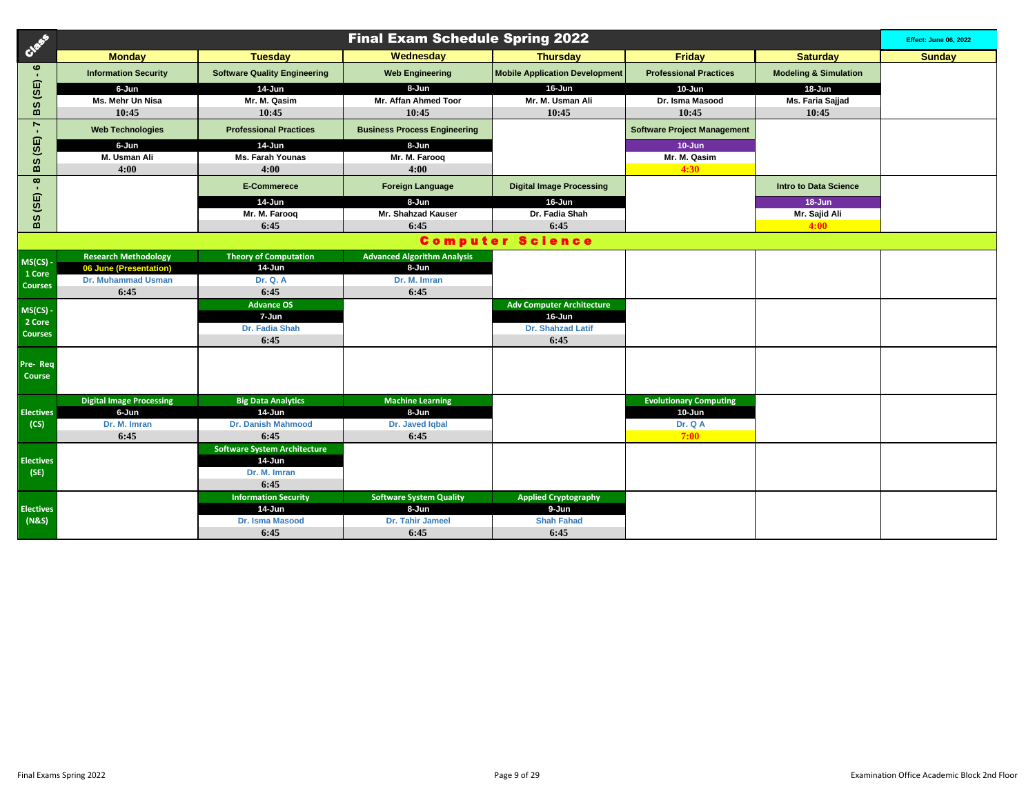| Creek                                   | <b>Final Exam Schedule Spring 2022</b> |                                     |                                     |                                            |                                    |                                  |               |  |
|-----------------------------------------|----------------------------------------|-------------------------------------|-------------------------------------|--------------------------------------------|------------------------------------|----------------------------------|---------------|--|
|                                         | <b>Monday</b>                          | <b>Tuesday</b>                      | Wednesday                           | <b>Thursday</b>                            | <b>Friday</b>                      | <b>Saturday</b>                  | <b>Sunday</b> |  |
| $\circ$<br>$\blacksquare$               | <b>Information Security</b>            | <b>Software Quality Engineering</b> | <b>Web Engineering</b>              | <b>Mobile Application Development</b>      | <b>Professional Practices</b>      | <b>Modeling &amp; Simulation</b> |               |  |
| (3E)                                    | 6-Jun                                  | 14-Jun                              | 8-Jun                               | 16-Jun                                     | 10-Jun                             | 18-Jun                           |               |  |
|                                         | Ms. Mehr Un Nisa                       | Mr. M. Qasim                        | Mr. Affan Ahmed Toor                | Mr. M. Usman Ali                           | Dr. Isma Masood                    | Ms. Faria Sajjad                 |               |  |
| BS                                      | 10:45                                  | 10:45                               | 10:45                               | 10:45                                      | 10:45                              | 10:45                            |               |  |
| $\blacktriangleright$<br>$\blacksquare$ | <b>Web Technologies</b>                | <b>Professional Practices</b>       | <b>Business Process Engineering</b> |                                            | <b>Software Project Management</b> |                                  |               |  |
| (3E)<br>BS                              | 6-Jun                                  | 14-Jun                              | 8-Jun                               |                                            | $10 - Jun$                         |                                  |               |  |
|                                         | M. Usman Ali                           | <b>Ms. Farah Younas</b>             | Mr. M. Faroog                       |                                            | Mr. M. Qasim                       |                                  |               |  |
|                                         | 4:00                                   | 4:00                                | 4:00                                |                                            | 4:30                               |                                  |               |  |
| $\infty$                                |                                        | <b>E-Commerece</b>                  | <b>Foreign Language</b>             | <b>Digital Image Processing</b>            |                                    | <b>Intro to Data Science</b>     |               |  |
| (SE)                                    |                                        | 14-Jun                              | 8-Jun                               | 16-Jun                                     |                                    | $18 - Jun$                       |               |  |
| BS                                      |                                        | Mr. M. Faroog                       | Mr. Shahzad Kauser                  | Dr. Fadia Shah                             |                                    | Mr. Sajid Ali                    |               |  |
|                                         |                                        | 6:45                                | 6:45                                | 6:45                                       |                                    | 4:00                             |               |  |
|                                         |                                        |                                     |                                     | <b>Computer Science</b>                    |                                    |                                  |               |  |
| MS(CS) -                                | <b>Research Methodology</b>            | <b>Theory of Computation</b>        | <b>Advanced Algorithm Analysis</b>  |                                            |                                    |                                  |               |  |
| 1 Core                                  | 06 June (Presentation)                 | 14-Jun                              | 8-Jun                               |                                            |                                    |                                  |               |  |
| <b>Courses</b>                          | <b>Dr. Muhammad Usman</b>              | <b>Dr. Q. A</b>                     | Dr. M. Imran                        |                                            |                                    |                                  |               |  |
|                                         | 6:45                                   | 6:45                                | 6:45                                |                                            |                                    |                                  |               |  |
| MS(CS)                                  |                                        | <b>Advance OS</b><br>7-Jun          |                                     | <b>Adv Computer Architecture</b><br>16-Jun |                                    |                                  |               |  |
| 2 Core                                  |                                        | Dr. Fadia Shah                      |                                     | <b>Dr. Shahzad Latif</b>                   |                                    |                                  |               |  |
| <b>Courses</b>                          |                                        | 6:45                                |                                     | 6:45                                       |                                    |                                  |               |  |
|                                         |                                        |                                     |                                     |                                            |                                    |                                  |               |  |
| Pre-Req<br>Course                       |                                        |                                     |                                     |                                            |                                    |                                  |               |  |
|                                         |                                        |                                     |                                     |                                            |                                    |                                  |               |  |
|                                         | <b>Digital Image Processing</b>        | <b>Big Data Analytics</b>           | <b>Machine Learning</b>             |                                            | <b>Evolutionary Computing</b>      |                                  |               |  |
| <b>Electives</b>                        | 6-Jun                                  | $14$ -Jun                           | 8-Jun                               |                                            | 10-Jun                             |                                  |               |  |
| (CS)                                    | Dr. M. Imran                           | <b>Dr. Danish Mahmood</b>           | Dr. Javed Iqbal                     |                                            | Dr. Q A                            |                                  |               |  |
|                                         | 6:45                                   | 6:45                                | 6:45                                |                                            | 7:00                               |                                  |               |  |
|                                         |                                        | <b>Software System Architecture</b> |                                     |                                            |                                    |                                  |               |  |
| <b>Electives</b>                        |                                        | 14-Jun                              |                                     |                                            |                                    |                                  |               |  |
| (SE)                                    |                                        | Dr. M. Imran<br>6:45                |                                     |                                            |                                    |                                  |               |  |
|                                         |                                        | <b>Information Security</b>         | <b>Software System Quality</b>      | <b>Applied Cryptography</b>                |                                    |                                  |               |  |
| <b>Electives</b>                        |                                        | 14-Jun                              | 8-Jun                               | 9-Jun                                      |                                    |                                  |               |  |
| (N&S)                                   |                                        | <b>Dr. Isma Masood</b>              | Dr. Tahir Jameel                    | <b>Shah Fahad</b>                          |                                    |                                  |               |  |
|                                         |                                        | 6:45                                | 6:45                                | 6:45                                       |                                    |                                  |               |  |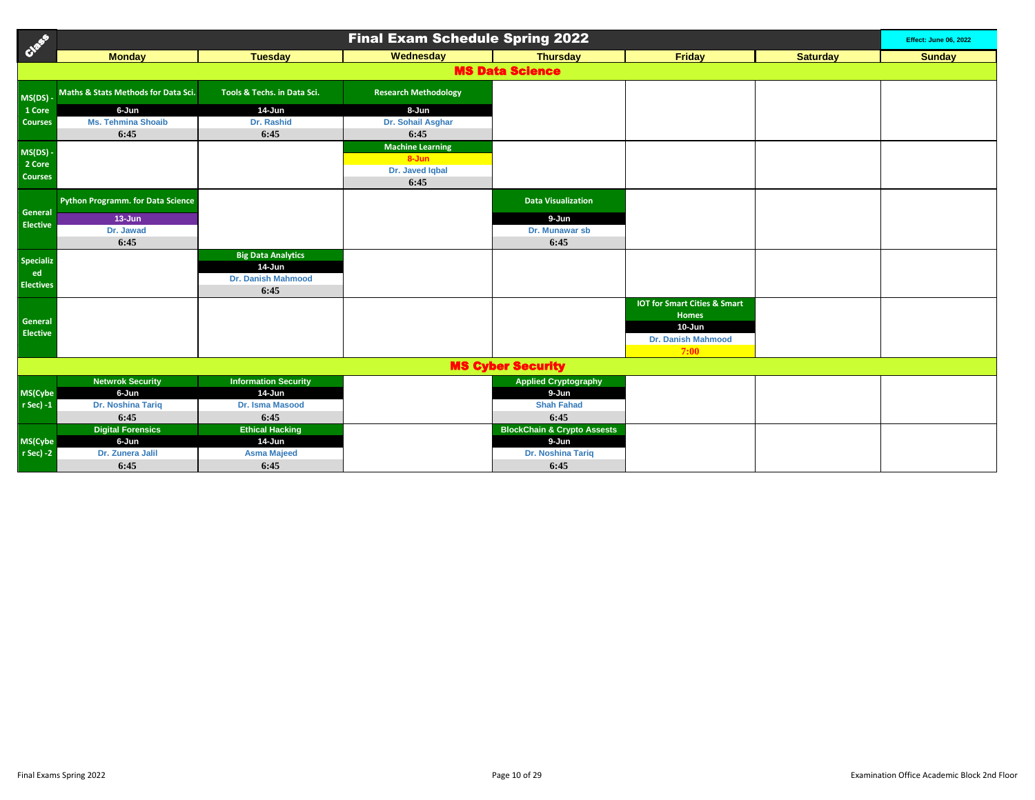| Creek                      | <b>Final Exam Schedule Spring 2022</b> |                                  |                             |                                                 |                                         |                 |               |  |
|----------------------------|----------------------------------------|----------------------------------|-----------------------------|-------------------------------------------------|-----------------------------------------|-----------------|---------------|--|
|                            | <b>Monday</b>                          | <b>Tuesday</b>                   | Wednesday                   | <b>Thursday</b>                                 | Friday                                  | <b>Saturday</b> | <b>Sunday</b> |  |
|                            |                                        |                                  |                             | <b>MS Data Science</b>                          |                                         |                 |               |  |
| MS(DS)-                    | Maths & Stats Methods for Data Sci.    | Tools & Techs, in Data Sci.      | <b>Research Methodology</b> |                                                 |                                         |                 |               |  |
| 1 Core                     | 6-Jun                                  | $14$ -Jun                        | 8-Jun                       |                                                 |                                         |                 |               |  |
| <b>Courses</b>             | <b>Ms. Tehmina Shoaib</b>              | Dr. Rashid                       | Dr. Sohail Asghar           |                                                 |                                         |                 |               |  |
|                            | 6:45                                   | 6:45                             | 6:45                        |                                                 |                                         |                 |               |  |
| $MS(DS)$ -                 |                                        |                                  | <b>Machine Learning</b>     |                                                 |                                         |                 |               |  |
| 2 Core                     |                                        |                                  | $8 - Jun$                   |                                                 |                                         |                 |               |  |
| <b>Courses</b>             |                                        |                                  | Dr. Javed Iqbal             |                                                 |                                         |                 |               |  |
|                            |                                        |                                  | 6:45                        |                                                 |                                         |                 |               |  |
|                            | Python Programm. for Data Science      |                                  |                             | <b>Data Visualization</b>                       |                                         |                 |               |  |
| General<br><b>Elective</b> | $13 - Jun$                             |                                  |                             | 9-Jun                                           |                                         |                 |               |  |
|                            | Dr. Jawad                              |                                  |                             | Dr. Munawar sb                                  |                                         |                 |               |  |
|                            | 6:45                                   |                                  |                             | 6:45                                            |                                         |                 |               |  |
| <b>Specializ</b>           |                                        | <b>Big Data Analytics</b>        |                             |                                                 |                                         |                 |               |  |
| ed                         |                                        | 14-Jun<br>Dr. Danish Mahmood     |                             |                                                 |                                         |                 |               |  |
| <b>Electives</b>           |                                        | 6:45                             |                             |                                                 |                                         |                 |               |  |
|                            |                                        |                                  |                             |                                                 | <b>IOT for Smart Cities &amp; Smart</b> |                 |               |  |
|                            |                                        |                                  |                             |                                                 | <b>Homes</b>                            |                 |               |  |
| General                    |                                        |                                  |                             |                                                 | $10 - Jun$                              |                 |               |  |
| <b>Elective</b>            |                                        |                                  |                             |                                                 | <b>Dr. Danish Mahmood</b>               |                 |               |  |
|                            |                                        |                                  |                             |                                                 | 7:00                                    |                 |               |  |
|                            |                                        |                                  |                             | <b>MS Cyber Security</b>                        |                                         |                 |               |  |
|                            | <b>Netwrok Security</b>                | <b>Information Security</b>      |                             | <b>Applied Cryptography</b>                     |                                         |                 |               |  |
| MS(Cybe                    | 6-Jun                                  | 14-Jun                           |                             | 9-Jun                                           |                                         |                 |               |  |
| r Sec) -1                  | Dr. Noshina Tariq                      | Dr. Isma Masood                  |                             | <b>Shah Fahad</b>                               |                                         |                 |               |  |
|                            | 6:45                                   | 6:45                             |                             | 6:45                                            |                                         |                 |               |  |
|                            | <b>Digital Forensics</b><br>6-Jun      | <b>Ethical Hacking</b><br>14-Jun |                             | <b>BlockChain &amp; Crypto Assests</b><br>9-Jun |                                         |                 |               |  |
| MS(Cybe<br>r Sec) -2       | Dr. Zunera Jalil                       | <b>Asma Majeed</b>               |                             | Dr. Noshina Tariq                               |                                         |                 |               |  |
|                            |                                        |                                  |                             |                                                 |                                         |                 |               |  |
|                            | 6:45                                   | 6:45                             |                             | 6:45                                            |                                         |                 |               |  |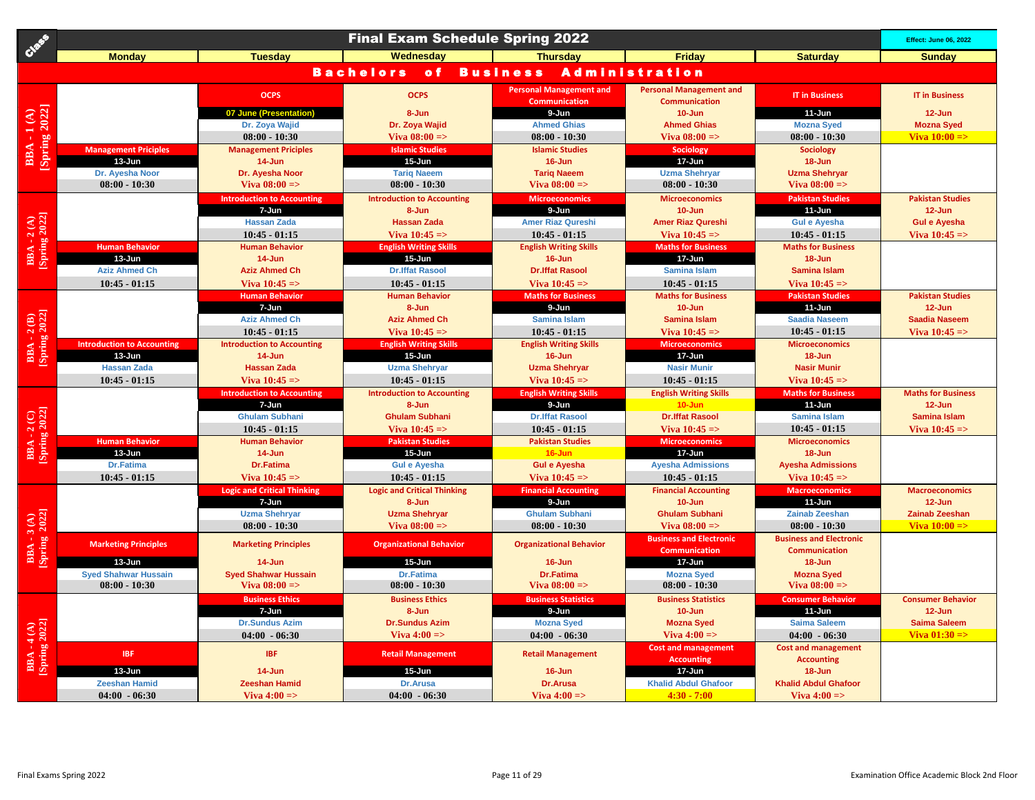|                                     |                                   |                                         | <b>Final Exam Schedule Spring 2022</b> |                                                 |                                                        |                                          | <b>Effect: June 06, 2022</b>            |
|-------------------------------------|-----------------------------------|-----------------------------------------|----------------------------------------|-------------------------------------------------|--------------------------------------------------------|------------------------------------------|-----------------------------------------|
|                                     | <b>Monday</b>                     | <b>Tuesday</b>                          | Wednesday                              | <b>Thursday</b>                                 | <b>Friday</b>                                          | <b>Saturday</b>                          | <b>Sunday</b>                           |
|                                     |                                   |                                         | <b>Bachelors</b><br>$\bullet$ f        | <b>Business</b>                                 | <b>Administration</b>                                  |                                          |                                         |
|                                     |                                   | <b>OCPS</b>                             | <b>OCPS</b>                            | <b>Personal Management and</b><br>Communication | <b>Personal Management and</b><br><b>Communication</b> | <b>IT in Business</b>                    | <b>IT in Business</b>                   |
| <b>BBA - 1(A)</b><br>[Spring 2022]  |                                   | 07 June (Presentation)                  | 8-Jun                                  | 9-Jun                                           | $10 - Jun$                                             | $11-Jun$                                 | $12 - Jun$                              |
|                                     |                                   | Dr. Zoya Wajid                          | Dr. Zoya Wajid                         | <b>Ahmed Ghias</b>                              | <b>Ahmed Ghias</b>                                     | <b>Mozna Syed</b>                        | <b>Mozna Syed</b>                       |
|                                     |                                   | $08:00 - 10:30$                         | Viva $08:00 =$                         | $08:00 - 10:30$                                 | Viva $08:00 =$                                         | $08:00 - 10:30$                          | Viva $10:00 =$                          |
|                                     | <b>Management Priciples</b>       | <b>Management Priciples</b>             | <b>Islamic Studies</b>                 | <b>Islamic Studies</b>                          | <b>Sociology</b>                                       | Sociology                                |                                         |
|                                     | $13 - Jun$                        | $14 - Jun$                              | 15-Jun                                 | $16 - Jun$                                      | 17-Jun                                                 | $18 - Jun$                               |                                         |
|                                     | Dr. Ayesha Noor                   | Dr. Ayesha Noor                         | <b>Tariq Naeem</b>                     | <b>Tariq Naeem</b>                              | <b>Uzma Shehryar</b>                                   | <b>Uzma Shehryar</b>                     |                                         |
|                                     | $08:00 - 10:30$                   | Viva $08:00 =$                          | $08:00 - 10:30$                        | Viva $08:00 =$                                  | $08:00 - 10:30$                                        | Viva $08:00 =$                           |                                         |
|                                     |                                   | <b>Introduction to Accounting</b>       | <b>Introduction to Accounting</b>      | <b>Microeconomics</b>                           | <b>Microeconomics</b>                                  | <b>Pakistan Studies</b>                  | <b>Pakistan Studies</b>                 |
| BBA - 2 (A)<br>[Spring 2022]        |                                   | 7-Jun                                   | 8-Jun                                  | 9-Jun                                           | $10 - Jun$                                             | 11-Jun                                   | $12 - Jun$                              |
|                                     |                                   | <b>Hassan Zada</b>                      | <b>Hassan Zada</b>                     | <b>Amer Riaz Qureshi</b>                        | <b>Amer Riaz Qureshi</b>                               | <b>Gul e Ayesha</b>                      | <b>Gul e Ayesha</b>                     |
|                                     |                                   | $10:45 - 01:15$                         | Viva $10:45 = >$                       | $10:45 - 01:15$                                 | Viva $10:45 =$                                         | $10:45 - 01:15$                          | Viva $10:45 =$                          |
|                                     | <b>Human Behavior</b>             | <b>Human Behavior</b>                   | <b>English Writing Skills</b>          | <b>English Writing Skills</b>                   | <b>Maths for Business</b>                              | <b>Maths for Business</b>                |                                         |
|                                     | 13-Jun                            | 14-Jun                                  | 15-Jun                                 | $16 - Jun$                                      | 17-Jun                                                 | 18-Jun                                   |                                         |
|                                     | <b>Aziz Ahmed Ch</b>              | <b>Aziz Ahmed Ch</b>                    | <b>Dr.Iffat Rasool</b>                 | <b>Dr.Iffat Rasool</b>                          | <b>Samina Islam</b>                                    | Samina Islam                             |                                         |
|                                     | $10:45 - 01:15$                   | Viva $10:45 =$                          | $10:45 - 01:15$                        | Viva $10:45 =$                                  | $10:45 - 01:15$                                        | Viva $10:45 =$                           |                                         |
|                                     |                                   | <b>Human Behavior</b><br>7-Jun          | <b>Human Behavior</b><br>8-Jun         | <b>Maths for Business</b><br>9-Jun              | <b>Maths for Business</b><br>$10 - Jun$                | <b>Pakistan Studies</b><br>$11 - Jun$    | <b>Pakistan Studies</b><br>12-Jun       |
|                                     |                                   | <b>Aziz Ahmed Ch</b>                    | <b>Aziz Ahmed Ch</b>                   | Samina Islam                                    | Samina Islam                                           | <b>Saadia Naseem</b>                     | <b>Saadia Naseem</b>                    |
|                                     |                                   | $10:45 - 01:15$                         | Viva $10:45 = >$                       | $10:45 - 01:15$                                 | Viva $10:45 =$                                         | $10:45 - 01:15$                          | Viva $10:45 \Rightarrow$                |
| BBA - 2 (B)<br>[Spring 2022]        | <b>Introduction to Accounting</b> | <b>Introduction to Accounting</b>       | <b>English Writing Skills</b>          | <b>English Writing Skills</b>                   | <b>Microeconomics</b>                                  | <b>Microeconomics</b>                    |                                         |
|                                     | 13-Jun                            | $14$ -Jun                               | $15 - Jun$                             | 16-Jun                                          | 17-Jun                                                 | 18-Jun                                   |                                         |
|                                     | <b>Hassan Zada</b>                | <b>Hassan Zada</b>                      | <b>Uzma Shehryar</b>                   | <b>Uzma Shehryar</b>                            | <b>Nasir Munir</b>                                     | <b>Nasir Munir</b>                       |                                         |
|                                     | $10:45 - 01:15$                   | Viva $10:45$ =>                         | $10:45 - 01:15$                        | Viva $10:45 =$                                  | $10:45 - 01:15$                                        | Viva $10:45 =$                           |                                         |
|                                     |                                   | <b>Introduction to Accounting</b>       | <b>Introduction to Accounting</b>      | <b>English Writing Skills</b>                   | <b>English Writing Skills</b>                          | <b>Maths for Business</b>                | <b>Maths for Business</b>               |
|                                     |                                   | 7-Jun                                   | 8-Jun                                  | 9-Jun                                           | 10-Jun                                                 | $11-Jun$                                 | $12 - Jun$                              |
|                                     |                                   | <b>Ghulam Subhani</b>                   | <b>Ghulam Subhani</b>                  | <b>Dr.Iffat Rasool</b>                          | <b>Dr.Iffat Rasool</b>                                 | <b>Samina Islam</b>                      | <b>Samina Islam</b>                     |
|                                     |                                   | $10:45 - 01:15$                         | Viva $10:45 = >$                       | $10:45 - 01:15$                                 | Viva $10:45 =$                                         | $10:45 - 01:15$                          | Viva $10:45$ =>                         |
| BBA - 2 (C)<br>[Spring 2022]        | <b>Human Behavior</b>             | <b>Human Behavior</b>                   | <b>Pakistan Studies</b>                | <b>Pakistan Studies</b>                         | <b>Microeconomics</b>                                  | <b>Microeconomics</b>                    |                                         |
|                                     | $13 - Jun$                        | 14-Jun                                  | 15-Jun                                 | $16 - Jun$                                      | 17-Jun                                                 | 18-Jun                                   |                                         |
|                                     | Dr.Fatima                         | Dr.Fatima                               | <b>Gul e Ayesha</b>                    | <b>Gul e Ayesha</b>                             | <b>Ayesha Admissions</b>                               | <b>Ayesha Admissions</b>                 |                                         |
|                                     | $10:45 - 01:15$                   | Viva $10:45 = >$                        | $10:45 - 01:15$                        | Viva $10:45 =$                                  | $10:45 - 01:15$                                        | Viva $10:45 = >$                         |                                         |
|                                     |                                   | <b>Logic and Critical Thinking</b>      | <b>Logic and Critical Thinking</b>     | <b>Financial Accounting</b>                     | <b>Financial Accounting</b>                            | <b>Macroeconomics</b>                    | <b>Macroeconomics</b>                   |
|                                     |                                   | 7-Jun                                   | 8-Jun                                  | 9-Jun                                           | $10 - Jun$                                             | 11-Jun                                   | 12-Jun                                  |
|                                     |                                   | <b>Uzma Shehryar</b><br>$08:00 - 10:30$ | <b>Uzma Shehryar</b><br>Viva $08:00 =$ | <b>Ghulam Subhani</b><br>$08:00 - 10:30$        | <b>Ghulam Subhani</b><br>Viva $08:00 \Rightarrow$      | <b>Zainab Zeeshan</b><br>$08:00 - 10:30$ | <b>Zainab Zeeshan</b><br>Viva $10:00 =$ |
| BBA - 3 (A)<br>[Spring 2022]        |                                   |                                         |                                        |                                                 | <b>Business and Electronic</b>                         | <b>Business and Electronic</b>           |                                         |
|                                     | <b>Marketing Principles</b>       | <b>Marketing Principles</b>             | <b>Organizational Behavior</b>         | <b>Organizational Behavior</b>                  | <b>Communication</b>                                   | <b>Communication</b>                     |                                         |
|                                     | $13 - Jun$                        | $14$ -Jun                               | $15 - Jun$                             | $16 - Jun$                                      | 17-Jun                                                 | 18-Jun                                   |                                         |
|                                     | <b>Syed Shahwar Hussain</b>       | <b>Syed Shahwar Hussain</b>             | <b>Dr.Fatima</b>                       | <b>Dr.Fatima</b>                                | <b>Mozna Syed</b>                                      | <b>Mozna Syed</b>                        |                                         |
|                                     | $08:00 - 10:30$                   | Viva $08:00 =$                          | $08:00 - 10:30$                        | Viva $08:00 =$                                  | $08:00 - 10:30$                                        | Viva $08:00 =$                           |                                         |
|                                     |                                   | <b>Business Ethics</b>                  | <b>Business Ethics</b>                 | <b>Business Statistics</b>                      | <b>Business Statistics</b>                             | <b>Consumer Behavior</b>                 | <b>Consumer Behavior</b>                |
|                                     |                                   | 7-Jun                                   | 8-Jun                                  | 9-Jun                                           | $10 - Jun$                                             | $11$ -Jun                                | $12 - Jun$                              |
|                                     |                                   | <b>Dr.Sundus Azim</b>                   | <b>Dr.Sundus Azim</b>                  | <b>Mozna Syed</b>                               | <b>Mozna Syed</b>                                      | <b>Saima Saleem</b>                      | <b>Saima Saleem</b>                     |
| <b>BBA - 4 (A)</b><br>[Spring 2022] |                                   | $04:00 - 06:30$                         | Viva $4:00 \Rightarrow$                | $04:00 - 06:30$                                 | Viva $4:00 =$                                          | $04:00 - 06:30$                          | Viva $01:30 = > 0$                      |
|                                     | <b>IBF</b>                        | <b>IBF</b>                              | <b>Retail Management</b>               | <b>Retail Management</b>                        | <b>Cost and management</b>                             | <b>Cost and management</b>               |                                         |
|                                     |                                   |                                         |                                        |                                                 | <b>Accounting</b>                                      | <b>Accounting</b>                        |                                         |
|                                     | 13-Jun                            | $14$ -Jun                               | $15 - Jun$                             | $16 - Jun$                                      | 17-Jun                                                 | $18 - Jun$                               |                                         |
|                                     | <b>Zeeshan Hamid</b>              | <b>Zeeshan Hamid</b>                    | <b>Dr.Arusa</b>                        | Dr.Arusa                                        | <b>Khalid Abdul Ghafoor</b>                            | <b>Khalid Abdul Ghafoor</b>              |                                         |
|                                     | $04:00 - 06:30$                   | Viva $4:00 \Rightarrow$                 | $04:00 - 06:30$                        | Viva $4:00 \Rightarrow$                         | $4:30 - 7:00$                                          | Viva $4:00 =$                            |                                         |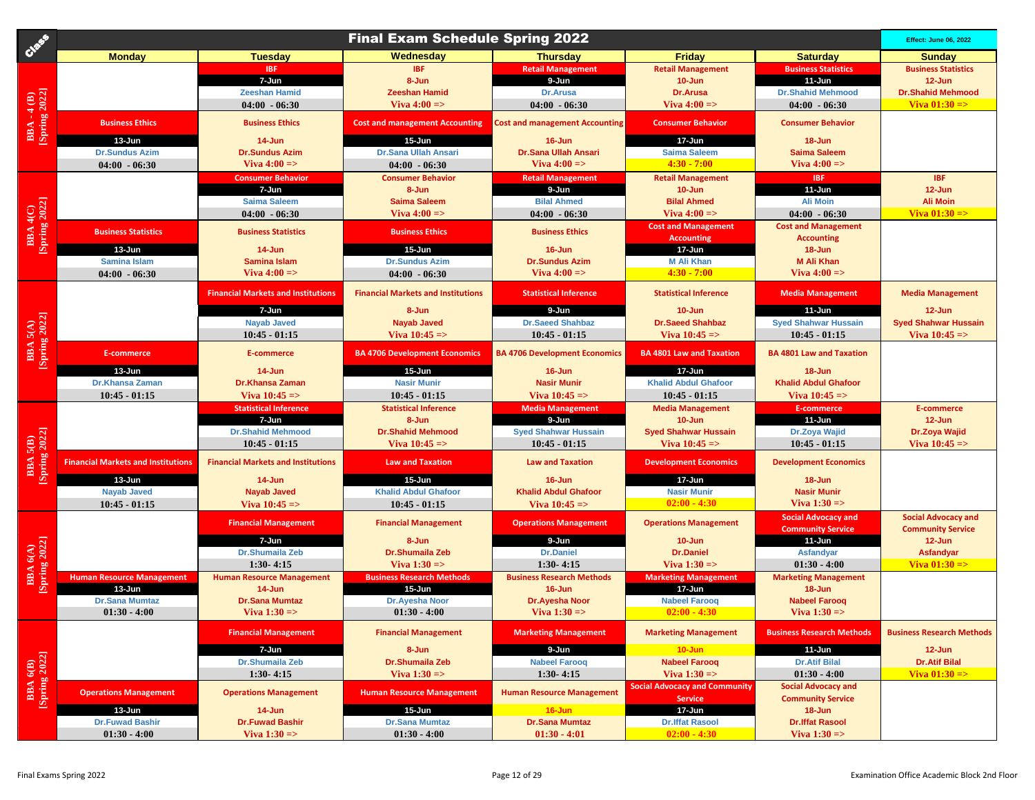| Cast                                | <b>Final Exam Schedule Spring 2022</b>         |                                           |                                                |                                                |                                                 |                                                        |                                                        |
|-------------------------------------|------------------------------------------------|-------------------------------------------|------------------------------------------------|------------------------------------------------|-------------------------------------------------|--------------------------------------------------------|--------------------------------------------------------|
|                                     | <b>Monday</b>                                  | <b>Tuesday</b>                            | Wednesday                                      | <b>Thursday</b>                                | <b>Friday</b>                                   | <b>Saturday</b>                                        | <b>Sunday</b>                                          |
|                                     |                                                | <b>IBF</b>                                | <b>IBF</b>                                     | <b>Retail Management</b>                       | <b>Retail Management</b>                        | <b>Business Statistics</b>                             | <b>Business Statistics</b>                             |
|                                     |                                                | 7-Jun                                     | 8-Jun                                          | 9-Jun                                          | 10-Jun                                          | 11-Jun                                                 | $12 - Jun$                                             |
|                                     |                                                | <b>Zeeshan Hamid</b>                      | <b>Zeeshan Hamid</b>                           | Dr.Arusa                                       | Dr.Arusa                                        | <b>Dr.Shahid Mehmood</b>                               | <b>Dr.Shahid Mehmood</b>                               |
|                                     |                                                | $04:00 - 06:30$                           | Viva $4:00 \Rightarrow$                        | $04:00 - 06:30$                                | Viva $4:00 \Rightarrow$                         | $04:00 - 06:30$                                        | Viva $01:30 = >$                                       |
| <b>BBA - 4 (B)</b><br>[Spring 2022] | <b>Business Ethics</b>                         | <b>Business Ethics</b>                    | <b>Cost and management Accounting</b>          | <b>Cost and management Accounting</b>          | <b>Consumer Behavior</b>                        | <b>Consumer Behavior</b>                               |                                                        |
|                                     | 13-Jun                                         | 14-Jun                                    | 15-Jun                                         | 16-Jun                                         | 17-Jun                                          | 18-Jun                                                 |                                                        |
|                                     | <b>Dr.Sundus Azim</b>                          | <b>Dr.Sundus Azim</b>                     | Dr.Sana Ullah Ansari                           | <b>Dr.Sana Ullah Ansari</b>                    | <b>Saima Saleem</b>                             | <b>Saima Saleem</b>                                    |                                                        |
|                                     | $04:00 - 06:30$                                | Viva $4:00 =$                             | $04:00 - 06:30$                                | Viva $4:00 \Rightarrow$                        | $4:30 - 7:00$                                   | Viva $4:00 =$                                          |                                                        |
|                                     |                                                | <b>Consumer Behavior</b>                  | <b>Consumer Behavior</b>                       | <b>Retail Management</b>                       | <b>Retail Management</b>                        | IBF                                                    | <b>IBF</b>                                             |
| <b>BBA 4(C)</b><br>[Spring 2022]    |                                                | 7-Jun                                     | 8-Jun                                          | 9-Jun                                          | $10 - Jun$                                      | 11-Jun                                                 | $12 - Jun$                                             |
|                                     |                                                | <b>Saima Saleem</b>                       | <b>Saima Saleem</b>                            | <b>Bilal Ahmed</b>                             | <b>Bilal Ahmed</b>                              | <b>Ali Moin</b>                                        | <b>Ali Moin</b>                                        |
|                                     |                                                | $04:00 - 06:30$                           | Viva $4:00 \Rightarrow$                        | $04:00 - 06:30$                                | Viva $4:00 =$                                   | $04:00 - 06:30$                                        | Viva $01:30 =$                                         |
|                                     | <b>Business Statistics</b>                     | <b>Business Statistics</b>                | <b>Business Ethics</b>                         | <b>Business Ethics</b>                         | <b>Cost and Management</b><br><b>Accounting</b> | <b>Cost and Management</b><br><b>Accounting</b>        |                                                        |
|                                     | 13-Jun                                         | 14-Jun                                    | 15-Jun                                         | 16-Jun                                         | 17-Jun                                          | 18-Jun                                                 |                                                        |
|                                     | <b>Samina Islam</b>                            | <b>Samina Islam</b>                       | <b>Dr.Sundus Azim</b>                          | <b>Dr.Sundus Azim</b>                          | <b>M Ali Khan</b>                               | <b>M Ali Khan</b>                                      |                                                        |
|                                     | $04:00 - 06:30$                                | Viva $4:00 =$                             | $04:00 - 06:30$                                | Viva $4:00 \Rightarrow$                        | $4:30 - 7:00$                                   | Viva $4:00 =$                                          |                                                        |
|                                     |                                                | <b>Financial Markets and Institutions</b> | <b>Financial Markets and Institutions</b>      | <b>Statistical Inference</b>                   | <b>Statistical Inference</b>                    | <b>Media Management</b>                                | <b>Media Management</b>                                |
|                                     |                                                |                                           |                                                |                                                |                                                 |                                                        |                                                        |
| <b>BBA</b> 5(A)<br>[Spring 2022]    |                                                | 7-Jun<br><b>Nayab Javed</b>               | 8-Jun<br><b>Nayab Javed</b>                    | 9-Jun<br><b>Dr.Saeed Shahbaz</b>               | 10-Jun<br><b>Dr.Saeed Shahbaz</b>               | $11 - Jun$<br><b>Syed Shahwar Hussain</b>              | $12 - Jun$<br><b>Syed Shahwar Hussain</b>              |
|                                     |                                                | $10:45 - 01:15$                           | Viva $10:45 =$                                 | $10:45 - 01:15$                                | Viva $10:45 =$                                  | $10:45 - 01:15$                                        | Viva $10:45 =$                                         |
|                                     |                                                |                                           |                                                |                                                |                                                 |                                                        |                                                        |
|                                     | E-commerce                                     | E-commerce                                | <b>BA 4706 Development Economics</b>           | <b>BA 4706 Development Economics</b>           | <b>BA 4801 Law and Taxation</b>                 | <b>BA 4801 Law and Taxation</b>                        |                                                        |
|                                     | 13-Jun                                         | 14-Jun                                    | 15-Jun                                         | 16-Jun                                         | 17-Jun                                          | $18 - Jun$                                             |                                                        |
|                                     | <b>Dr.Khansa Zaman</b>                         | Dr.Khansa Zaman                           | <b>Nasir Munir</b>                             | <b>Nasir Munir</b>                             | <b>Khalid Abdul Ghafoor</b>                     | <b>Khalid Abdul Ghafoor</b>                            |                                                        |
|                                     | $10:45 - 01:15$                                | Viva $10:45 = >$                          | $10:45 - 01:15$                                | Viva $10:45 = >$                               | $10:45 - 01:15$                                 | Viva $10:45 = >$                                       |                                                        |
|                                     |                                                | <b>Statistical Inference</b>              | <b>Statistical Inference</b>                   | <b>Media Management</b>                        | <b>Media Management</b>                         | E-commerce                                             | E-commerce                                             |
|                                     |                                                | 7-Jun<br><b>Dr.Shahid Mehmood</b>         | 8-Jun<br><b>Dr.Shahid Mehmood</b>              | 9-Jun                                          | $10 - Jun$                                      | 11-Jun                                                 | $12 - Jun$                                             |
|                                     |                                                | $10:45 - 01:15$                           | Viva $10:45 =$                                 | <b>Syed Shahwar Hussain</b><br>$10:45 - 01:15$ | <b>Syed Shahwar Hussain</b><br>Viva $10:45 =$   | Dr.Zoya Wajid<br>$10:45 - 01:15$                       | Dr.Zoya Wajid<br>Viva $10:45 =$                        |
| <b>BBA 5(B)</b><br>[Spring 2022]    |                                                |                                           |                                                |                                                |                                                 |                                                        |                                                        |
|                                     | <b>Financial Markets and Institutions</b>      | <b>Financial Markets and Institutions</b> | <b>Law and Taxation</b>                        | <b>Law and Taxation</b>                        | <b>Development Economics</b>                    | <b>Development Economics</b>                           |                                                        |
|                                     | 13-Jun                                         | $14 - Jun$                                | $15 - Jun$                                     | 16-Jun                                         | 17-Jun                                          | 18-Jun                                                 |                                                        |
|                                     | <b>Nayab Javed</b>                             | <b>Nayab Javed</b>                        | <b>Khalid Abdul Ghafoor</b>                    | <b>Khalid Abdul Ghafoor</b>                    | <b>Nasir Munir</b>                              | <b>Nasir Munir</b>                                     |                                                        |
|                                     | $10:45 - 01:15$                                | Viva $10:45 = >$                          | $10:45 - 01:15$                                | Viva $10:45 =$                                 | $02:00 - 4:30$                                  | Viva $1:30 = > 0$                                      |                                                        |
|                                     |                                                | <b>Financial Management</b>               | <b>Financial Management</b>                    | <b>Operations Management</b>                   | <b>Operations Management</b>                    | <b>Social Advocacy and</b><br><b>Community Service</b> | <b>Social Advocacy and</b><br><b>Community Service</b> |
|                                     |                                                | 7-Jun                                     | 8-Jun                                          | 9-Jun                                          | $10 - Jun$                                      | 11-Jun                                                 | $12 - Jun$                                             |
|                                     |                                                | Dr.Shumaila Zeb                           | Dr.Shumaila Zeb                                | <b>Dr.Daniel</b>                               | <b>Dr.Daniel</b>                                | Asfandyar                                              | <b>Asfandyar</b>                                       |
|                                     |                                                | $1:30-4:15$                               | Viva $1:30 \Rightarrow$                        | $1:30 - 4:15$                                  | Viva $1:30 \Rightarrow$                         | $01:30 - 4:00$                                         | Viva $01:30 =$                                         |
| <b>BBA</b> 6(A)<br>[Spring 2022]    | <b>Human Resource Management</b><br>$13 - Jun$ | <b>Human Resource Management</b>          | <b>Business Research Methods</b><br>$15 - Jun$ | <b>Business Research Methods</b>               | <b>Marketing Management</b><br>17-Jun           | <b>Marketing Management</b>                            |                                                        |
|                                     | <b>Dr.Sana Mumtaz</b>                          | 14-Jun<br><b>Dr.Sana Mumtaz</b>           | Dr.Ayesha Noor                                 | 16-Jun<br>Dr.Ayesha Noor                       | <b>Nabeel Farooq</b>                            | 18-Jun<br><b>Nabeel Farooq</b>                         |                                                        |
|                                     | $01:30 - 4:00$                                 | Viva $1:30 = > 0$                         | $01:30 - 4:00$                                 | Viva $1:30 \Rightarrow$                        | $02:00 - 4:30$                                  | Viva $1:30 \Rightarrow$                                |                                                        |
|                                     |                                                | <b>Financial Management</b>               | <b>Financial Management</b>                    | <b>Marketing Management</b>                    | <b>Marketing Management</b>                     | <b>Business Research Methods</b>                       | <b>Business Research Methods</b>                       |
|                                     |                                                | 7-Jun                                     | 8-Jun                                          | 9-Jun                                          | $10 - Jun$                                      | 11-Jun                                                 | $12 - Jun$                                             |
|                                     |                                                | Dr.Shumaila Zeb                           | Dr.Shumaila Zeb                                | <b>Nabeel Faroog</b>                           | <b>Nabeel Farooq</b>                            | <b>Dr.Atif Bilal</b>                                   | <b>Dr.Atif Bilal</b>                                   |
|                                     |                                                | $1:30 - 4:15$                             | Viva $1:30 = >$                                | $1:30-4:15$                                    | Viva $1:30 =$                                   | $01:30 - 4:00$                                         | Viva $01:30 = >$                                       |
|                                     |                                                | <b>Operations Management</b>              | <b>Human Resource Management</b>               | <b>Human Resource Management</b>               | <b>Social Advocacy and Community</b>            | <b>Social Advocacy and</b>                             |                                                        |
| <b>BBA 6(B)</b><br>[Spring 2022]    | <b>Operations Management</b>                   |                                           |                                                |                                                | <b>Service</b>                                  | <b>Community Service</b>                               |                                                        |
|                                     | 13-Jun                                         | 14-Jun                                    | 15-Jun                                         | $16 - Jun$                                     | 17-Jun                                          | $18 - Jun$                                             |                                                        |
|                                     | <b>Dr.Fuwad Bashir</b><br>$01:30 - 4:00$       | <b>Dr.Fuwad Bashir</b><br>Viva $1:30 = >$ | <b>Dr.Sana Mumtaz</b><br>$01:30 - 4:00$        | <b>Dr.Sana Mumtaz</b><br>$01:30 - 4:01$        | <b>Dr.Iffat Rasool</b><br>$02:00 - 4:30$        | <b>Dr.Iffat Rasool</b><br>Viva $1:30 = >$              |                                                        |
|                                     |                                                |                                           |                                                |                                                |                                                 |                                                        |                                                        |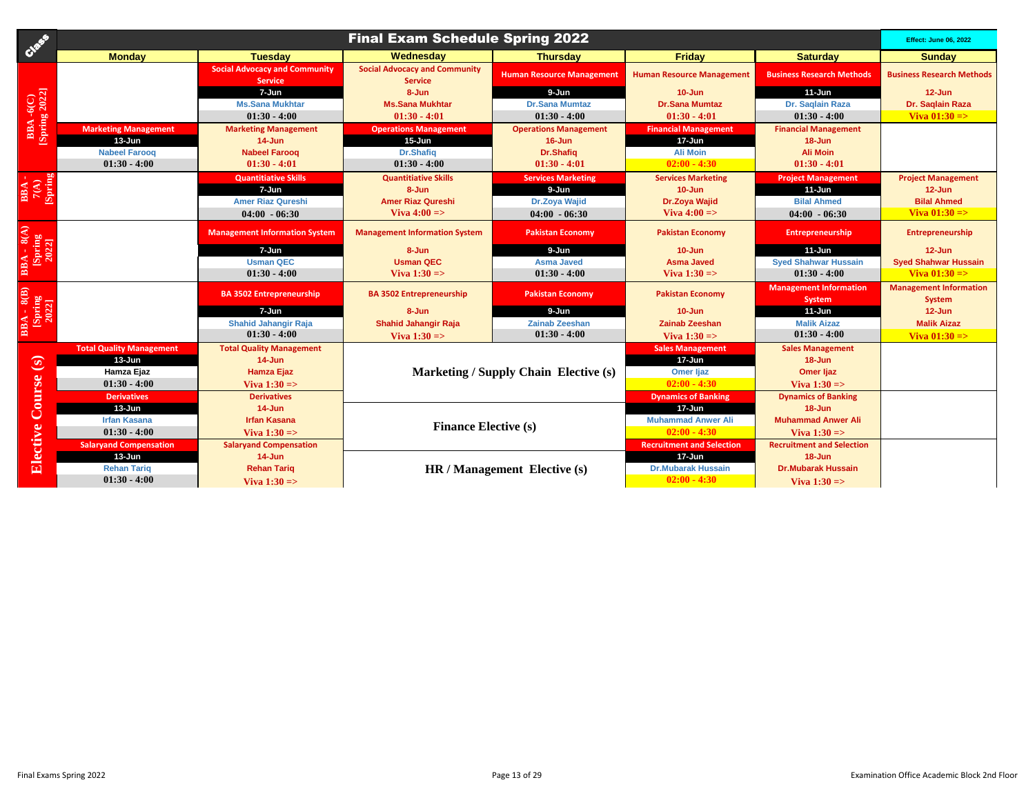| Creek                                        |                                 |                                                        | <b>Final Exam Schedule Spring 2022</b>                 |                                       |                                  |                                         | <b>Effect: June 06, 2022</b>            |
|----------------------------------------------|---------------------------------|--------------------------------------------------------|--------------------------------------------------------|---------------------------------------|----------------------------------|-----------------------------------------|-----------------------------------------|
|                                              | <b>Monday</b>                   | <b>Tuesday</b>                                         | Wednesdav                                              | <b>Thursday</b>                       | Friday                           | <b>Saturday</b>                         | <b>Sunday</b>                           |
|                                              |                                 | <b>Social Advocacy and Community</b><br><b>Service</b> | <b>Social Advocacy and Community</b><br><b>Service</b> | <b>Human Resource Management</b>      | <b>Human Resource Management</b> | <b>Business Research Methods</b>        | <b>Business Research Methods</b>        |
| <b>BBA-6(C)</b><br>[Spring 2022]             |                                 | 7-Jun                                                  | 8-Jun                                                  | 9-Jun                                 | $10 - Jun$                       | $11-Jun$                                | $12 - Jun$                              |
|                                              |                                 | <b>Ms.Sana Mukhtar</b>                                 | <b>Ms.Sana Mukhtar</b>                                 | <b>Dr.Sana Mumtaz</b>                 | <b>Dr.Sana Mumtaz</b>            | Dr. Saqlain Raza                        | Dr. Saglain Raza                        |
|                                              |                                 | $01:30 - 4:00$                                         | $01:30 - 4:01$                                         | $01:30 - 4:00$                        | $01:30 - 4:01$                   | $01:30 - 4:00$                          | Viva $01:30 = >$                        |
|                                              | <b>Marketing Management</b>     | <b>Marketing Management</b>                            | <b>Operations Management</b>                           | <b>Operations Management</b>          | <b>Financial Management</b>      | <b>Financial Management</b>             |                                         |
|                                              | $13 - Jun$                      | $14$ -Jun                                              | $15 - Jun$                                             | $16 - Jun$                            | 17-Jun                           | 18-Jun                                  |                                         |
|                                              | <b>Nabeel Faroog</b>            | <b>Nabeel Faroog</b>                                   | Dr.Shafig                                              | <b>Dr.Shafiq</b>                      | <b>Ali Moin</b>                  | <b>Ali Moin</b>                         |                                         |
|                                              | $01:30 - 4:00$                  | $01:30 - 4:01$                                         | $01:30 - 4:00$                                         | $01:30 - 4:01$                        | $02:00 - 4:30$                   | $01:30 - 4:01$                          |                                         |
|                                              |                                 | <b>Quantitiative Skills</b>                            | <b>Quantitiative Skills</b>                            | <b>Services Marketing</b>             | <b>Services Marketing</b>        | <b>Project Management</b>               | <b>Project Management</b>               |
| [Spring]<br>$\frac{\text{BBA}}{7(\text{A})}$ |                                 | 7-Jun                                                  | 8-Jun                                                  | 9-Jun                                 | $10 - Jun$                       | $11-Jun$                                | $12 - Jun$                              |
|                                              |                                 | <b>Amer Riaz Qureshi</b>                               | <b>Amer Riaz Qureshi</b>                               | <b>Dr.Zoya Wajid</b>                  | <b>Dr.Zoya Wajid</b>             | <b>Bilal Ahmed</b>                      | <b>Bilal Ahmed</b>                      |
|                                              |                                 | $04:00 - 06:30$                                        | Viva $4:00 \Rightarrow$                                | $04:00 - 06:30$                       | Viva $4:00 \Rightarrow$          | $04:00 - 06:30$                         | Viva $01:30 = >$                        |
| BBA - 8(A)<br>[Spring<br>2022]               |                                 | <b>Management Information System</b>                   | <b>Management Information System</b>                   | <b>Pakistan Economy</b>               | <b>Pakistan Economy</b>          | <b>Entrepreneurship</b>                 | <b>Entrepreneurship</b>                 |
|                                              |                                 | 7-Jun                                                  | 8-Jun                                                  | 9-Jun                                 | $10 - Jun$                       | $11-Jun$                                | $12 - Jun$                              |
|                                              |                                 | <b>Usman QEC</b>                                       | <b>Usman QEC</b>                                       | <b>Asma Javed</b>                     | <b>Asma Javed</b>                | <b>Syed Shahwar Hussain</b>             | <b>Syed Shahwar Hussain</b>             |
|                                              |                                 | $01:30 - 4:00$                                         | Viva $1:30 \Rightarrow$                                | $01:30 - 4:00$                        | Viva $1:30 = >$                  | $01:30 - 4:00$                          | Viva $01:30 = >$                        |
| BBA - 8(B)<br>[Spring<br>2022]               |                                 | <b>BA 3502 Entrepreneurship</b>                        | <b>BA 3502 Entrepreneurship</b>                        | <b>Pakistan Economy</b>               | <b>Pakistan Economy</b>          | <b>Management Information</b><br>System | <b>Management Information</b><br>System |
|                                              |                                 | 7-Jun                                                  | 8-Jun                                                  | 9-Jun                                 | $10 - Jun$                       | $11-Jun$                                | $12 - Jun$                              |
|                                              |                                 | <b>Shahid Jahangir Raja</b>                            | <b>Shahid Jahangir Raja</b>                            | <b>Zainab Zeeshan</b>                 | <b>Zainab Zeeshan</b>            | <b>Malik Aizaz</b>                      | <b>Malik Aizaz</b>                      |
|                                              |                                 | $01:30 - 4:00$                                         | Viva $1:30 \Rightarrow$                                | $01:30 - 4:00$                        | Viva $1:30 = >$                  | $01:30 - 4:00$                          | Viva $01:30 \Rightarrow$                |
|                                              | <b>Total Quality Management</b> | <b>Total Quality Management</b>                        |                                                        |                                       | <b>Sales Management</b>          | <b>Sales Management</b>                 |                                         |
|                                              | $13 - Jun$                      | $14 - Jun$                                             |                                                        |                                       | 17-Jun                           | $18 - Jun$                              |                                         |
|                                              | Hamza Ejaz                      | <b>Hamza Ejaz</b>                                      |                                                        | Marketing / Supply Chain Elective (s) | <b>Omer ljaz</b>                 | Omer ljaz                               |                                         |
|                                              | $01:30 - 4:00$                  | Viva $1:30 = >$                                        |                                                        |                                       | $02:00 - 4:30$                   | Viva $1:30 = >$                         |                                         |
|                                              | <b>Derivatives</b>              | <b>Derivatives</b>                                     |                                                        |                                       | <b>Dynamics of Banking</b>       | <b>Dynamics of Banking</b>              |                                         |
|                                              | $13 - Jun$                      | $14$ -Jun                                              |                                                        |                                       | 17-Jun                           | 18-Jun                                  |                                         |
|                                              | <b>Irfan Kasana</b>             | <b>Irfan Kasana</b>                                    | <b>Finance Elective (s)</b>                            |                                       | <b>Muhammad Anwer Ali</b>        | <b>Muhammad Anwer Ali</b>               |                                         |
| Elective Course (s)                          | $01:30 - 4:00$                  | Viva $1:30 =$                                          |                                                        |                                       | $02:00 - 4:30$                   | Viva $1:30 = >$                         |                                         |
|                                              | <b>Salaryand Compensation</b>   | <b>Salaryand Compensation</b>                          |                                                        |                                       | <b>Recruitment and Selection</b> | <b>Recruitment and Selection</b>        |                                         |
|                                              | 13-Jun                          | $14$ -Jun                                              |                                                        |                                       | 17-Jun                           | $18 - Jun$                              |                                         |
|                                              | <b>Rehan Tariq</b>              | <b>Rehan Tariq</b>                                     |                                                        | HR / Management Elective (s)          | <b>Dr.Mubarak Hussain</b>        | <b>Dr.Mubarak Hussain</b>               |                                         |
|                                              | $01:30 - 4:00$                  | Viva $1:30 = >$                                        |                                                        |                                       | $02:00 - 4:30$                   | Viva $1:30 = >$                         |                                         |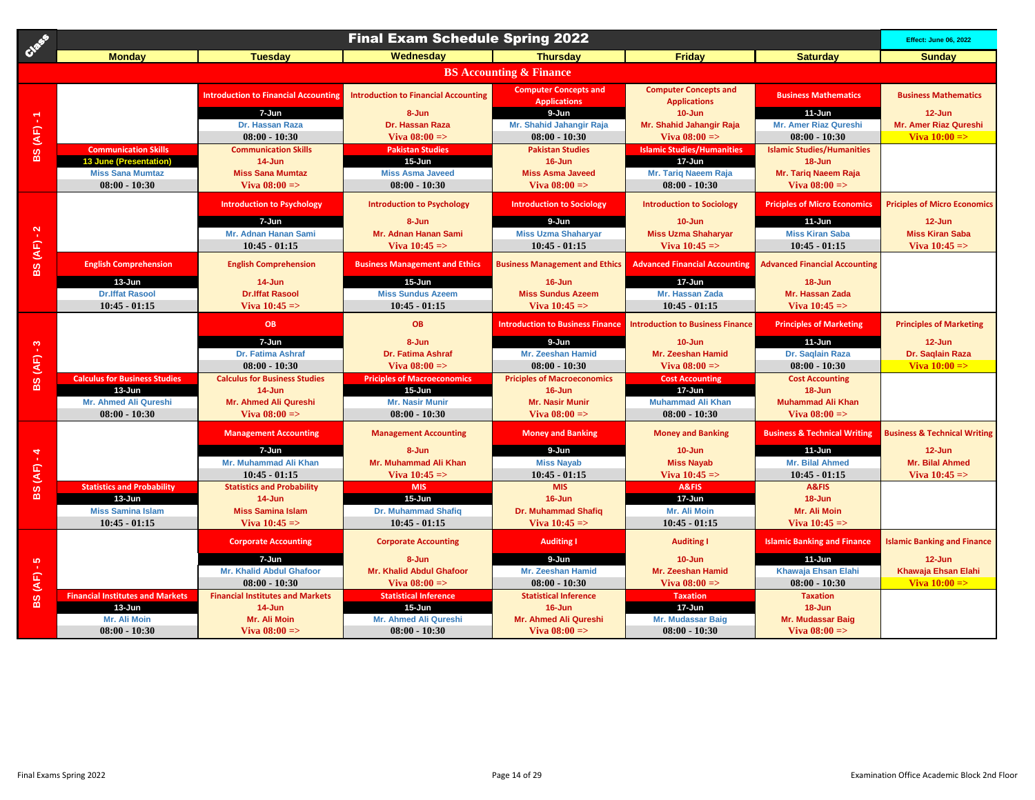| Case               |                                                    |                                                   | <b>Final Exam Schedule Spring 2022</b>           |                                                     |                                                     |                                          | <b>Effect: June 06, 2022</b>            |
|--------------------|----------------------------------------------------|---------------------------------------------------|--------------------------------------------------|-----------------------------------------------------|-----------------------------------------------------|------------------------------------------|-----------------------------------------|
|                    | <b>Monday</b>                                      | <b>Tuesdav</b>                                    | Wednesday                                        | <b>Thursdav</b>                                     | <b>Friday</b>                                       | <b>Saturday</b>                          | <b>Sunday</b>                           |
|                    |                                                    |                                                   |                                                  | <b>BS Accounting &amp; Finance</b>                  |                                                     |                                          |                                         |
|                    |                                                    | <b>Introduction to Financial Accounting</b>       | <b>Introduction to Financial Accounting</b>      | <b>Computer Concepts and</b><br><b>Applications</b> | <b>Computer Concepts and</b><br><b>Applications</b> | <b>Business Mathematics</b>              | <b>Business Mathematics</b>             |
|                    |                                                    | $7 - Jun$                                         | 8-Jun                                            | 9-Jun                                               | $10 - Jun$                                          | $11-Jun$                                 | $12 - Jun$                              |
| <b>BS (AF)-1</b>   |                                                    | Dr. Hassan Raza<br>$08:00 - 10:30$                | <b>Dr. Hassan Raza</b><br>Viva $08:00 =$         | Mr. Shahid Jahangir Raja<br>$08:00 - 10:30$         | Mr. Shahid Jahangir Raja<br>Viva $08:00 \approx$    | Mr. Amer Riaz Qureshi<br>$08:00 - 10:30$ | Mr. Amer Riaz Qureshi<br>Viva $10:00 =$ |
|                    | <b>Communication Skills</b>                        | <b>Communication Skills</b>                       | <b>Pakistan Studies</b>                          | <b>Pakistan Studies</b>                             | <b>Islamic Studies/Humanities</b>                   | <b>Islamic Studies/Humanities</b>        |                                         |
|                    | <b>13 June (Presentation</b>                       | 14-Jun                                            | 15-Jun                                           | $16 - Jun$                                          | 17-Jun                                              | 18-Jun                                   |                                         |
|                    | <b>Miss Sana Mumtaz</b>                            | <b>Miss Sana Mumtaz</b>                           | <b>Miss Asma Javeed</b>                          | <b>Miss Asma Javeed</b>                             | Mr. Tariq Naeem Raja                                | Mr. Tariq Naeem Raja                     |                                         |
|                    | $08:00 - 10:30$                                    | Viva $08:00 =$                                    | $08:00 - 10:30$                                  | Viva $08:00 =$                                      | $08:00 - 10:30$                                     | Viva $08:00 =$                           |                                         |
|                    |                                                    | <b>Introduction to Psychology</b>                 | <b>Introduction to Psychology</b>                | <b>Introduction to Sociology</b>                    | <b>Introduction to Sociology</b>                    | <b>Priciples of Micro Economics</b>      | <b>Priciples of Micro Economics</b>     |
|                    |                                                    | 7-Jun                                             | 8-Jun                                            | 9-Jun                                               | $10 - Jun$                                          | $11-Jun$                                 | $12 - Jun$                              |
|                    |                                                    | Mr. Adnan Hanan Sami                              | Mr. Adnan Hanan Sami                             | <b>Miss Uzma Shaharyar</b>                          | <b>Miss Uzma Shaharyar</b>                          | <b>Miss Kiran Saba</b>                   | <b>Miss Kiran Saba</b>                  |
|                    |                                                    | $10:45 - 01:15$                                   | Viva $10:45 = >$                                 | $10:45 - 01:15$                                     | Viva $10:45 = >$                                    | $10:45 - 01:15$                          | Viva $10:45 = >$                        |
| <b>BS</b> (AF) - 2 | <b>English Comprehension</b>                       | <b>English Comprehension</b>                      | <b>Business Management and Ethics</b>            | <b>Business Management and Ethics</b>               | <b>Advanced Financial Accounting</b>                | <b>Advanced Financial Accounting</b>     |                                         |
|                    | 13-Jun<br><b>Dr.Iffat Rasool</b>                   | 14-Jun<br><b>Dr.Iffat Rasool</b>                  | $15 - Jun$<br><b>Miss Sundus Azeem</b>           | $16 - Jun$<br><b>Miss Sundus Azeem</b>              | 17-Jun<br><b>Mr. Hassan Zada</b>                    | $18 - Jun$<br><b>Mr. Hassan Zada</b>     |                                         |
|                    | $10:45 - 01:15$                                    | Viva $10:45 =$                                    | $10:45 - 01:15$                                  | Viva $10:45 = >$                                    | $10:45 - 01:15$                                     | Viva $10:45 =$                           |                                         |
|                    |                                                    |                                                   |                                                  |                                                     |                                                     |                                          |                                         |
|                    |                                                    | OB                                                | <b>OB</b>                                        | <b>Introduction to Business Finance</b>             | <b>Introduction to Business Finance</b>             | <b>Principles of Marketing</b>           | <b>Principles of Marketing</b>          |
| ೆ                  |                                                    | 7-Jun                                             | 8-Jun                                            | 9-Jun                                               | $10 - Jun$                                          | $11-Jun$                                 | 12-Jun                                  |
|                    |                                                    | <b>Dr. Fatima Ashraf</b>                          | <b>Dr. Fatima Ashraf</b>                         | Mr. Zeeshan Hamid                                   | <b>Mr. Zeeshan Hamid</b>                            | Dr. Saglain Raza                         | Dr. Saglain Raza                        |
| BS (AF)            |                                                    | $08:00 - 10:30$                                   | Viva $08:00 =$                                   | $08:00 - 10:30$                                     | Viva $08:00 =$                                      | $08:00 - 10:30$                          | Viva $10:00 = >$                        |
|                    | <b>Calculus for Business Studies</b><br>$13 - Jun$ | <b>Calculus for Business Studies</b><br>14-Jun    | <b>Priciples of Macroeconomics</b><br>$15 - Jun$ | <b>Priciples of Macroeconomics</b><br>$16 - Jun$    | <b>Cost Accounting</b><br>17-Jun                    | <b>Cost Accounting</b><br>18-Jun         |                                         |
|                    | Mr. Ahmed Ali Qureshi                              | Mr. Ahmed Ali Qureshi                             | <b>Mr. Nasir Munir</b>                           | <b>Mr. Nasir Munir</b>                              | <b>Muhammad Ali Khan</b>                            | <b>Muhammad Ali Khan</b>                 |                                         |
|                    | $08:00 - 10:30$                                    | Viva $08:00 =$                                    | $08:00 - 10:30$                                  | Viva $08:00 =$                                      | $08:00 - 10:30$                                     | Viva $08:00 =$                           |                                         |
|                    |                                                    | <b>Management Accounting</b>                      | <b>Management Accounting</b>                     | <b>Money and Banking</b>                            | <b>Money and Banking</b>                            | <b>Business &amp; Technical Writing</b>  | <b>Business &amp; Technical Writing</b> |
|                    |                                                    | 7-Jun                                             | 8-Jun                                            | 9-Jun                                               | $10 - Jun$                                          | $11-Jun$                                 | $12 - Jun$                              |
|                    |                                                    | Mr. Muhammad Ali Khan                             | Mr. Muhammad Ali Khan                            | <b>Miss Nayab</b>                                   | <b>Miss Nayab</b>                                   | <b>Mr. Bilal Ahmed</b>                   | <b>Mr. Bilal Ahmed</b>                  |
| <b>BS (AF) - 4</b> |                                                    | $10:45 - 01:15$                                   | Viva $10:45 = >$                                 | $10:45 - 01:15$                                     | Viva $10:45 = >$                                    | $10:45 - 01:15$                          | Viva $10:45 = >$                        |
|                    | <b>Statistics and Probability</b><br>13-Jun        | <b>Statistics and Probability</b><br>14-Jun       | <b>MIS</b><br>$15 - Jun$                         | <b>MIS</b><br>$16 - Jun$                            | A&FIS<br>17-Jun                                     | A&FIS<br>18-Jun                          |                                         |
|                    | <b>Miss Samina Islam</b>                           | <b>Miss Samina Islam</b>                          | <b>Dr. Muhammad Shafiq</b>                       | <b>Dr. Muhammad Shafiq</b>                          | Mr. Ali Moin                                        | Mr. Ali Moin                             |                                         |
|                    | $10:45 - 01:15$                                    | Viva $10:45 = >$                                  | $10:45 - 01:15$                                  | Viva $10:45 = >$                                    | $10:45 - 01:15$                                     | Viva $10:45 =$                           |                                         |
|                    |                                                    |                                                   |                                                  |                                                     |                                                     |                                          |                                         |
|                    |                                                    | <b>Corporate Accounting</b>                       | <b>Corporate Accounting</b>                      | <b>Auditing I</b>                                   | <b>Auditing I</b>                                   | <b>Islamic Banking and Finance</b>       | <b>Islamic Banking and Finance</b>      |
|                    |                                                    | 7-Jun                                             | 8-Jun                                            | 9-Jun                                               | $10 - Jun$                                          | $11 - Jun$                               | 12-Jun                                  |
|                    |                                                    | <b>Mr. Khalid Abdul Ghafoor</b>                   | Mr. Khalid Abdul Ghafoor                         | Mr. Zeeshan Hamid                                   | Mr. Zeeshan Hamid                                   | Khawaja Ehsan Elahi                      | Khawaja Ehsan Elahi                     |
| BS (AF) - 5        |                                                    | $08:00 - 10:30$                                   | Viva $08:00 =$                                   | $08:00 - 10:30$                                     | Viva $08:00 =$                                      | $08:00 - 10:30$                          | Viva $10:00 =$                          |
|                    | <b>Financial Institutes and Markets</b><br>13-Jun  | <b>Financial Institutes and Markets</b><br>14-Jun | <b>Statistical Inference</b><br>15-Jun           | <b>Statistical Inference</b><br>$16 - Jun$          | <b>Taxation</b><br>17-Jun                           | <b>Taxation</b><br>18-Jun                |                                         |
|                    | Mr. Ali Moin                                       | Mr. Ali Moin                                      | <b>Mr. Ahmed Ali Qureshi</b>                     | <b>Mr. Ahmed Ali Qureshi</b>                        | Mr. Mudassar Baig                                   | Mr. Mudassar Baig                        |                                         |
|                    | $08:00 - 10:30$                                    | Viva $08:00 =$                                    | $08:00 - 10:30$                                  | Viva $08:00 =$                                      | $08:00 - 10:30$                                     | Viva $08:00 =$                           |                                         |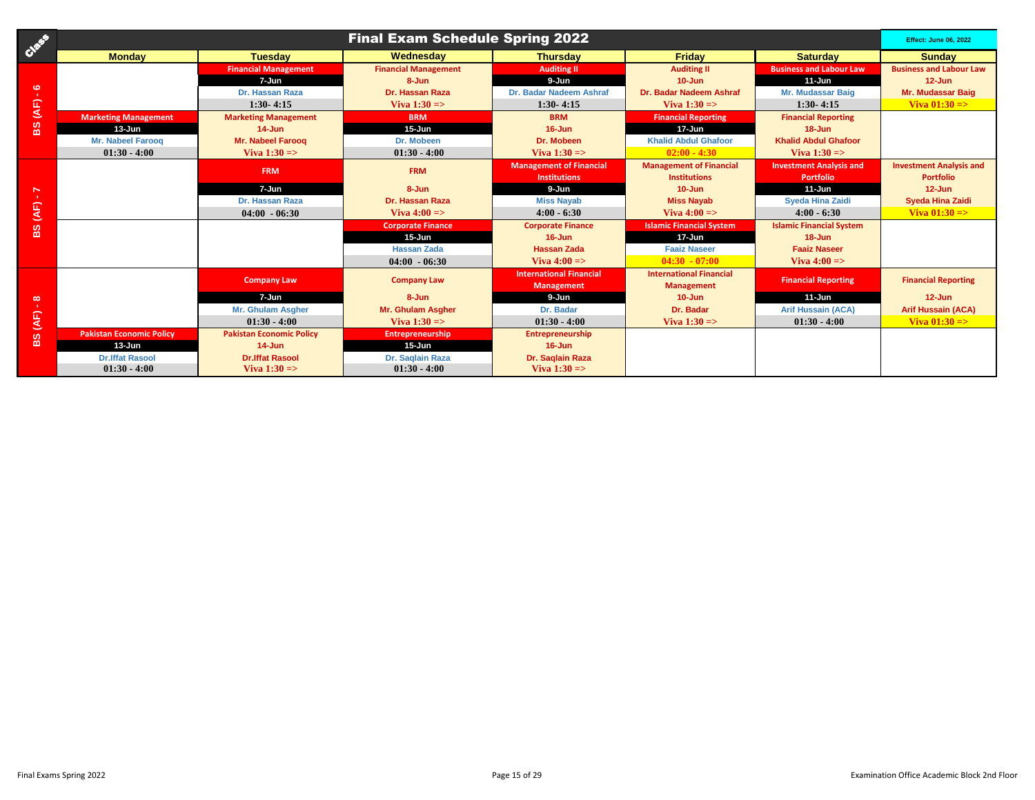| Case                        | <b>Final Exam Schedule Spring 2022</b> |                                 |                             |                                |                                 |                                 |                                |  |
|-----------------------------|----------------------------------------|---------------------------------|-----------------------------|--------------------------------|---------------------------------|---------------------------------|--------------------------------|--|
|                             | <b>Monday</b>                          | <b>Tuesday</b>                  | Wednesday                   | <b>Thursday</b>                | <b>Friday</b>                   | <b>Saturday</b>                 | <b>Sunday</b>                  |  |
|                             |                                        | <b>Financial Management</b>     | <b>Financial Management</b> | <b>Auditing II</b>             | <b>Auditing II</b>              | <b>Business and Labour Law</b>  | <b>Business and Labour Law</b> |  |
| ဖ<br><b>ALC</b>             |                                        | 7-Jun                           | 8-Jun                       | 9-Jun                          | $10 - Jun$                      | $11 - Jun$                      | $12 - Jun$                     |  |
|                             |                                        | Dr. Hassan Raza                 | Dr. Hassan Raza             | Dr. Badar Nadeem Ashraf        | Dr. Badar Nadeem Ashraf         | Mr. Mudassar Baig               | Mr. Mudassar Baig              |  |
| $\overline{\mathcal{A}}$ F) |                                        | $1:30 - 4:15$                   | Viva $1:30 \Rightarrow$     | $1:30 - 4:15$                  | Viva $1:30 \Rightarrow$         | $1:30 - 4:15$                   | Viva $01:30 \Rightarrow$       |  |
|                             | <b>Marketing Management</b>            | <b>Marketing Management</b>     | <b>BRM</b>                  | <b>BRM</b>                     | <b>Financial Reporting</b>      | <b>Financial Reporting</b>      |                                |  |
| 8S                          | $13 - Jun$                             | $14 - Jun$                      | $15 - Jun$                  | $16 - Jun$                     | $17 - Jun$                      | $18 - Jun$                      |                                |  |
|                             | <b>Mr. Nabeel Faroog</b>               | Mr. Nabeel Faroog               | Dr. Mobeen                  | Dr. Mobeen                     | <b>Khalid Abdul Ghafoor</b>     | <b>Khalid Abdul Ghafoor</b>     |                                |  |
|                             | $01:30 - 4:00$                         | Viva $1:30 \Rightarrow$         | $01:30 - 4:00$              | Viva $1:30 \Rightarrow$        | $02:00 - 4:30$                  | Viva $1:30 \Rightarrow$         |                                |  |
|                             |                                        | <b>FRM</b>                      | <b>FRM</b>                  | <b>Management of Financial</b> | <b>Management of Financial</b>  | <b>Investment Analysis and</b>  | <b>Investment Analysis and</b> |  |
|                             |                                        |                                 |                             | <b>Institutions</b>            | <b>Institutions</b>             | <b>Portfolio</b>                | <b>Portfolio</b>               |  |
| $\overline{ }$              |                                        | 7-Jun                           | 8-Jun                       | 9-Jun                          | $10 - Jun$                      | $11 - Jun$                      | $12 - Jun$                     |  |
| <b>TEL:</b>                 |                                        | Dr. Hassan Raza                 | Dr. Hassan Raza             | <b>Miss Nayab</b>              | <b>Miss Nayab</b>               | <b>Sveda Hina Zaidi</b>         | <b>Syeda Hina Zaidi</b>        |  |
| (AF)                        |                                        | $04:00 - 06:30$                 | Viva $4:00 \Rightarrow$     | $4:00 - 6:30$                  | Viva $4:00 \Rightarrow$         | $4:00 - 6:30$                   | Viva $01:30 = >$               |  |
| ဖ                           |                                        |                                 | <b>Corporate Finance</b>    | <b>Corporate Finance</b>       | <b>Islamic Financial System</b> | <b>Islamic Financial System</b> |                                |  |
| $\mathbf{m}$                |                                        |                                 | $15 - Jun$                  | $16 - Jun$                     | $17 - Jun$                      | $18 - Jun$                      |                                |  |
|                             |                                        |                                 | <b>Hassan Zada</b>          | <b>Hassan Zada</b>             | <b>Faaiz Naseer</b>             | <b>Faaiz Naseer</b>             |                                |  |
|                             |                                        |                                 | $04:00 - 06:30$             | Viva $4:00 \Rightarrow$        | $04:30 - 07:00$                 | Viva $4:00 \Rightarrow$         |                                |  |
|                             |                                        | <b>Company Law</b>              | <b>Company Law</b>          | <b>International Financial</b> | <b>International Financial</b>  | <b>Financial Reporting</b>      | <b>Financial Reporting</b>     |  |
|                             |                                        |                                 |                             | <b>Management</b>              | <b>Management</b>               |                                 |                                |  |
| $\infty$<br>-11             |                                        | $7 - Jun$                       | 8-Jun                       | 9-Jun                          | $10 - Jun$                      | $11 - Jun$                      | $12 - Jun$                     |  |
|                             |                                        | Mr. Ghulam Asgher               | Mr. Ghulam Asgher           | Dr. Badar                      | Dr. Badar                       | <b>Arif Hussain (ACA)</b>       | <b>Arif Hussain (ACA)</b>      |  |
| (AF)                        |                                        | $01:30 - 4:00$                  | Viva $1:30 \Rightarrow$     | $01:30 - 4:00$                 | Viva $1:30 = >$                 | $01:30 - 4:00$                  | Viva $01:30 = >$               |  |
| ဖာ                          | <b>Pakistan Economic Policy</b>        | <b>Pakistan Economic Policy</b> | <b>Entrepreneurship</b>     | <b>Entrepreneurship</b>        |                                 |                                 |                                |  |
| $\mathbf{m}$                | $13 - Jun$                             | $14 - Jun$                      | $15 - Jun$                  | $16 - Jun$                     |                                 |                                 |                                |  |
|                             | <b>Dr.Iffat Rasool</b>                 | <b>Dr.Iffat Rasool</b>          | Dr. Saglain Raza            | Dr. Saglain Raza               |                                 |                                 |                                |  |
|                             | $01:30 - 4:00$                         | Viva $1:30 \Rightarrow$         | $01:30 - 4:00$              | Viva $1:30 \Rightarrow$        |                                 |                                 |                                |  |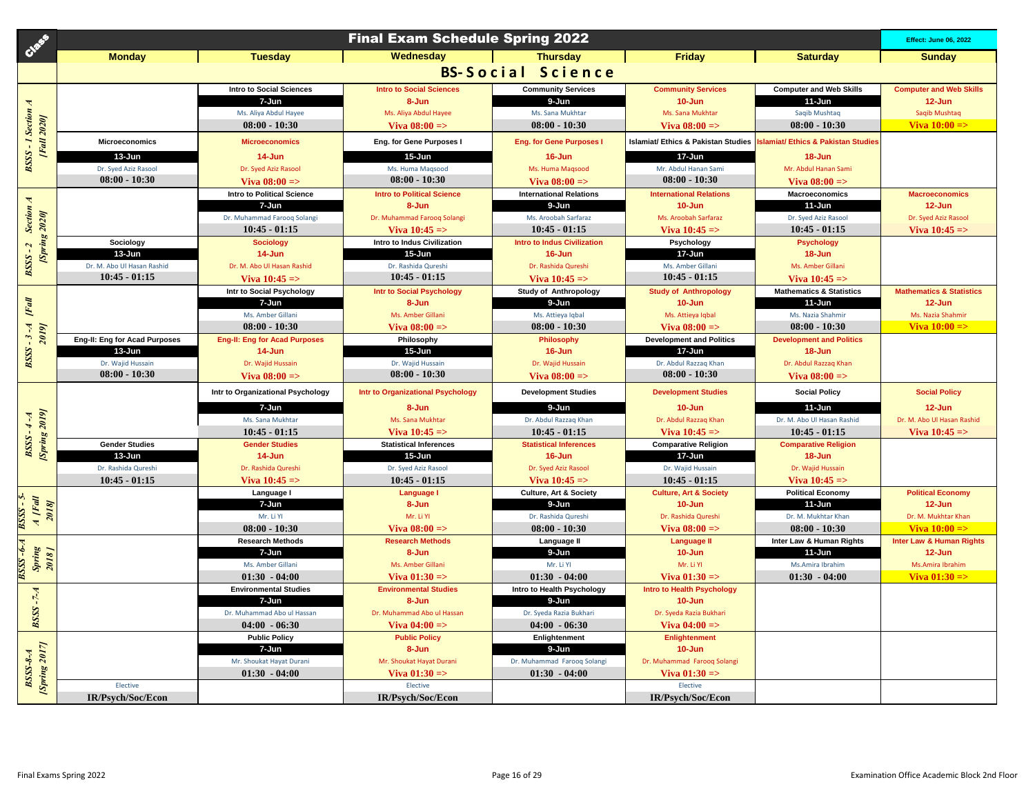| Case                                      |                                        |                                          | <b>Final Exam Schedule Spring 2022</b>    |                                                     |                                                |                                            | <b>Effect: June 06, 2022</b>        |
|-------------------------------------------|----------------------------------------|------------------------------------------|-------------------------------------------|-----------------------------------------------------|------------------------------------------------|--------------------------------------------|-------------------------------------|
|                                           | <b>Monday</b>                          | <b>Tuesday</b>                           | Wednesdav                                 | <b>Thursdav</b>                                     | <b>Friday</b>                                  | <b>Saturday</b>                            | <b>Sunday</b>                       |
|                                           |                                        |                                          |                                           | <b>BS-Social Science</b>                            |                                                |                                            |                                     |
|                                           |                                        | <b>Intro to Social Sciences</b>          | <b>Intro to Social Sciences</b>           | <b>Community Services</b>                           | <b>Community Services</b>                      | <b>Computer and Web Skills</b>             | <b>Computer and Web Skills</b>      |
|                                           |                                        | 7-Jun                                    | 8-Jun                                     | 9-Jun                                               | $10 - Jun$                                     | 11-Jun                                     | $12 - Jun$                          |
|                                           |                                        | Ms. Aliya Abdul Hayee                    | Ms. Aliya Abdul Hayee                     | Ms. Sana Mukhtar                                    | Ms. Sana Mukhtar                               | Saqib Mushtaq                              | Saqib Mushtaq                       |
|                                           |                                        | $08:00 - 10:30$                          | Viva $08:00 =$                            | $08:00 - 10:30$                                     | Viva $08:00 =$                                 | $08:00 - 10:30$                            | Viva $10:00 \Rightarrow$            |
| <b>BSSS-1 Section A</b><br>[Fall 2020]    | <b>Microeconomics</b>                  | <b>Microeconomics</b>                    | Eng. for Gene Purposes I                  | <b>Eng. for Gene Purposes I</b>                     | <b>Islamiat/ Ethics &amp; Pakistan Studies</b> | slamiat/ Ethics & Pakistan Studies         |                                     |
|                                           | $13 - Jun$                             | 14-Jun                                   | 15-Jun                                    | 16-Jun                                              | 17-Jun                                         | 18-Jun                                     |                                     |
|                                           | Dr. Syed Aziz Rasool                   | Dr. Syed Aziz Rasool                     | Ms. Huma Magsood                          | Ms. Huma Magsood                                    | Mr. Abdul Hanan Sami                           | Mr. Abdul Hanan Sami                       |                                     |
|                                           | $08:00 - 10:30$                        | Viva $08:00 =$                           | $08:00 - 10:30$                           | Viva $08:00 =$                                      | $08:00 - 10:30$                                | Viva $08:00 =$                             |                                     |
|                                           |                                        | <b>Intro to Political Science</b>        | <b>Intro to Political Science</b>         | <b>International Relations</b>                      | <b>International Relations</b>                 | Macroeconomics                             | <b>Macroeconomics</b>               |
|                                           |                                        | 7-Jun                                    | 8-Jun                                     | 9-Jun                                               | $10 - Jun$                                     | $11$ -Jun                                  | $12 - Jun$                          |
|                                           |                                        | Dr. Muhammad Farooq Solangi              | Dr. Muhammad Farooq Solangi               | Ms. Aroobah Sarfaraz                                | Ms. Aroobah Sarfaraz                           | Dr. Syed Aziz Rasool                       | Dr. Syed Aziz Rasool                |
|                                           |                                        | $10:45 - 01:15$                          | Viva $10:45 = >$                          | $10:45 - 01:15$                                     | Viva $10:45 =$                                 | $10:45 - 01:15$                            | Viva $10:45 =$                      |
| BSSS-2 Section A<br><b>Spring 2020</b>    | Sociology<br>13-Jun                    | <b>Sociology</b>                         | Intro to Indus Civilization<br>$15 - Jun$ | <b>Intro to Indus Civilization</b><br>16-Jun        | Psychology<br>17-Jun                           | <b>Psychology</b>                          |                                     |
|                                           | Dr. M. Abo Ul Hasan Rashid             | $14 - Jun$<br>Dr. M. Abo Ul Hasan Rashid | Dr. Rashida Qureshi                       | Dr. Rashida Qureshi                                 | Ms. Amber Gillani                              | 18-Jun<br>Ms. Amber Gillani                |                                     |
|                                           | $10:45 - 01:15$                        | Viva $10:45 =$                           | $10:45 - 01:15$                           | Viva $10:45 =$                                      | $10:45 - 01:15$                                | Viva $10:45 =$                             |                                     |
|                                           |                                        | Intr to Social Psychology                | Intr to Social Psychology                 | <b>Study of Anthropology</b>                        | <b>Study of Anthropology</b>                   | <b>Mathematics &amp; Statistics</b>        | <b>Mathematics &amp; Statistics</b> |
|                                           |                                        | 7-Jun                                    | 8-Jun                                     | 9-Jun                                               | $10 - Jun$                                     | $11 - Jun$                                 | $12 - Jun$                          |
| [Fall                                     |                                        | Ms. Amber Gillani                        | Ms. Amber Gillani                         | Ms. Attieya Igbal                                   | Ms. Attieya Iqbal                              | Ms. Nazia Shahmir                          | Ms. Nazia Shahmir                   |
|                                           |                                        | $08:00 - 10:30$                          | Viva $08:00 =$                            | $08:00 - 10:30$                                     | Viva $08:00 =$                                 | $08:00 - 10:30$                            | Viva $10:00 =$                      |
| $BSSS - 3-A$<br>2019                      | Eng-II: Eng for Acad Purposes          | <b>Eng-II: Eng for Acad Purposes</b>     | Philosophy                                | Philosophy                                          | <b>Development and Politics</b>                | <b>Development and Politics</b>            |                                     |
|                                           | 13-Jun                                 | $14$ -Jun                                | 15-Jun                                    | 16-Jun                                              | 17-Jun                                         | 18-Jun                                     |                                     |
|                                           | Dr. Wajid Hussain                      | Dr. Wajid Hussain                        | Dr. Wajid Hussain                         | Dr. Wajid Hussain                                   | Dr. Abdul Razzag Khan                          | Dr. Abdul Razzag Khan                      |                                     |
|                                           | $08:00 - 10:30$                        | Viva $08:00 =$                           | $08:00 - 10:30$                           | Viva $08:00 =$                                      | $08:00 - 10:30$                                | Viva $08:00 =$                             |                                     |
|                                           |                                        | Intr to Organizational Psychology        | Intr to Organizational Psychology         | <b>Development Studies</b>                          | <b>Development Studies</b>                     | <b>Social Policy</b>                       | <b>Social Policy</b>                |
|                                           |                                        | 7-Jun                                    | 8-Jun                                     | 9-Jun                                               | $10 - Jun$                                     | 11-Jun                                     | $12 - Jun$                          |
|                                           |                                        | Ms. Sana Mukhtar                         | Ms. Sana Mukhtar                          | Dr. Abdul Razzag Khan                               | Dr. Abdul Razzaq Khan                          | Dr. M. Abo Ul Hasan Rashid                 | Dr. M. Abo Ul Hasan Rashid          |
|                                           |                                        | $10:45 - 01:15$                          | Viva $10:45 = >$                          | $10:45 - 01:15$                                     | Viva $10:45 =$                                 | $10:45 - 01:15$                            | Viva $10:45 =$                      |
| BSSS - 4 - A<br>[Spring 2019]             | <b>Gender Studies</b>                  | <b>Gender Studies</b>                    | <b>Statistical Inferences</b>             | <b>Statistical Inferences</b>                       | <b>Comparative Religion</b>                    | <b>Comparative Religion</b>                |                                     |
|                                           | 13-Jun                                 | 14-Jun                                   | $15 - Jun$                                | $16 - Jun$                                          | 17-Jun                                         | 18-Jun                                     |                                     |
|                                           | Dr. Rashida Qureshi<br>$10:45 - 01:15$ | Dr. Rashida Qureshi                      | Dr. Syed Aziz Rasool<br>$10:45 - 01:15$   | Dr. Syed Aziz Rasool                                | Dr. Wajid Hussain<br>$10:45 - 01:15$           | Dr. Wajid Hussain                          |                                     |
|                                           |                                        | Viva $10:45 =$<br>Language I             | <b>Language I</b>                         | Viva $10:45 =$<br><b>Culture, Art &amp; Society</b> | <b>Culture, Art &amp; Society</b>              | Viva $10:45 =$<br><b>Political Economy</b> | <b>Political Economy</b>            |
| BSSS -6-A   BSSS - 5-<br>Spring   A  Fall |                                        | 7-Jun                                    | 8-Jun                                     | 9-Jun                                               | $10 - Jun$                                     | 11-Jun                                     | $12 - Jun$                          |
| 2018]                                     |                                        | Mr. Li Yl                                | Mr. Li Yl                                 | Dr. Rashida Qureshi                                 | Dr. Rashida Qureshi                            | Dr. M. Mukhtar Khan                        | Dr. M. Mukhtar Khan                 |
|                                           |                                        | $08:00 - 10:30$                          | Viva $08:00 =$                            | $08:00 - 10:30$                                     | Viva $08:00 =$                                 | $08:00 - 10:30$                            | Viva $10:00 =$                      |
|                                           |                                        | <b>Research Methods</b>                  | <b>Research Methods</b>                   | Language II                                         | <b>Language II</b>                             | Inter Law & Human Rights                   | <b>Inter Law &amp; Human Rights</b> |
|                                           |                                        | 7-Jun                                    | 8-Jun                                     | 9-Jun                                               | $10 - Jun$                                     | $11$ -Jun                                  | $12 - Jun$                          |
| 2018]                                     |                                        | Ms. Amber Gillani                        | Ms. Amber Gillani                         | Mr. Li Yl                                           | Mr. Li Yl                                      | Ms.Amira Ibrahim                           | Ms.Amira Ibrahim                    |
|                                           |                                        | $01:30 - 04:00$                          | Viva $01:30 = >$                          | $01:30 - 04:00$                                     | Viva $01:30 =$                                 | $01:30 - 04:00$                            | Viva $01:30 = >$                    |
|                                           |                                        | <b>Environmental Studies</b>             | <b>Environmental Studies</b>              | Intro to Health Psychology                          | <b>Intro to Health Psychology</b>              |                                            |                                     |
| <b>BSSS-7-A</b>                           |                                        | 7-Jun                                    | 8-Jun                                     | 9-Jun                                               | $10 - Jun$                                     |                                            |                                     |
|                                           |                                        | Dr. Muhammad Abo ul Hassan               | Dr. Muhammad Abo ul Hassan                | Dr. Syeda Razia Bukhari                             | Dr. Syeda Razia Bukhari                        |                                            |                                     |
|                                           |                                        | $04:00 - 06:30$                          | Viva $04:00 =$                            | $04:00 - 06:30$                                     | Viva $04:00 =$                                 |                                            |                                     |
|                                           |                                        | <b>Public Policy</b>                     | <b>Public Policy</b>                      | Enlightenment                                       | Enlightenment<br>$10 - Jun$                    |                                            |                                     |
|                                           |                                        | 7-Jun<br>Mr. Shoukat Hayat Durani        | 8-Jun<br>Mr. Shoukat Hayat Durani         | 9-Jun<br>Dr. Muhammad Farooq Solangi                | Dr. Muhammad Farooq Solangi                    |                                            |                                     |
| <b>Spring 2017</b><br>$BSSS-8-A$          |                                        | $01:30 - 04:00$                          | Viva $01:30 =$                            | $01:30 - 04:00$                                     | Viva $01:30 =$                                 |                                            |                                     |
|                                           | Elective                               |                                          | Elective                                  |                                                     | Elective                                       |                                            |                                     |
|                                           | <b>IR/Psych/Soc/Econ</b>               |                                          | <b>IR/Psych/Soc/Econ</b>                  |                                                     | <b>IR/Psych/Soc/Econ</b>                       |                                            |                                     |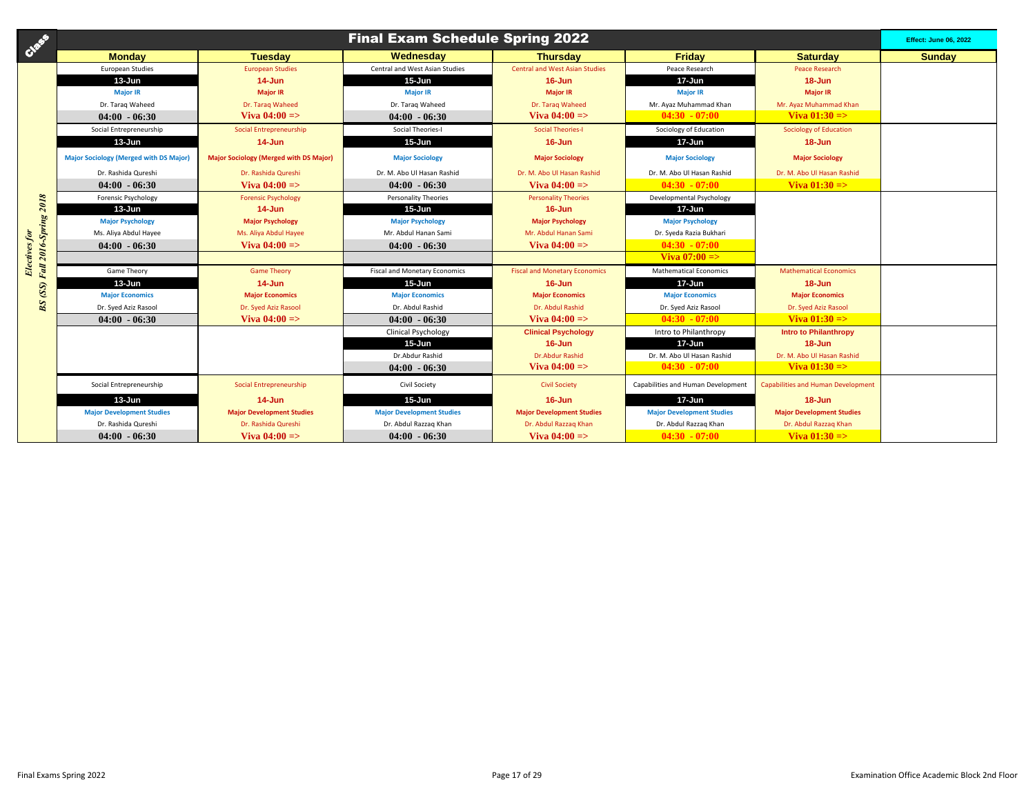| Creek                                  |                                               |                                               | <b>Final Exam Schedule Spring 2022</b> |                                       |                                    |                                           | <b>Effect: June 06, 2022</b> |
|----------------------------------------|-----------------------------------------------|-----------------------------------------------|----------------------------------------|---------------------------------------|------------------------------------|-------------------------------------------|------------------------------|
|                                        | <b>Monday</b>                                 | <b>Tuesdav</b>                                | Wednesday                              | <b>Thursdav</b>                       | Fridav                             | <b>Saturdav</b>                           | <b>Sunday</b>                |
|                                        | <b>European Studies</b>                       | <b>European Studies</b>                       | Central and West Asian Studies         | <b>Central and West Asian Studies</b> | Peace Research                     | <b>Peace Research</b>                     |                              |
|                                        | $13 - Jun$                                    | $14 - Jun$                                    | $15 - Jun$                             | $16 - Jun$                            | $17 - Jun$                         | $18 - Jun$                                |                              |
|                                        | <b>Major IR</b>                               | <b>Major IR</b>                               | <b>Major IR</b>                        | <b>Major IR</b>                       | <b>Major IR</b>                    | <b>Major IR</b>                           |                              |
|                                        | Dr. Taraq Waheed                              | Dr. Taraq Waheed                              | Dr. Taraq Waheed                       | Dr. Taraq Waheed                      | Mr. Ayaz Muhammad Khan             | Mr. Ayaz Muhammad Khan                    |                              |
|                                        | $04:00 - 06:30$                               | Viva $04:00 = >$                              | $04:00 - 06:30$                        | Viva $04:00 = >$                      | $04:30 - 07:00$                    | Viva $01:30 = >$                          |                              |
|                                        | Social Entrepreneurship                       | Social Entrepreneurship                       | Social Theories-I                      | <b>Social Theories-I</b>              | Sociology of Education             | <b>Sociology of Education</b>             |                              |
|                                        | $13 - Jun$                                    | $14 - Jun$                                    | $15 - Jun$                             | 16-Jun                                | 17-Jun                             | $18 - Jun$                                |                              |
|                                        | <b>Major Sociology (Merged with DS Major)</b> | <b>Major Sociology (Merged with DS Major)</b> | <b>Major Sociology</b>                 | <b>Major Sociology</b>                | <b>Major Sociology</b>             | <b>Major Sociology</b>                    |                              |
|                                        | Dr. Rashida Qureshi                           | Dr. Rashida Qureshi                           | Dr. M. Abo Ul Hasan Rashid             | Dr. M. Abo Ul Hasan Rashid            | Dr. M. Abo Ul Hasan Rashid         | Dr. M. Abo Ul Hasan Rashid                |                              |
|                                        | $04:00 - 06:30$                               | Viva $04:00 =$                                | $04:00 - 06:30$                        | Viva $04:00 =$                        | $04:30 - 07:00$                    | Viva $01:30 = >$                          |                              |
|                                        | Forensic Psychology                           | <b>Forensic Psychology</b>                    | Personality Theories                   | <b>Personality Theories</b>           | Developmental Psychology           |                                           |                              |
|                                        | 13-Jun                                        | $14 - Jun$                                    | $15 - Jun$                             | $16 - Jun$                            | $17 - Jun$                         |                                           |                              |
|                                        | <b>Major Psychology</b>                       | <b>Major Psychology</b>                       | <b>Major Psychology</b>                | <b>Major Psychology</b>               | <b>Major Psychology</b>            |                                           |                              |
|                                        | Ms. Aliya Abdul Hayee                         | Ms. Aliya Abdul Hayee                         | Mr. Abdul Hanan Sami                   | Mr. Abdul Hanan Sami                  | Dr. Syeda Razia Bukhari            |                                           |                              |
|                                        | $04:00 - 06:30$                               | Viva $04:00 = >$                              | $04:00 - 06:30$                        | Viva $04:00 =$                        | $04:30 - 07:00$                    |                                           |                              |
| Fall 2016-Spring 2018<br>Electives for |                                               |                                               |                                        |                                       | Viva $07:00 =$                     |                                           |                              |
|                                        | Game Theory                                   | <b>Game Theory</b>                            | <b>Fiscal and Monetary Economics</b>   | <b>Fiscal and Monetary Economics</b>  | <b>Mathematical Economics</b>      | <b>Mathematical Economics</b>             |                              |
|                                        | 13-Jun                                        | $14$ -Jun                                     | $15 - Jun$                             | $16 - Jun$                            | 17-Jun                             | $18 - Jun$                                |                              |
| $BS$ $\left( SS \right)$               | <b>Major Economics</b>                        | <b>Major Economics</b>                        | <b>Major Economics</b>                 | <b>Major Economics</b>                | <b>Maior Economics</b>             | <b>Major Economics</b>                    |                              |
|                                        | Dr. Syed Aziz Rasool                          | Dr. Syed Aziz Rasool                          | Dr. Abdul Rashid                       | Dr. Abdul Rashid                      | Dr. Syed Aziz Rasool               | Dr. Syed Aziz Rasool                      |                              |
|                                        | $04:00 - 06:30$                               | Viva $04:00 =$                                | $04:00 - 06:30$                        | Viva $04:00 = >$                      | $04:30 - 07:00$                    | Viva $01:30 = >$                          |                              |
|                                        |                                               |                                               | <b>Clinical Psychology</b>             | <b>Clinical Psychology</b>            | Intro to Philanthropy              | <b>Intro to Philanthropy</b>              |                              |
|                                        |                                               |                                               | $15 - Jun$                             | $16 - Jun$                            | $17 - Jun$                         | $18 - Jun$                                |                              |
|                                        |                                               |                                               | Dr.Abdur Rashid                        | <b>Dr.Abdur Rashid</b>                | Dr. M. Abo Ul Hasan Rashid         | Dr. M. Abo Ul Hasan Rashid                |                              |
|                                        |                                               |                                               | $04:00 - 06:30$                        | Viva $04:00 = >$                      | $04:30 - 07:00$                    | Viva $01:30 \Rightarrow$                  |                              |
|                                        | Social Entrepreneurship                       | Social Entrepreneurship                       | Civil Society                          | <b>Civil Society</b>                  | Capabilities and Human Development | <b>Capabilities and Human Development</b> |                              |
|                                        | $13 - Jun$                                    | $14$ -Jun                                     | $15 - Jun$                             | $16 - Jun$                            | $17 - Jun$                         | $18 - Jun$                                |                              |
|                                        | <b>Major Development Studies</b>              | <b>Major Development Studies</b>              | <b>Major Development Studies</b>       | <b>Major Development Studies</b>      | <b>Major Development Studies</b>   | <b>Major Development Studies</b>          |                              |
|                                        | Dr. Rashida Qureshi                           | Dr. Rashida Qureshi                           | Dr. Abdul Razzaq Khan                  | Dr. Abdul Razzag Khan                 | Dr. Abdul Razzag Khan              | Dr. Abdul Razzag Khan                     |                              |
|                                        | $04:00 - 06:30$                               | Viva $04:00 =$                                | $04:00 - 06:30$                        | Viva $04:00 =$                        | $04:30 - 07:00$                    | Viva $01:30 = >$                          |                              |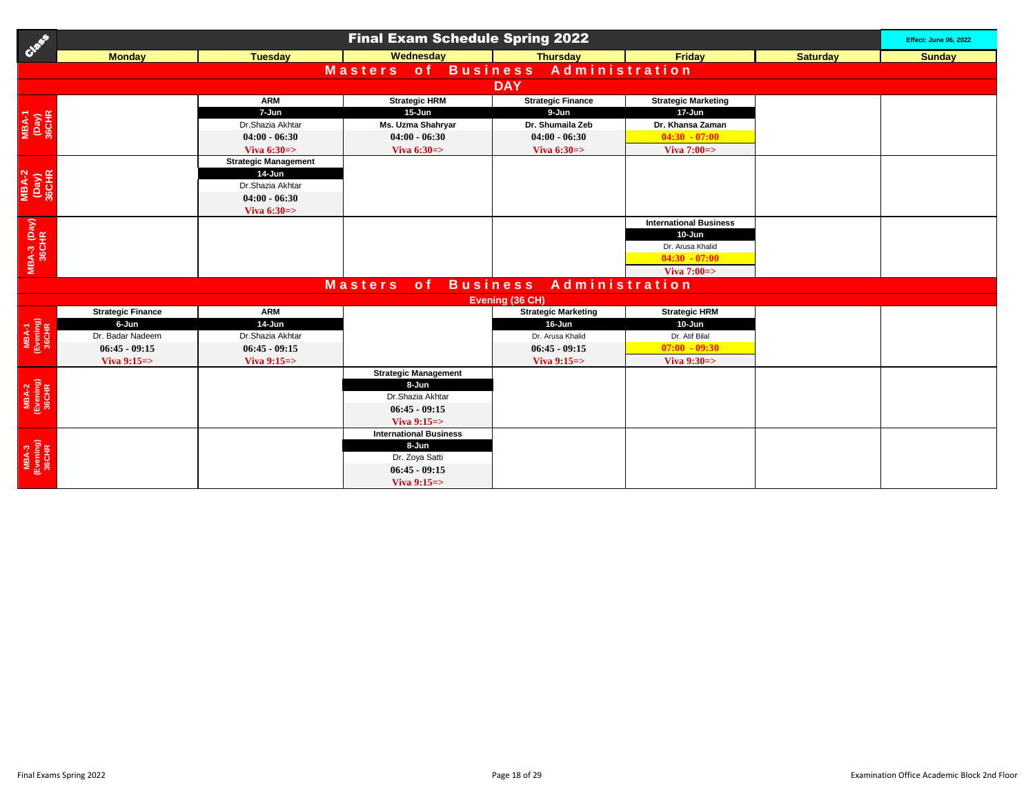| Case                           | <b>Final Exam Schedule Spring 2022</b> |                             |                               |                            |                               |                 |               |  |  |  |  |  |
|--------------------------------|----------------------------------------|-----------------------------|-------------------------------|----------------------------|-------------------------------|-----------------|---------------|--|--|--|--|--|
|                                | <b>Monday</b>                          | <b>Tuesday</b>              | Wednesday                     | <b>Thursday</b>            | Friday                        | <b>Saturday</b> | <b>Sunday</b> |  |  |  |  |  |
|                                |                                        |                             | of Business<br><b>Masters</b> |                            | Administration                |                 |               |  |  |  |  |  |
|                                | <b>DAY</b>                             |                             |                               |                            |                               |                 |               |  |  |  |  |  |
|                                |                                        | <b>ARM</b>                  | <b>Strategic HRM</b>          | <b>Strategic Finance</b>   | <b>Strategic Marketing</b>    |                 |               |  |  |  |  |  |
|                                |                                        | 7-Jun                       | 15-Jun                        | 9-Jun                      | 17-Jun                        |                 |               |  |  |  |  |  |
| МВА-1<br>(Day)<br>36CHR        |                                        | Dr.Shazia Akhtar            | Ms. Uzma Shahryar             | Dr. Shumaila Zeb           | Dr. Khansa Zaman              |                 |               |  |  |  |  |  |
|                                |                                        | $04:00 - 06:30$             | $04:00 - 06:30$               | $04:00 - 06:30$            | $04:30 - 07:00$               |                 |               |  |  |  |  |  |
|                                |                                        | Viva $6:30 \Rightarrow$     | Viva $6:30 \Rightarrow$       | Viva $6:30 \Rightarrow$    | Viva $7:00 \Rightarrow$       |                 |               |  |  |  |  |  |
|                                |                                        | <b>Strategic Management</b> |                               |                            |                               |                 |               |  |  |  |  |  |
| <b>MBA-2</b><br>(Day)<br>36CHR |                                        | 14-Jun                      |                               |                            |                               |                 |               |  |  |  |  |  |
|                                |                                        | Dr.Shazia Akhtar            |                               |                            |                               |                 |               |  |  |  |  |  |
|                                |                                        | $04:00 - 06:30$             |                               |                            |                               |                 |               |  |  |  |  |  |
|                                |                                        | Viva $6:30 \Rightarrow$     |                               |                            |                               |                 |               |  |  |  |  |  |
|                                |                                        |                             |                               |                            | <b>International Business</b> |                 |               |  |  |  |  |  |
|                                |                                        |                             |                               |                            | 10-Jun                        |                 |               |  |  |  |  |  |
| MBA-3 (Day)<br>36CHR           |                                        |                             |                               |                            | Dr. Arusa Khalid              |                 |               |  |  |  |  |  |
|                                |                                        |                             |                               |                            | $04:30 - 07:00$               |                 |               |  |  |  |  |  |
|                                |                                        |                             |                               |                            | Viva $7:00 \Rightarrow$       |                 |               |  |  |  |  |  |
|                                |                                        |                             | <b>Masters</b><br>of a        | <b>Business</b>            | Administration                |                 |               |  |  |  |  |  |
|                                |                                        |                             |                               | Evening (36 CH)            |                               |                 |               |  |  |  |  |  |
|                                | <b>Strategic Finance</b>               | <b>ARM</b>                  |                               | <b>Strategic Marketing</b> | <b>Strategic HRM</b>          |                 |               |  |  |  |  |  |
| MBA-1<br>(Evening)<br>36CHR    | 6-Jun                                  | 14-Jun                      |                               | 16-Jun                     | $10 - Jun$                    |                 |               |  |  |  |  |  |
|                                | Dr. Badar Nadeem                       | Dr.Shazia Akhtar            |                               | Dr. Arusa Khalid           | Dr. Atif Bilal                |                 |               |  |  |  |  |  |
|                                | $06:45 - 09:15$                        | $06:45 - 09:15$             |                               | $06:45 - 09:15$            | $07:00 - 09:30$               |                 |               |  |  |  |  |  |
|                                | Viva $9:15 \Rightarrow$                | Viva 9:15=>                 |                               | Viva $9:15 \Rightarrow$    | Viva $9:30 \Rightarrow$       |                 |               |  |  |  |  |  |
|                                |                                        |                             | <b>Strategic Management</b>   |                            |                               |                 |               |  |  |  |  |  |
|                                |                                        |                             | 8-Jun                         |                            |                               |                 |               |  |  |  |  |  |
| MBA-2<br>(Evening)<br>36CHR    |                                        |                             | Dr.Shazia Akhtar              |                            |                               |                 |               |  |  |  |  |  |
|                                |                                        |                             | $06:45 - 09:15$               |                            |                               |                 |               |  |  |  |  |  |
|                                |                                        |                             | Viva $9:15 =$                 |                            |                               |                 |               |  |  |  |  |  |
|                                |                                        |                             | <b>International Business</b> |                            |                               |                 |               |  |  |  |  |  |
|                                |                                        |                             | 8-Jun                         |                            |                               |                 |               |  |  |  |  |  |
| MBA-3<br>(Evening)<br>36CHR    |                                        |                             | Dr. Zoya Satti                |                            |                               |                 |               |  |  |  |  |  |
|                                |                                        |                             | $06:45 - 09:15$               |                            |                               |                 |               |  |  |  |  |  |
|                                |                                        |                             | Viva 9:15=>                   |                            |                               |                 |               |  |  |  |  |  |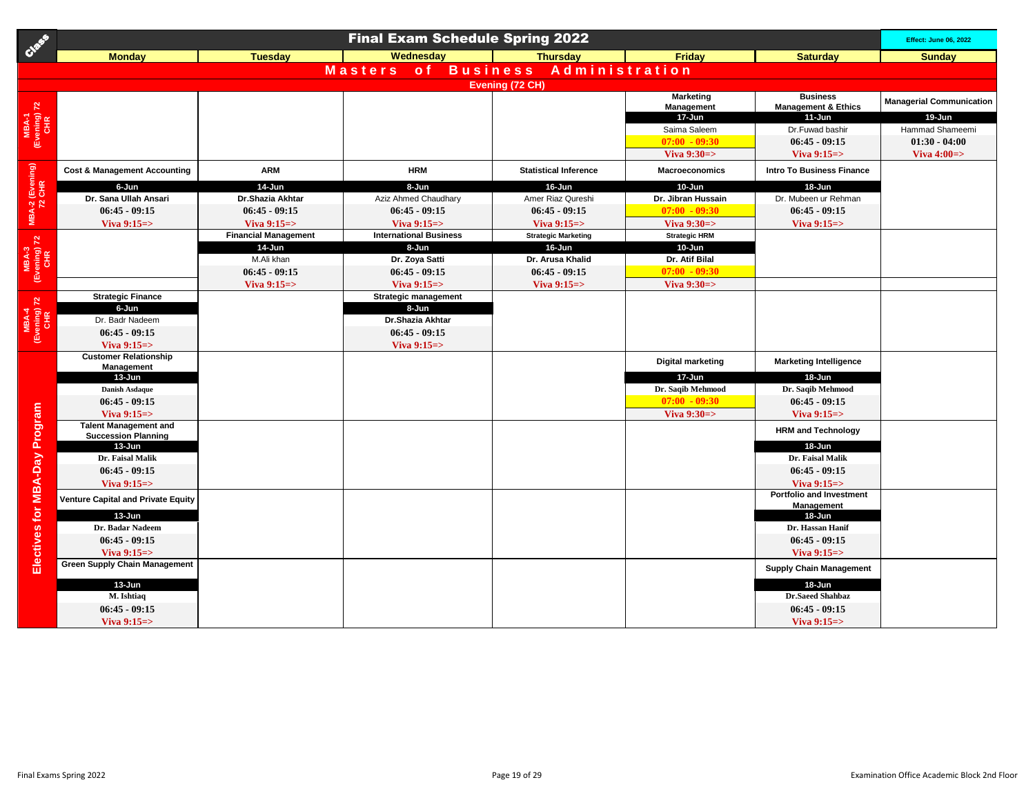| Creek                         |                                                                 |                             | <b>Final Exam Schedule Spring 2022</b>   |                              |                          |                                  | <b>Effect: June 06, 2022</b>    |  |  |  |  |
|-------------------------------|-----------------------------------------------------------------|-----------------------------|------------------------------------------|------------------------------|--------------------------|----------------------------------|---------------------------------|--|--|--|--|
|                               | <b>Monday</b>                                                   | <b>Tuesday</b>              | Wednesday                                | <b>Thursdav</b>              | Friday                   | <b>Saturday</b>                  | <b>Sunday</b>                   |  |  |  |  |
|                               |                                                                 |                             | <b>Business</b><br><b>Masters</b><br>o f | Administration               |                          |                                  |                                 |  |  |  |  |
|                               | Evening (72 CH)                                                 |                             |                                          |                              |                          |                                  |                                 |  |  |  |  |
|                               |                                                                 |                             |                                          |                              | <b>Marketing</b>         | <b>Business</b>                  | <b>Managerial Communication</b> |  |  |  |  |
|                               |                                                                 |                             |                                          |                              | Management               | <b>Management &amp; Ethics</b>   |                                 |  |  |  |  |
| MBA-1<br>(Evening) 72<br>CHR  |                                                                 |                             |                                          |                              | 17-Jun                   | 11-Jun                           | 19-Jun                          |  |  |  |  |
|                               |                                                                 |                             |                                          |                              | Saima Saleem             | Dr.Fuwad bashir                  | Hammad Shameemi                 |  |  |  |  |
|                               |                                                                 |                             |                                          |                              | $07:00 - 09:30$          | $06:45 - 09:15$                  | $01:30 - 04:00$                 |  |  |  |  |
|                               |                                                                 |                             |                                          |                              | Viva $9:30 \Rightarrow$  | Viva 9:15=>                      | Viva $4:00 \Rightarrow$         |  |  |  |  |
| MBA-2 (Evening)<br>72 CHR     | <b>Cost &amp; Management Accounting</b>                         | <b>ARM</b>                  | <b>HRM</b>                               | <b>Statistical Inference</b> | <b>Macroeconomics</b>    | <b>Intro To Business Finance</b> |                                 |  |  |  |  |
|                               | 6-Jun                                                           | 14-Jun                      | 8-Jun                                    | 16-Jun                       | 10-Jun                   | 18-Jun                           |                                 |  |  |  |  |
|                               | Dr. Sana Ullah Ansari                                           | Dr.Shazia Akhtar            | Aziz Ahmed Chaudhary                     | Amer Riaz Qureshi            | Dr. Jibran Hussain       | Dr. Mubeen ur Rehman             |                                 |  |  |  |  |
|                               | $06:45 - 09:15$                                                 | $06:45 - 09:15$             | $06:45 - 09:15$                          | $06:45 - 09:15$              | $07:00 - 09:30$          | $06:45 - 09:15$                  |                                 |  |  |  |  |
|                               | Viva $9:15 \Rightarrow$                                         | Viva $9:15 =$               | Viva $9:15 = > 0$                        | Viva $9:15 =$                | Viva $9:30 \Rightarrow$  | Viva $9:15 =$                    |                                 |  |  |  |  |
|                               |                                                                 | <b>Financial Management</b> | <b>International Business</b>            | <b>Strategic Marketing</b>   | <b>Strategic HRM</b>     |                                  |                                 |  |  |  |  |
|                               |                                                                 | 14-Jun                      | 8-Jun                                    | 16-Jun                       | 10-Jun                   |                                  |                                 |  |  |  |  |
|                               |                                                                 | M.Ali khan                  | Dr. Zoya Satti                           | Dr. Arusa Khalid             | Dr. Atif Bilal           |                                  |                                 |  |  |  |  |
| MBA-3<br>(Evening) 72<br>CHR  |                                                                 | $06:45 - 09:15$             | $06:45 - 09:15$                          | $06:45 - 09:15$              | $07:00 - 09:30$          |                                  |                                 |  |  |  |  |
|                               |                                                                 | Viva $9:15 =$               | Viva $9:15 =$                            | Viva $9:15 =$                | Viva $9:30 \Rightarrow$  |                                  |                                 |  |  |  |  |
|                               | <b>Strategic Finance</b><br>6-Jun                               |                             | <b>Strategic management</b>              |                              |                          |                                  |                                 |  |  |  |  |
|                               | Dr. Badr Nadeem                                                 |                             | 8-Jun<br>Dr.Shazia Akhtar                |                              |                          |                                  |                                 |  |  |  |  |
|                               | $06:45 - 09:15$                                                 |                             | $06:45 - 09:15$                          |                              |                          |                                  |                                 |  |  |  |  |
| MBA-4<br>(Evening) 72<br>CHR  | Viva $9:15 \Rightarrow$                                         |                             | Viva $9:15 =$                            |                              |                          |                                  |                                 |  |  |  |  |
|                               | <b>Customer Relationship</b>                                    |                             |                                          |                              |                          |                                  |                                 |  |  |  |  |
|                               | Management                                                      |                             |                                          |                              | <b>Digital marketing</b> | <b>Marketing Intelligence</b>    |                                 |  |  |  |  |
|                               | 13-Jun                                                          |                             |                                          |                              | 17-Jun                   | 18-Jun                           |                                 |  |  |  |  |
|                               | <b>Danish Asdaque</b>                                           |                             |                                          |                              | Dr. Saqib Mehmood        | Dr. Saqib Mehmood                |                                 |  |  |  |  |
|                               | $06:45 - 09:15$                                                 |                             |                                          |                              | $07:00 - 09:30$          | $06:45 - 09:15$                  |                                 |  |  |  |  |
|                               | Viva $9:15 \Rightarrow$                                         |                             |                                          |                              | Viva $9:30 \Rightarrow$  | Viva $9:15 \Rightarrow$          |                                 |  |  |  |  |
|                               | <b>Talent Management and</b>                                    |                             |                                          |                              |                          | <b>HRM and Technology</b>        |                                 |  |  |  |  |
|                               | <b>Succession Planning</b><br>13-Jun                            |                             |                                          |                              |                          | 18-Jun                           |                                 |  |  |  |  |
|                               | Dr. Faisal Malik                                                |                             |                                          |                              |                          | Dr. Faisal Malik                 |                                 |  |  |  |  |
|                               | $06:45 - 09:15$                                                 |                             |                                          |                              |                          | $06:45 - 09:15$                  |                                 |  |  |  |  |
|                               | Viva $9:15 \Rightarrow$                                         |                             |                                          |                              |                          | Viva $9:15 \Rightarrow$          |                                 |  |  |  |  |
|                               | Venture Capital and Private Equity                              |                             |                                          |                              |                          | <b>Portfolio and Investment</b>  |                                 |  |  |  |  |
|                               |                                                                 |                             |                                          |                              |                          | Management                       |                                 |  |  |  |  |
|                               | $13 - Jun$                                                      |                             |                                          |                              |                          | $18 - Jun$                       |                                 |  |  |  |  |
|                               | Dr. Badar Nadeem                                                |                             |                                          |                              |                          | Dr. Hassan Hanif                 |                                 |  |  |  |  |
|                               | $06:45 - 09:15$                                                 |                             |                                          |                              |                          | $06:45 - 09:15$                  |                                 |  |  |  |  |
| Electives for MBA-Day Program | Viva $9:15 \Rightarrow$<br><b>Green Supply Chain Management</b> |                             |                                          |                              |                          | Viva $9:15 =$                    |                                 |  |  |  |  |
|                               |                                                                 |                             |                                          |                              |                          | <b>Supply Chain Management</b>   |                                 |  |  |  |  |
|                               | 13-Jun                                                          |                             |                                          |                              |                          | 18-Jun                           |                                 |  |  |  |  |
|                               | M. Ishtiaq                                                      |                             |                                          |                              |                          | Dr.Saeed Shahbaz                 |                                 |  |  |  |  |
|                               | $06:45 - 09:15$                                                 |                             |                                          |                              |                          | $06:45 - 09:15$                  |                                 |  |  |  |  |
|                               | Viva $9:15 = >$                                                 |                             |                                          |                              |                          | Viva $9:15 = >$                  |                                 |  |  |  |  |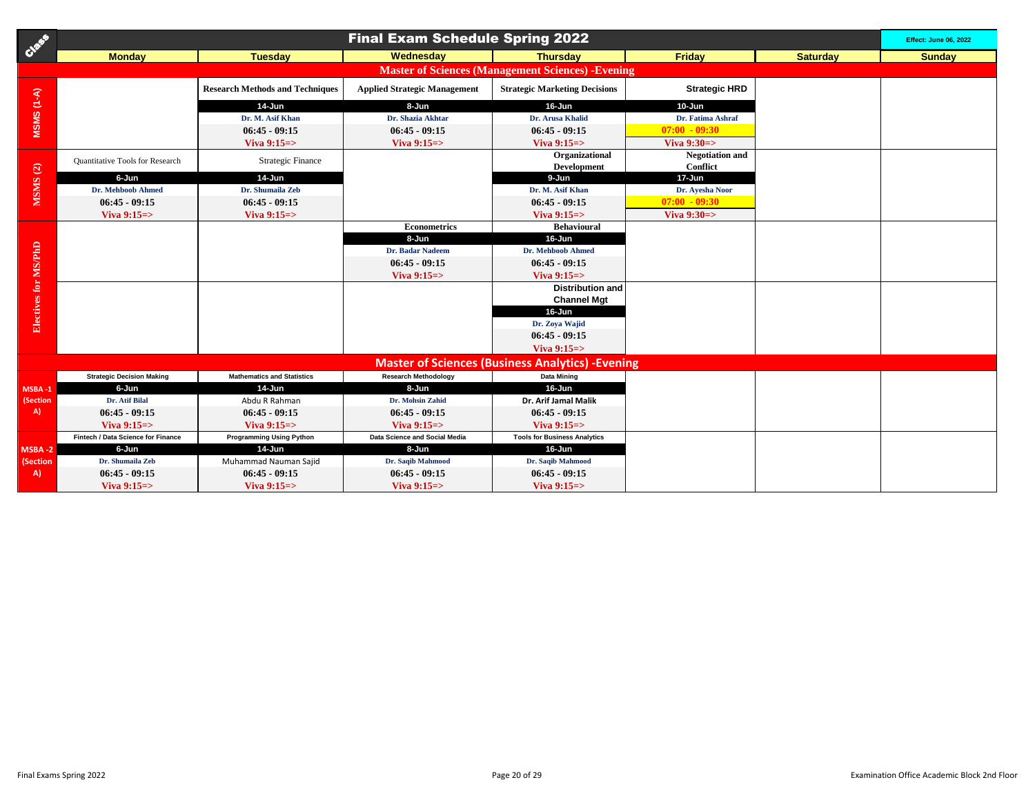| Cass                                                      |                                        |                                        | <b>Final Exam Schedule Spring 2022</b> |                                                         |                         |                 | <b>Effect: June 06, 2022</b> |  |  |  |
|-----------------------------------------------------------|----------------------------------------|----------------------------------------|----------------------------------------|---------------------------------------------------------|-------------------------|-----------------|------------------------------|--|--|--|
|                                                           | <b>Monday</b>                          | <b>Tuesday</b>                         | Wednesday                              | <b>Thursday</b>                                         | <b>Friday</b>           | <b>Saturday</b> | <b>Sunday</b>                |  |  |  |
| <b>Master of Sciences (Management Sciences) - Evening</b> |                                        |                                        |                                        |                                                         |                         |                 |                              |  |  |  |
|                                                           |                                        | <b>Research Methods and Techniques</b> | <b>Applied Strategic Management</b>    | <b>Strategic Marketing Decisions</b>                    | <b>Strategic HRD</b>    |                 |                              |  |  |  |
| $MSSMS (1-A)$                                             |                                        | 14-Jun                                 | 8-Jun                                  | 16-Jun                                                  | $10 - Jun$              |                 |                              |  |  |  |
|                                                           |                                        | Dr. M. Asif Khan                       | Dr. Shazia Akhtar                      | Dr. Arusa Khalid                                        | Dr. Fatima Ashraf       |                 |                              |  |  |  |
|                                                           |                                        | $06:45 - 09:15$                        | $06:45 - 09:15$                        | $06:45 - 09:15$                                         | $07:00 - 09:30$         |                 |                              |  |  |  |
|                                                           |                                        | Viva $9:15 = >$                        | Viva 9:15=>                            | Viva $9:15 = >$                                         | Viva $9:30 \Rightarrow$ |                 |                              |  |  |  |
|                                                           |                                        |                                        |                                        | Organizational                                          | <b>Negotiation</b> and  |                 |                              |  |  |  |
|                                                           | <b>Quantitative Tools for Research</b> | <b>Strategic Finance</b>               |                                        | <b>Development</b>                                      | Conflict                |                 |                              |  |  |  |
|                                                           | 6-Jun                                  | 14-Jun                                 |                                        | 9-Jun                                                   | 17-Jun                  |                 |                              |  |  |  |
| MSMS(2)                                                   | <b>Dr. Mehboob Ahmed</b>               | Dr. Shumaila Zeb                       |                                        | Dr. M. Asif Khan                                        | Dr. Ayesha Noor         |                 |                              |  |  |  |
|                                                           | $06:45 - 09:15$                        | $06:45 - 09:15$                        |                                        | $06:45 - 09:15$                                         | $07:00 - 09:30$         |                 |                              |  |  |  |
|                                                           | Viva $9:15 =$                          | Viva $9:15 = >$                        |                                        | Viva $9:15 = >$                                         | Viva $9:30 \Rightarrow$ |                 |                              |  |  |  |
|                                                           |                                        |                                        | <b>Econometrics</b>                    | <b>Behavioural</b>                                      |                         |                 |                              |  |  |  |
|                                                           |                                        |                                        | 8-Jun                                  | 16-Jun                                                  |                         |                 |                              |  |  |  |
|                                                           |                                        |                                        | Dr. Badar Nadeem                       | <b>Dr. Mehboob Ahmed</b>                                |                         |                 |                              |  |  |  |
|                                                           |                                        |                                        | $06:45 - 09:15$                        | $06:45 - 09:15$                                         |                         |                 |                              |  |  |  |
|                                                           |                                        |                                        | Viva $9:15 =$                          | Viva $9:15 = >$                                         |                         |                 |                              |  |  |  |
| Electives for MS/PhD                                      |                                        |                                        |                                        | <b>Distribution and</b>                                 |                         |                 |                              |  |  |  |
|                                                           |                                        |                                        |                                        | <b>Channel Mgt</b>                                      |                         |                 |                              |  |  |  |
|                                                           |                                        |                                        |                                        | 16-Jun                                                  |                         |                 |                              |  |  |  |
|                                                           |                                        |                                        |                                        | Dr. Zoya Wajid                                          |                         |                 |                              |  |  |  |
|                                                           |                                        |                                        |                                        | $06:45 - 09:15$                                         |                         |                 |                              |  |  |  |
|                                                           |                                        |                                        |                                        | Viva $9:15 =$                                           |                         |                 |                              |  |  |  |
|                                                           |                                        |                                        |                                        | <b>Master of Sciences (Business Analytics) -Evening</b> |                         |                 |                              |  |  |  |
|                                                           | <b>Strategic Decision Making</b>       | <b>Mathematics and Statistics</b>      | <b>Research Methodology</b>            | <b>Data Mining</b>                                      |                         |                 |                              |  |  |  |
| MSBA-1                                                    | 6-Jun                                  | 14-Jun                                 | 8-Jun                                  | 16-Jun                                                  |                         |                 |                              |  |  |  |
| (Section                                                  | Dr. Atif Bilal                         | Abdu R Rahman                          | Dr. Mohsin Zahid                       | Dr. Arif Jamal Malik                                    |                         |                 |                              |  |  |  |
| A)                                                        | $06:45 - 09:15$                        | $06:45 - 09:15$                        | $06:45 - 09:15$                        | $06:45 - 09:15$                                         |                         |                 |                              |  |  |  |
|                                                           | Viva $9:15 = >$                        | Viva $9:15 = >$                        | Viva $9:15 =$                          | Viva $9:15 = >$                                         |                         |                 |                              |  |  |  |
|                                                           | Fintech / Data Science for Finance     | <b>Programming Using Python</b>        | Data Science and Social Media          | <b>Tools for Business Analytics</b>                     |                         |                 |                              |  |  |  |
| MSBA-2                                                    | 6-Jun                                  | 14-Jun                                 | 8-Jun                                  | 16-Jun                                                  |                         |                 |                              |  |  |  |
| (Section                                                  | Dr. Shumaila Zeb                       | Muhammad Nauman Sajid                  | Dr. Saqib Mahmood                      | Dr. Saqib Mahmood                                       |                         |                 |                              |  |  |  |
| A)                                                        | $06:45 - 09:15$                        | $06:45 - 09:15$                        | $06:45 - 09:15$                        | $06:45 - 09:15$                                         |                         |                 |                              |  |  |  |
|                                                           | Viva $9:15 = >$                        | Viva $9:15 = >$                        | Viva $9:15 = >$                        | Viva $9:15 = >$                                         |                         |                 |                              |  |  |  |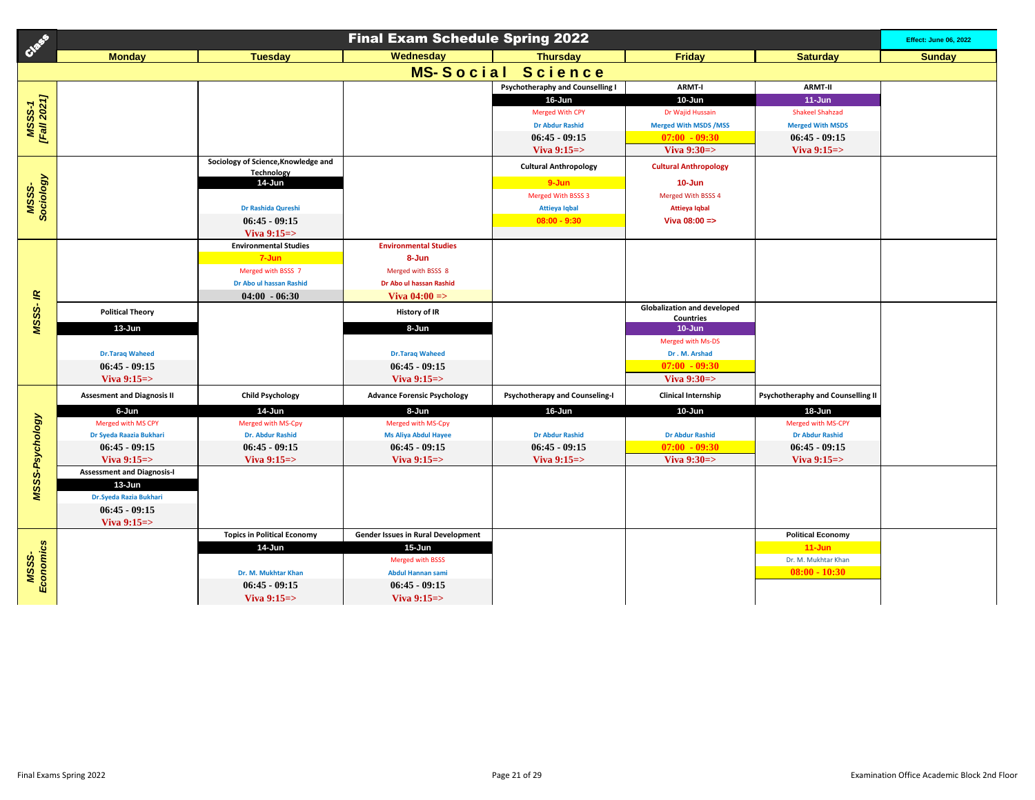| Creek                        | <b>Final Exam Schedule Spring 2022</b>                       |                                                   |                                           |                                         |                                                        |                                          |               |  |  |
|------------------------------|--------------------------------------------------------------|---------------------------------------------------|-------------------------------------------|-----------------------------------------|--------------------------------------------------------|------------------------------------------|---------------|--|--|
|                              | <b>Monday</b>                                                | <b>Tuesday</b>                                    | Wednesday                                 | <b>Thursday</b>                         | <b>Friday</b>                                          | <b>Saturday</b>                          | <b>Sunday</b> |  |  |
|                              |                                                              |                                                   | <b>MS-Social</b>                          | Science                                 |                                                        |                                          |               |  |  |
|                              |                                                              |                                                   |                                           | <b>Psychotheraphy and Counselling I</b> | <b>ARMT-I</b>                                          | <b>ARMT-II</b>                           |               |  |  |
| <b>MSSS-1</b><br>[Fall 2021] |                                                              |                                                   |                                           | 16-Jun                                  | 10-Jun                                                 | $11 - Jun$                               |               |  |  |
|                              |                                                              |                                                   |                                           | <b>Merged With CPY</b>                  | Dr Wajid Hussain                                       | <b>Shakeel Shahzad</b>                   |               |  |  |
|                              |                                                              |                                                   |                                           | <b>Dr Abdur Rashid</b>                  | <b>Merged With MSDS / MSS</b>                          | <b>Merged With MSDS</b>                  |               |  |  |
|                              |                                                              |                                                   |                                           | $06:45 - 09:15$                         | $07:00 - 09:30$                                        | $06:45 - 09:15$                          |               |  |  |
|                              |                                                              |                                                   |                                           | Viva $9:15 =$                           | Viva $9:30 \Rightarrow$                                | Viva $9:15 =$                            |               |  |  |
|                              |                                                              | Sociology of Science, Knowledge and<br>Technology |                                           | <b>Cultural Anthropology</b>            | <b>Cultural Anthropology</b>                           |                                          |               |  |  |
|                              |                                                              | 14-Jun                                            |                                           | $9 - Jun$                               | $10 - Jun$                                             |                                          |               |  |  |
|                              |                                                              |                                                   |                                           | Merged With BSSS 3                      | Merged With BSSS 4                                     |                                          |               |  |  |
| MSSS-<br>Sociology           |                                                              | Dr Rashida Qureshi                                |                                           | <b>Attieya Iqbal</b>                    | <b>Attieya Iqbal</b>                                   |                                          |               |  |  |
|                              |                                                              | $06:45 - 09:15$                                   |                                           | $08:00 - 9:30$                          | Viva 08:00 =>                                          |                                          |               |  |  |
|                              |                                                              | Viva $9:15 = >$                                   |                                           |                                         |                                                        |                                          |               |  |  |
|                              |                                                              | <b>Environmental Studies</b>                      | <b>Environmental Studies</b>              |                                         |                                                        |                                          |               |  |  |
|                              |                                                              | 7-Jun                                             | 8-Jun                                     |                                         |                                                        |                                          |               |  |  |
|                              |                                                              | Merged with BSSS 7                                | Merged with BSSS 8                        |                                         |                                                        |                                          |               |  |  |
|                              |                                                              | Dr Abo ul hassan Rashid                           | Dr Abo ul hassan Rashid                   |                                         |                                                        |                                          |               |  |  |
| MSSS-IR                      |                                                              | $04:00 - 06:30$                                   | Viva $04:00 =$                            |                                         |                                                        |                                          |               |  |  |
|                              | <b>Political Theory</b>                                      |                                                   | <b>History of IR</b>                      |                                         | <b>Globalization and developed</b><br><b>Countries</b> |                                          |               |  |  |
|                              | 13-Jun                                                       |                                                   | 8-Jun                                     |                                         | $10 - Jun$                                             |                                          |               |  |  |
|                              |                                                              |                                                   |                                           |                                         | Merged with Ms-DS                                      |                                          |               |  |  |
|                              | <b>Dr.Taraq Waheed</b>                                       |                                                   | <b>Dr.Taraq Waheed</b>                    |                                         | Dr. M. Arshad                                          |                                          |               |  |  |
|                              | $06:45 - 09:15$                                              |                                                   | $06:45 - 09:15$                           |                                         | $07:00 - 09:30$                                        |                                          |               |  |  |
|                              | Viva $9:15 \Rightarrow$                                      |                                                   | Viva $9:15 = > 0$                         |                                         | Viva $9:30 \Rightarrow$                                |                                          |               |  |  |
|                              | <b>Assesment and Diagnosis II</b>                            | <b>Child Psychology</b>                           | <b>Advance Forensic Psychology</b>        | <b>Psychotherapy and Counseling-I</b>   | <b>Clinical Internship</b>                             | <b>Psychotheraphy and Counselling II</b> |               |  |  |
|                              | 6-Jun                                                        | 14-Jun                                            | 8-Jun                                     | 16-Jun                                  | 10-Jun                                                 | 18-Jun                                   |               |  |  |
|                              | Merged with MS CPY                                           | Merged with MS-Cpy                                | Merged with MS-Cpy                        |                                         |                                                        | Merged with MS-CPY                       |               |  |  |
|                              | Dr Syeda Raazia Bukhari                                      | Dr. Abdur Rashid                                  | <b>Ms Aliya Abdul Hayee</b>               | <b>Dr Abdur Rashid</b>                  | <b>Dr Abdur Rashid</b>                                 | <b>Dr Abdur Rashid</b>                   |               |  |  |
|                              | $06:45 - 09:15$                                              | $06:45 - 09:15$                                   | $06:45 - 09:15$                           | $06:45 - 09:15$                         | $07:00 - 09:30$                                        | $06:45 - 09:15$                          |               |  |  |
| <b>MSSS-Psychology</b>       | Viva $9:15 \Rightarrow$<br><b>Assessment and Diagnosis-I</b> | Viva $9:15 =$                                     | Viva $9:15 = >$                           | Viva $9:15 =$                           | Viva $9:30 = >$                                        | Viva $9:15 =$                            |               |  |  |
|                              | 13-Jun                                                       |                                                   |                                           |                                         |                                                        |                                          |               |  |  |
|                              | Dr. Syeda Razia Bukhari                                      |                                                   |                                           |                                         |                                                        |                                          |               |  |  |
|                              | $06:45 - 09:15$                                              |                                                   |                                           |                                         |                                                        |                                          |               |  |  |
|                              | Viva $9:15 \Rightarrow$                                      |                                                   |                                           |                                         |                                                        |                                          |               |  |  |
|                              |                                                              | <b>Topics in Political Economy</b>                | <b>Gender Issues in Rural Development</b> |                                         |                                                        | <b>Political Economy</b>                 |               |  |  |
| MSSS-<br>Economics           |                                                              | 14-Jun                                            | $15 - Jun$                                |                                         |                                                        | $11 - Jun$                               |               |  |  |
|                              |                                                              |                                                   | Merged with BSSS                          |                                         |                                                        | Dr. M. Mukhtar Khan                      |               |  |  |
|                              |                                                              | Dr. M. Mukhtar Khan                               | <b>Abdul Hannan sami</b>                  |                                         |                                                        | $08:00 - 10:30$                          |               |  |  |
|                              |                                                              | $06:45 - 09:15$                                   | $06:45 - 09:15$                           |                                         |                                                        |                                          |               |  |  |
|                              |                                                              | Viva $9:15 = >$                                   | Viva $9:15 = >$                           |                                         |                                                        |                                          |               |  |  |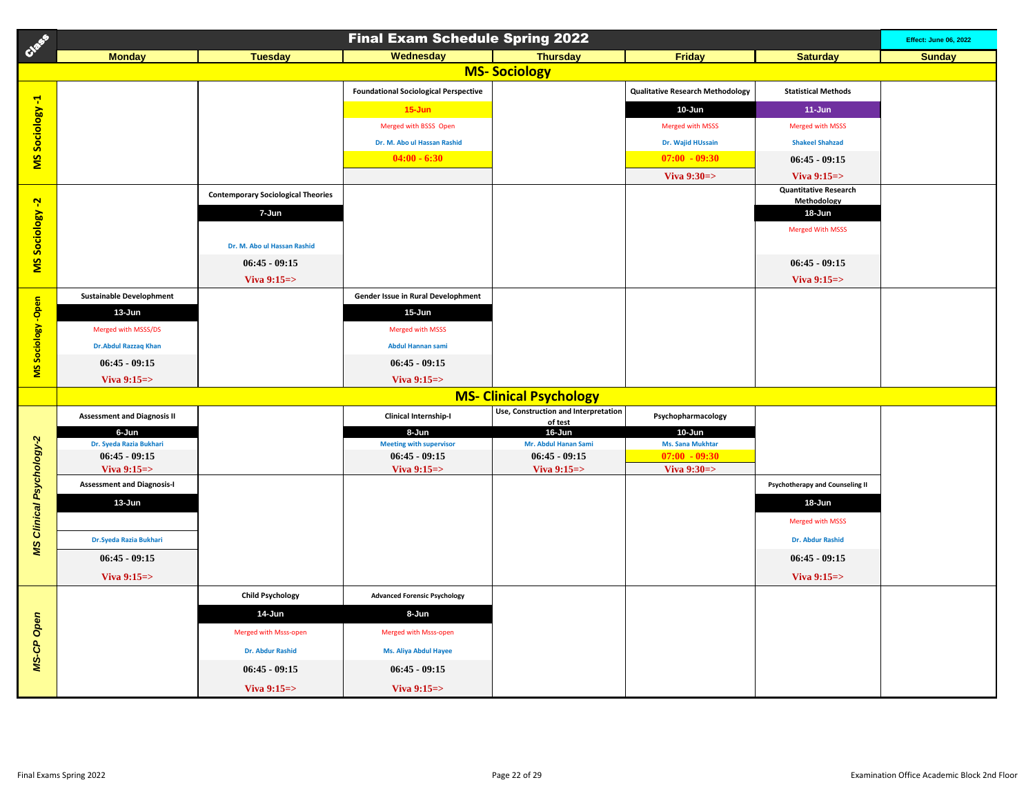| Class                           | <b>Final Exam Schedule Spring 2022</b>     |                                           |                                                   |                                                 |                                            |                                        |               |  |
|---------------------------------|--------------------------------------------|-------------------------------------------|---------------------------------------------------|-------------------------------------------------|--------------------------------------------|----------------------------------------|---------------|--|
|                                 | <b>Monday</b>                              | <b>Tuesday</b>                            | Wednesday                                         | <b>Thursday</b>                                 | <b>Friday</b>                              | <b>Saturday</b>                        | <b>Sunday</b> |  |
|                                 |                                            |                                           |                                                   | <b>MS-Sociology</b>                             |                                            |                                        |               |  |
|                                 |                                            |                                           | <b>Foundational Sociological Perspective</b>      |                                                 | <b>Qualitative Research Methodology</b>    | <b>Statistical Methods</b>             |               |  |
| MS Sociology -1                 |                                            |                                           | $15 - Jun$                                        |                                                 | 10-Jun                                     | $11 - Jun$                             |               |  |
|                                 |                                            |                                           | Merged with BSSS Open                             |                                                 | Merged with MSSS                           | <b>Merged with MSSS</b>                |               |  |
|                                 |                                            |                                           | Dr. M. Abo ul Hassan Rashid                       |                                                 | Dr. Wajid HUssain                          | <b>Shakeel Shahzad</b>                 |               |  |
|                                 |                                            |                                           | $04:00 - 6:30$                                    |                                                 | $07:00 - 09:30$                            | $06:45 - 09:15$                        |               |  |
|                                 |                                            |                                           |                                                   |                                                 | Viva $9:30 \Rightarrow$                    | Viva $9:15 =$                          |               |  |
|                                 |                                            | <b>Contemporary Sociological Theories</b> |                                                   |                                                 |                                            | <b>Quantitative Research</b>           |               |  |
|                                 |                                            | 7-Jun                                     |                                                   |                                                 |                                            | Methodology<br>18-Jun                  |               |  |
| MS Sociology -2                 |                                            |                                           |                                                   |                                                 |                                            | <b>Merged With MSSS</b>                |               |  |
|                                 |                                            | Dr. M. Abo ul Hassan Rashid               |                                                   |                                                 |                                            |                                        |               |  |
|                                 |                                            | $06:45 - 09:15$                           |                                                   |                                                 |                                            | $06:45 - 09:15$                        |               |  |
|                                 |                                            | Viva $9:15 \Rightarrow$                   |                                                   |                                                 |                                            | Viva $9:15 \Rightarrow$                |               |  |
|                                 | <b>Sustainable Develophment</b>            |                                           | Gender Issue in Rural Develophment                |                                                 |                                            |                                        |               |  |
| MS Sociology -Open              | 13-Jun                                     |                                           | 15-Jun                                            |                                                 |                                            |                                        |               |  |
|                                 | Merged with MSSS/DS                        |                                           | Merged with MSSS                                  |                                                 |                                            |                                        |               |  |
|                                 | <b>Dr.Abdul Razzaq Khan</b>                |                                           | Abdul Hannan sami                                 |                                                 |                                            |                                        |               |  |
|                                 | $06:45 - 09:15$                            |                                           | $06:45 - 09:15$                                   |                                                 |                                            |                                        |               |  |
|                                 | Viva $9:15 \Rightarrow$                    |                                           | Viva $9:15 =$                                     |                                                 |                                            |                                        |               |  |
|                                 |                                            |                                           |                                                   | <b>MS- Clinical Psychology</b>                  |                                            |                                        |               |  |
|                                 | <b>Assessment and Diagnosis II</b>         |                                           | <b>Clinical Internship-I</b>                      | Use, Construction and Interpretation<br>of test | Psychopharmacology                         |                                        |               |  |
|                                 | 6-Jun                                      |                                           | 8-Jun                                             | 16-Jun                                          | 10-Jun                                     |                                        |               |  |
|                                 | Dr. Syeda Razia Bukhari<br>$06:45 - 09:15$ |                                           | <b>Meeting with supervisor</b><br>$06:45 - 09:15$ | Mr. Abdul Hanan Sami<br>$06:45 - 09:15$         | <b>Ms. Sana Mukhtar</b><br>$07:00 - 09:30$ |                                        |               |  |
|                                 | Viva $9:15 \Rightarrow$                    |                                           | Viva $9:15 \Rightarrow$                           | Viva $9:15 =$                                   | Viva $9:30 \Rightarrow$                    |                                        |               |  |
|                                 | <b>Assessment and Diagnosis-I</b>          |                                           |                                                   |                                                 |                                            | <b>Psychotherapy and Counseling II</b> |               |  |
|                                 | 13-Jun                                     |                                           |                                                   |                                                 |                                            | 18-Jun                                 |               |  |
|                                 |                                            |                                           |                                                   |                                                 |                                            | Merged with MSSS                       |               |  |
| <b>MS Clinical Psychology-2</b> | Dr. Syeda Razia Bukhari                    |                                           |                                                   |                                                 |                                            | <b>Dr. Abdur Rashid</b>                |               |  |
|                                 | $06:45 - 09:15$                            |                                           |                                                   |                                                 |                                            | $06:45 - 09:15$                        |               |  |
|                                 | Viva $9:15 \Rightarrow$                    |                                           |                                                   |                                                 |                                            | Viva $9:15 \Rightarrow$                |               |  |
|                                 |                                            | <b>Child Psychology</b>                   | <b>Advanced Forensic Psychology</b>               |                                                 |                                            |                                        |               |  |
|                                 |                                            | 14-Jun                                    | 8-Jun                                             |                                                 |                                            |                                        |               |  |
|                                 |                                            | Merged with Msss-open                     | Merged with Msss-open                             |                                                 |                                            |                                        |               |  |
| MS-CP Open                      |                                            | <b>Dr. Abdur Rashid</b>                   | Ms. Aliya Abdul Hayee                             |                                                 |                                            |                                        |               |  |
|                                 |                                            | $06:45 - 09:15$                           | $06:45 - 09:15$                                   |                                                 |                                            |                                        |               |  |
|                                 |                                            | Viva $9:15 \Rightarrow$                   | Viva $9:15 =$                                     |                                                 |                                            |                                        |               |  |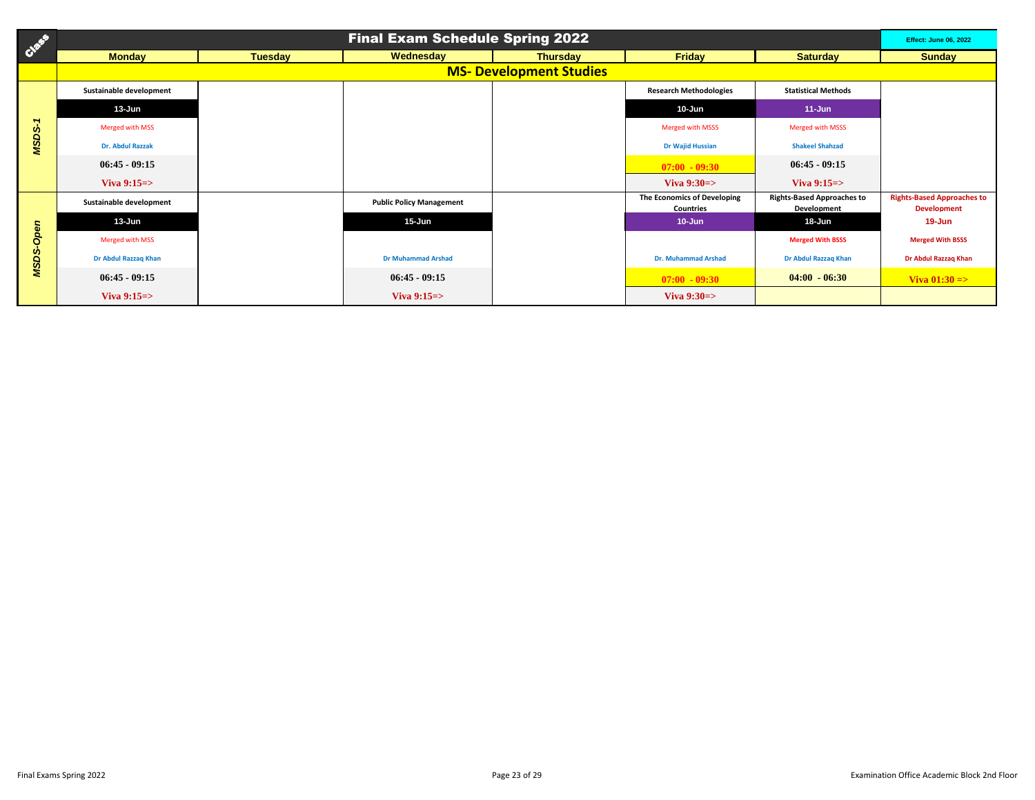| Class                    |                         |                | <b>Final Exam Schedule Spring 2022</b> |                                |                                                 |                                                  | <b>Effect: June 06, 2022</b>                            |
|--------------------------|-------------------------|----------------|----------------------------------------|--------------------------------|-------------------------------------------------|--------------------------------------------------|---------------------------------------------------------|
|                          | <b>Monday</b>           | <b>Tuesday</b> | Wednesday                              | <b>Thursday</b>                | <b>Friday</b>                                   | <b>Saturday</b>                                  | <b>Sunday</b>                                           |
|                          |                         |                |                                        | <b>MS- Development Studies</b> |                                                 |                                                  |                                                         |
| $\overline{\phantom{a}}$ | Sustainable development |                |                                        |                                | <b>Research Methodologies</b>                   | <b>Statistical Methods</b>                       |                                                         |
|                          | 13-Jun                  |                |                                        |                                | 10-Jun                                          | $11 - Jun$                                       |                                                         |
|                          | Merged with MSS         |                |                                        |                                | <b>Merged with MSSS</b>                         | <b>Merged with MSSS</b>                          |                                                         |
| MSDS-                    | <b>Dr. Abdul Razzak</b> |                |                                        |                                | <b>Dr Wajid Hussian</b>                         | <b>Shakeel Shahzad</b>                           |                                                         |
|                          | $06:45 - 09:15$         |                |                                        |                                | $07:00 - 09:30$                                 | $06:45 - 09:15$                                  |                                                         |
|                          | Viva $9:15 \Rightarrow$ |                |                                        |                                | Viva $9:30 \Rightarrow$                         | Viva $9:15 \Rightarrow$                          |                                                         |
|                          | Sustainable development |                | <b>Public Policy Management</b>        |                                | The Economics of Developing<br><b>Countries</b> | <b>Rights-Based Approaches to</b><br>Development | <b>Rights-Based Approaches to</b><br><b>Development</b> |
|                          | 13-Jun                  |                | $15 - Jun$                             |                                | $10 - Jun$                                      | 18-Jun                                           | 19-Jun                                                  |
| Open                     | Merged with MSS         |                |                                        |                                |                                                 | <b>Merged With BSSS</b>                          | <b>Merged With BSSS</b>                                 |
| MSDS-                    | Dr Abdul Razzaq Khan    |                | <b>Dr Muhammad Arshad</b>              |                                | <b>Dr. Muhammad Arshad</b>                      | <b>Dr Abdul Razzaq Khan</b>                      | Dr Abdul Razzaq Khan                                    |
|                          | $06:45 - 09:15$         |                | $06:45 - 09:15$                        |                                | $07:00 - 09:30$                                 | $04:00 - 06:30$                                  | Viva $01:30 \Rightarrow$                                |
|                          | Viva $9:15 \Rightarrow$ |                | Viva $9:15 =$                          |                                | Viva $9:30 \Rightarrow$                         |                                                  |                                                         |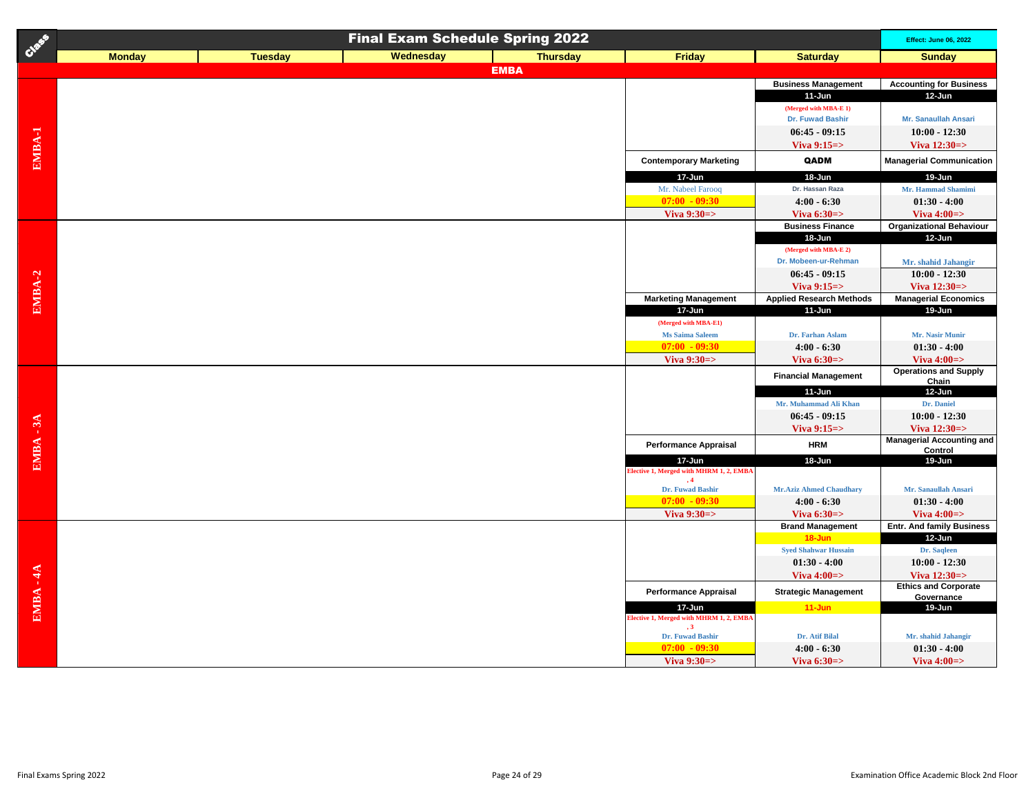| Creek       |               |                | <b>Final Exam Schedule Spring 2022</b> |                 |                                                      |                                   | <b>Effect: June 06, 2022</b>                            |
|-------------|---------------|----------------|----------------------------------------|-----------------|------------------------------------------------------|-----------------------------------|---------------------------------------------------------|
|             | <b>Monday</b> | <b>Tuesday</b> | Wednesday                              | <b>Thursday</b> | Friday                                               | <b>Saturday</b>                   | <b>Sunday</b>                                           |
|             |               |                |                                        | <b>EMBA</b>     |                                                      |                                   |                                                         |
|             |               |                |                                        |                 |                                                      | <b>Business Management</b>        | <b>Accounting for Business</b>                          |
|             |               |                |                                        |                 |                                                      | $11$ -Jun                         | 12-Jun                                                  |
|             |               |                |                                        |                 |                                                      | (Merged with MBA-E 1)             |                                                         |
|             |               |                |                                        |                 |                                                      | Dr. Fuwad Bashir                  | Mr. Sanaullah Ansari                                    |
|             |               |                |                                        |                 |                                                      | $06:45 - 09:15$                   | $10:00 - 12:30$                                         |
|             |               |                |                                        |                 |                                                      | Viva $9:15 =$                     | Viva $12:30 = >$                                        |
| EMBA-1      |               |                |                                        |                 | <b>Contemporary Marketing</b>                        | QADM                              | <b>Managerial Communication</b>                         |
|             |               |                |                                        |                 | 17-Jun                                               | 18-Jun                            | 19-Jun                                                  |
|             |               |                |                                        |                 | Mr. Nabeel Farooq                                    | Dr. Hassan Raza                   | Mr. Hammad Shamimi                                      |
|             |               |                |                                        |                 | $07:00 - 09:30$                                      | $4:00 - 6:30$                     | $01:30 - 4:00$                                          |
|             |               |                |                                        |                 | Viva 9:30=>                                          | Viva $6:30 \Rightarrow$           | Viva $4:00 \Rightarrow$                                 |
|             |               |                |                                        |                 |                                                      | <b>Business Finance</b><br>18-Jun | <b>Organizational Behaviour</b><br>12-Jun               |
|             |               |                |                                        |                 |                                                      | (Merged with MBA-E 2)             |                                                         |
|             |               |                |                                        |                 |                                                      | Dr. Mobeen-ur-Rehman              | Mr. shahid Jahangir                                     |
|             |               |                |                                        |                 |                                                      | $06:45 - 09:15$                   | $10:00 - 12:30$                                         |
|             |               |                |                                        |                 |                                                      | Viva $9:15 \Rightarrow$           | Viva $12:30 = >$                                        |
| EMBA-2      |               |                |                                        |                 | <b>Marketing Management</b>                          | <b>Applied Research Methods</b>   | <b>Managerial Economics</b>                             |
|             |               |                |                                        |                 | 17-Jun                                               | $11$ -Jun                         | 19-Jun                                                  |
|             |               |                |                                        |                 | (Merged with MBA-E1)                                 |                                   |                                                         |
|             |               |                |                                        |                 | Ms Saima Saleem                                      | Dr. Farhan Aslam                  | Mr. Nasir Munir                                         |
|             |               |                |                                        |                 | $07:00 - 09:30$                                      | $4:00 - 6:30$                     | $01:30 - 4:00$                                          |
|             |               |                |                                        |                 | Viva 9:30=>                                          | Viva $6:30 \Rightarrow$           | Viva $4:00 \Rightarrow$<br><b>Operations and Supply</b> |
|             |               |                |                                        |                 |                                                      | <b>Financial Management</b>       | Chain                                                   |
|             |               |                |                                        |                 |                                                      | 11-Jun                            | 12-Jun                                                  |
|             |               |                |                                        |                 |                                                      | Mr. Muhammad Ali Khan             | Dr. Daniel                                              |
|             |               |                |                                        |                 |                                                      | $06:45 - 09:15$                   | $10:00 - 12:30$                                         |
|             |               |                |                                        |                 |                                                      | Viva $9:15 \Rightarrow$           | Viva $12:30 = >$                                        |
| $EMBA - 3A$ |               |                |                                        |                 | <b>Performance Appraisal</b>                         | <b>HRM</b>                        | <b>Managerial Accounting and</b><br>Control             |
|             |               |                |                                        |                 | 17-Jun                                               | 18-Jun                            | 19-Jun                                                  |
|             |               |                |                                        |                 | Elective 1, Merged with MHRM 1, 2, EMBA              |                                   |                                                         |
|             |               |                |                                        |                 | $\cdot$ 4<br>Dr. Fuwad Bashir                        | <b>Mr.Aziz Ahmed Chaudhary</b>    | Mr. Sanaullah Ansari                                    |
|             |               |                |                                        |                 | $07:00 - 09:30$                                      | $4:00 - 6:30$                     | $01:30 - 4:00$                                          |
|             |               |                |                                        |                 | Viva 9:30=>                                          | Viva $6:30 \Rightarrow$           | Viva $4:00 \Rightarrow$                                 |
|             |               |                |                                        |                 |                                                      | <b>Brand Management</b>           | <b>Entr. And family Business</b>                        |
|             |               |                |                                        |                 |                                                      | $18 - Jun$                        | 12-Jun                                                  |
|             |               |                |                                        |                 |                                                      | <b>Syed Shahwar Hussain</b>       | Dr. Saqleen                                             |
|             |               |                |                                        |                 |                                                      | $01:30 - 4:00$                    | $10:00 - 12:30$                                         |
|             |               |                |                                        |                 |                                                      | Viva $4:00 \Rightarrow$           | Viva $12:30 = >$<br><b>Ethics and Corporate</b>         |
| $EMBA - 4A$ |               |                |                                        |                 | <b>Performance Appraisal</b>                         | <b>Strategic Management</b>       | Governance                                              |
|             |               |                |                                        |                 | 17-Jun                                               | $11$ -Jun                         | 19-Jun                                                  |
|             |               |                |                                        |                 | Elective 1, Merged with MHRM 1, 2, EMBA<br>$\cdot$ 3 |                                   |                                                         |
|             |               |                |                                        |                 | Dr. Fuwad Bashir                                     | Dr. Atif Bilal                    | Mr. shahid Jahangir                                     |
|             |               |                |                                        |                 | $07:00 - 09:30$                                      | $4:00 - 6:30$                     | $01:30 - 4:00$                                          |
|             |               |                |                                        |                 | Viva $9:30 \Rightarrow$                              | Viva $6:30 \Rightarrow$           | Viva $4:00 \Rightarrow$                                 |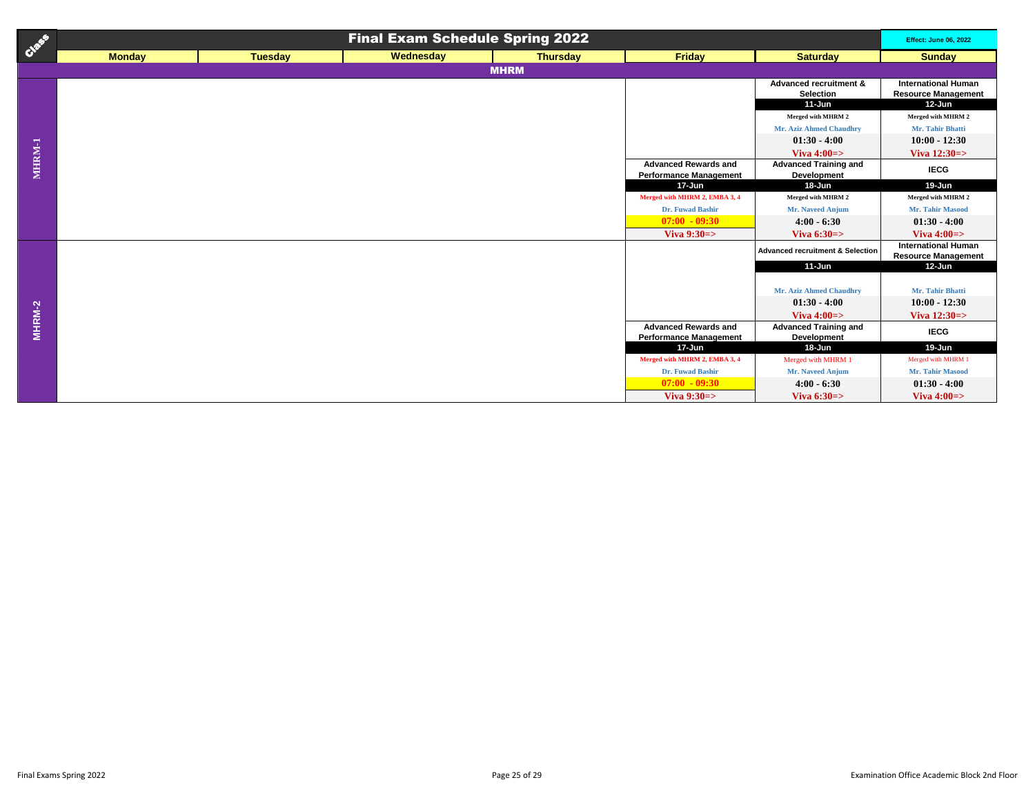| Creek  | <b>Final Exam Schedule Spring 2022</b> |                |           |                 |                                                              |                                                    |                                                                    |
|--------|----------------------------------------|----------------|-----------|-----------------|--------------------------------------------------------------|----------------------------------------------------|--------------------------------------------------------------------|
|        | <b>Monday</b>                          | <b>Tuesday</b> | Wednesday | <b>Thursday</b> | <b>Friday</b>                                                | <b>Saturday</b>                                    | <b>Sunday</b>                                                      |
|        |                                        |                |           | <b>MHRM</b>     |                                                              |                                                    |                                                                    |
|        |                                        |                |           |                 |                                                              | Advanced recruitment &<br>Selection<br>$11-Jun$    | <b>International Human</b><br><b>Resource Management</b><br>12-Jun |
|        |                                        |                |           |                 |                                                              | Merged with MHRM 2                                 | Merged with MHRM 2                                                 |
|        |                                        |                |           |                 |                                                              | Mr. Aziz Ahmed Chaudhry                            | Mr. Tahir Bhatti                                                   |
|        |                                        |                |           |                 |                                                              | $01:30 - 4:00$                                     | $10:00 - 12:30$                                                    |
|        |                                        |                |           |                 |                                                              | Viva $4:00 \Rightarrow$                            | Viva $12:30 \Rightarrow$                                           |
| MHRM-1 |                                        |                |           |                 | <b>Advanced Rewards and</b><br><b>Performance Management</b> | <b>Advanced Training and</b><br>Development        | <b>IECG</b>                                                        |
|        |                                        |                |           |                 | 17-Jun                                                       | 18-Jun                                             | 19-Jun                                                             |
|        |                                        |                |           |                 | Merged with MHRM 2, EMBA 3, 4                                | Merged with MHRM 2                                 | Merged with MHRM 2                                                 |
|        |                                        |                |           |                 | Dr. Fuwad Bashir                                             | Mr. Naveed Anjum                                   | Mr. Tahir Masood                                                   |
|        |                                        |                |           |                 | $07:00 - 09:30$                                              | $4:00 - 6:30$                                      | $01:30 - 4:00$                                                     |
|        |                                        |                |           |                 | Viva $9:30 \Rightarrow$                                      | Viva $6:30 \Rightarrow$                            | Viva $4:00 \Rightarrow$                                            |
|        |                                        |                |           |                 |                                                              | <b>Advanced recruitment &amp; Selection</b>        | <b>International Human</b><br><b>Resource Management</b>           |
|        |                                        |                |           |                 |                                                              | $11 - Jun$                                         | 12-Jun                                                             |
|        |                                        |                |           |                 |                                                              | Mr. Aziz Ahmed Chaudhry                            | Mr. Tahir Bhatti                                                   |
|        |                                        |                |           |                 |                                                              | $01:30 - 4:00$                                     | $10:00 - 12:30$                                                    |
|        |                                        |                |           |                 |                                                              | Viva $4:00 \Rightarrow$                            | Viva $12:30 \Rightarrow$                                           |
| MHRM-2 |                                        |                |           |                 | <b>Advanced Rewards and</b><br><b>Performance Management</b> | <b>Advanced Training and</b><br><b>Development</b> | <b>IECG</b>                                                        |
|        |                                        |                |           |                 | $17 - Jun$                                                   | $18 - Jun$                                         | 19-Jun                                                             |
|        |                                        |                |           |                 | Merged with MHRM 2, EMBA 3, 4                                | Merged with MHRM 1                                 | Merged with MHRM 1                                                 |
|        |                                        |                |           |                 | Dr. Fuwad Bashir                                             | Mr. Naveed Anjum                                   | Mr. Tahir Masood                                                   |
|        |                                        |                |           |                 | $07:00 - 09:30$                                              | $4:00 - 6:30$                                      | $01:30 - 4:00$                                                     |
|        |                                        |                |           |                 | Viva $9:30 \Rightarrow$                                      | Viva $6:30 \Rightarrow$                            | Viva $4:00 \Rightarrow$                                            |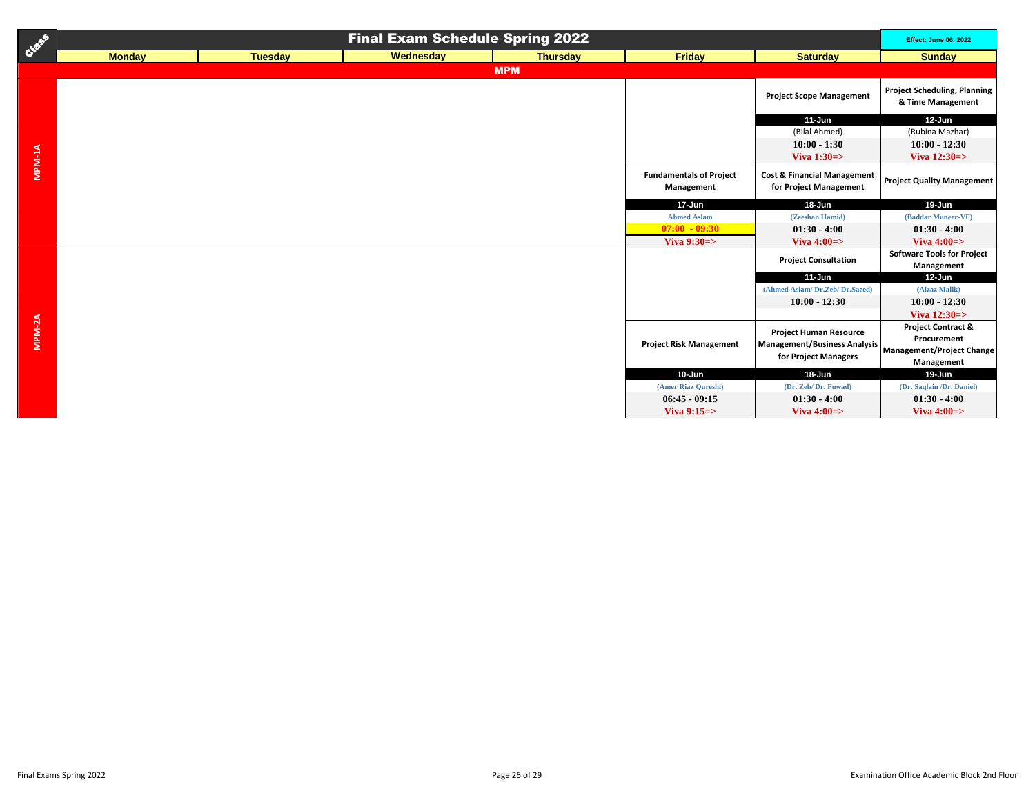| Class  | <b>Final Exam Schedule Spring 2022</b> |                |           |                 |                                              |                                                                                                                 | <b>Effect: June 06, 2022</b>                               |
|--------|----------------------------------------|----------------|-----------|-----------------|----------------------------------------------|-----------------------------------------------------------------------------------------------------------------|------------------------------------------------------------|
|        | <b>Monday</b>                          | <b>Tuesday</b> | Wednesday | <b>Thursday</b> | <b>Friday</b>                                | <b>Saturday</b>                                                                                                 | <b>Sunday</b>                                              |
|        |                                        |                |           | <b>MPM</b>      |                                              |                                                                                                                 |                                                            |
|        |                                        |                |           |                 |                                              | <b>Project Scope Management</b>                                                                                 | <b>Project Scheduling, Planning</b><br>& Time Management   |
|        |                                        |                |           |                 |                                              | $11-Jun$                                                                                                        | 12-Jun                                                     |
|        |                                        |                |           |                 |                                              | (Bilal Ahmed)                                                                                                   | (Rubina Mazhar)                                            |
|        |                                        |                |           |                 |                                              | $10:00 - 1:30$                                                                                                  | $10:00 - 12:30$                                            |
|        |                                        |                |           |                 |                                              | Viva $1:30 \Rightarrow$                                                                                         | Viva $12:30 \Rightarrow$                                   |
| MPM-1A |                                        |                |           |                 | <b>Fundamentals of Project</b><br>Management | <b>Cost &amp; Financial Management</b><br>for Project Management                                                | <b>Project Quality Management</b>                          |
|        |                                        |                |           |                 | 17-Jun                                       | 18-Jun                                                                                                          | 19-Jun                                                     |
|        |                                        |                |           |                 | <b>Ahmed Aslam</b>                           | (Zeeshan Hamid)                                                                                                 | (Baddar Muneer-VF)                                         |
|        |                                        |                |           |                 | $07:00 - 09:30$                              | $01:30 - 4:00$                                                                                                  | $01:30 - 4:00$                                             |
|        |                                        |                |           |                 | Viva $9:30 \Rightarrow$                      | Viva $4:00 \Rightarrow$                                                                                         | Viva $4:00 \Rightarrow$                                    |
|        |                                        |                |           |                 |                                              | <b>Project Consultation</b>                                                                                     | <b>Software Tools for Project</b><br>Management            |
|        |                                        |                |           |                 |                                              | $11 - Jun$                                                                                                      | 12-Jun                                                     |
|        |                                        |                |           |                 |                                              | (Ahmed Aslam/ Dr.Zeb/ Dr.Saeed)                                                                                 | (Aizaz Malik)                                              |
|        |                                        |                |           |                 |                                              | $10:00 - 12:30$                                                                                                 | $10:00 - 12:30$                                            |
|        |                                        |                |           |                 |                                              |                                                                                                                 | Viva $12:30 \Rightarrow$                                   |
| MPM-2A |                                        |                |           |                 | <b>Project Risk Management</b>               | <b>Project Human Resource</b><br>Management/Business Analysis Management/Project Change<br>for Project Managers | <b>Project Contract &amp;</b><br>Procurement<br>Management |
|        |                                        |                |           |                 | $10 - Jun$                                   | $18 - Jun$                                                                                                      | 19-Jun                                                     |
|        |                                        |                |           |                 | (Amer Riaz Qureshi)                          | (Dr. Zeb/Dr. Fuwad)                                                                                             | (Dr. Saqlain /Dr. Daniel)                                  |
|        |                                        |                |           |                 | $06:45 - 09:15$                              | $01:30 - 4:00$                                                                                                  | $01:30 - 4:00$                                             |
|        |                                        |                |           |                 | Viva $9:15 \Rightarrow$                      | Viva $4:00 \Rightarrow$                                                                                         | Viva $4:00 \Rightarrow$                                    |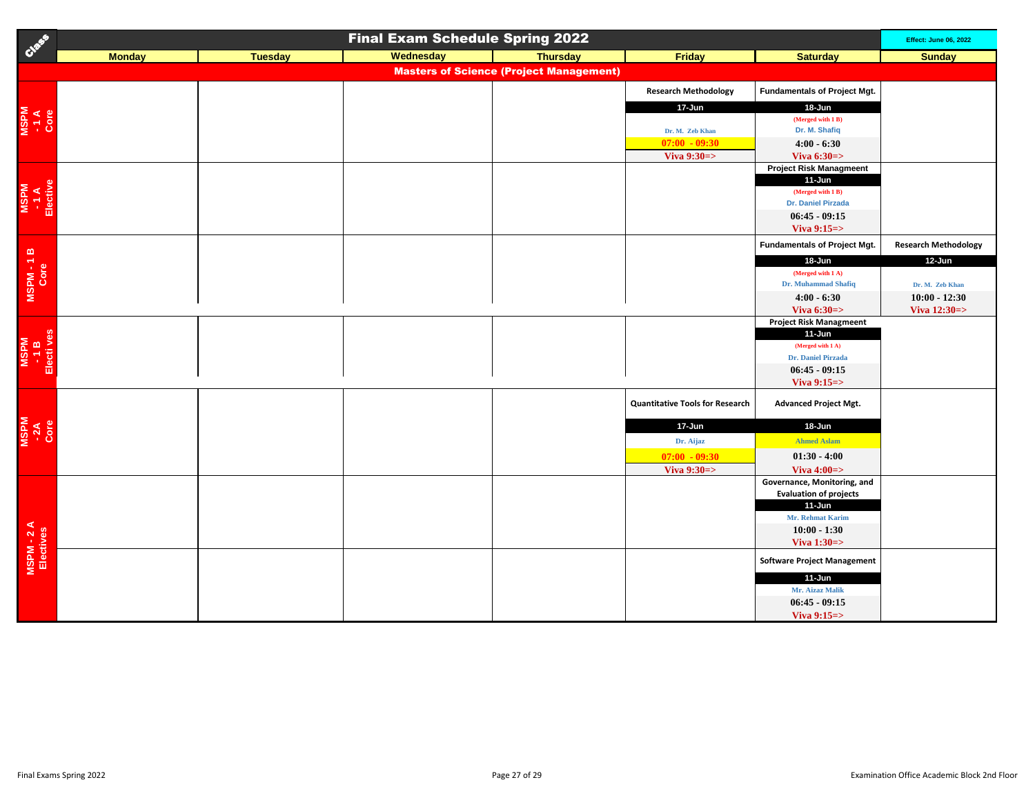| Creek                       | <b>Final Exam Schedule Spring 2022</b>         |                |           |                 |                                                                                                             |                                                                                                                                                                               | <b>Effect: June 06, 2022</b>                                             |  |  |
|-----------------------------|------------------------------------------------|----------------|-----------|-----------------|-------------------------------------------------------------------------------------------------------------|-------------------------------------------------------------------------------------------------------------------------------------------------------------------------------|--------------------------------------------------------------------------|--|--|
|                             | <b>Monday</b>                                  | <b>Tuesday</b> | Wednesday | <b>Thursday</b> | Friday                                                                                                      | <b>Saturday</b>                                                                                                                                                               | <b>Sunday</b>                                                            |  |  |
|                             | <b>Masters of Science (Project Management)</b> |                |           |                 |                                                                                                             |                                                                                                                                                                               |                                                                          |  |  |
| NSPM<br>- 1 A<br>Core       |                                                |                |           |                 | <b>Research Methodology</b><br>17-Jun<br>Dr. M. Zeb Khan<br>$07:00 - 09:30$                                 | <b>Fundamentals of Project Mgt.</b><br>18-Jun<br>(Merged with 1 B)<br>Dr. M. Shafiq<br>$4:00 - 6:30$                                                                          |                                                                          |  |  |
| MSPM<br>- 1 A<br>Elective   |                                                |                |           |                 | Viva $9:30 \Rightarrow$                                                                                     | Viva $6:30 \Rightarrow$<br><b>Project Risk Managmeent</b><br>11-Jun<br>(Merged with 1 B)<br>Dr. Daniel Pirzada<br>$06:45 - 09:15$<br>Viva $9:15 \Rightarrow$                  |                                                                          |  |  |
|                             |                                                |                |           |                 |                                                                                                             | <b>Fundamentals of Project Mgt.</b>                                                                                                                                           | <b>Research Methodology</b>                                              |  |  |
| MSPM-1B                     |                                                |                |           |                 |                                                                                                             | 18-Jun<br>(Merged with 1 A)<br>Dr. Muhammad Shafiq<br>$4:00 - 6:30$<br>Viva $6:30 \Rightarrow$                                                                                | 12-Jun<br>Dr. M. Zeb Khan<br>$10:00 - 12:30$<br>Viva $12:30 \Rightarrow$ |  |  |
| MSPM<br>- 1 B<br>Electi ves |                                                |                |           |                 |                                                                                                             | <b>Project Risk Managmeent</b><br>$11$ -Jun<br>(Merged with 1 A)<br>Dr. Daniel Pirzada<br>$06:45 - 09:15$<br>Viva $9:15 \Rightarrow$                                          |                                                                          |  |  |
| MSPM<br>-2A<br>Core         |                                                |                |           |                 | <b>Quantitative Tools for Research</b><br>17-Jun<br>Dr. Aijaz<br>$07:00 - 09:30$<br>Viva $9:30 \Rightarrow$ | <b>Advanced Project Mgt.</b><br>18-Jun<br><b>Ahmed Aslam</b><br>$01:30 - 4:00$<br>Viva $4:00 \Rightarrow$                                                                     |                                                                          |  |  |
| MSPM - 2 A<br>Electives     |                                                |                |           |                 |                                                                                                             | Governance, Monitoring, and<br><b>Evaluation of projects</b><br>11-Jun<br>Mr. Rehmat Karim<br>$10:00 - 1:30$<br>Viva $1:30 \Rightarrow$<br><b>Software Project Management</b> |                                                                          |  |  |
|                             |                                                |                |           |                 |                                                                                                             | 11-Jun<br>Mr. Aizaz Malik<br>$06:45 - 09:15$<br>Viva $9:15 \Rightarrow$                                                                                                       |                                                                          |  |  |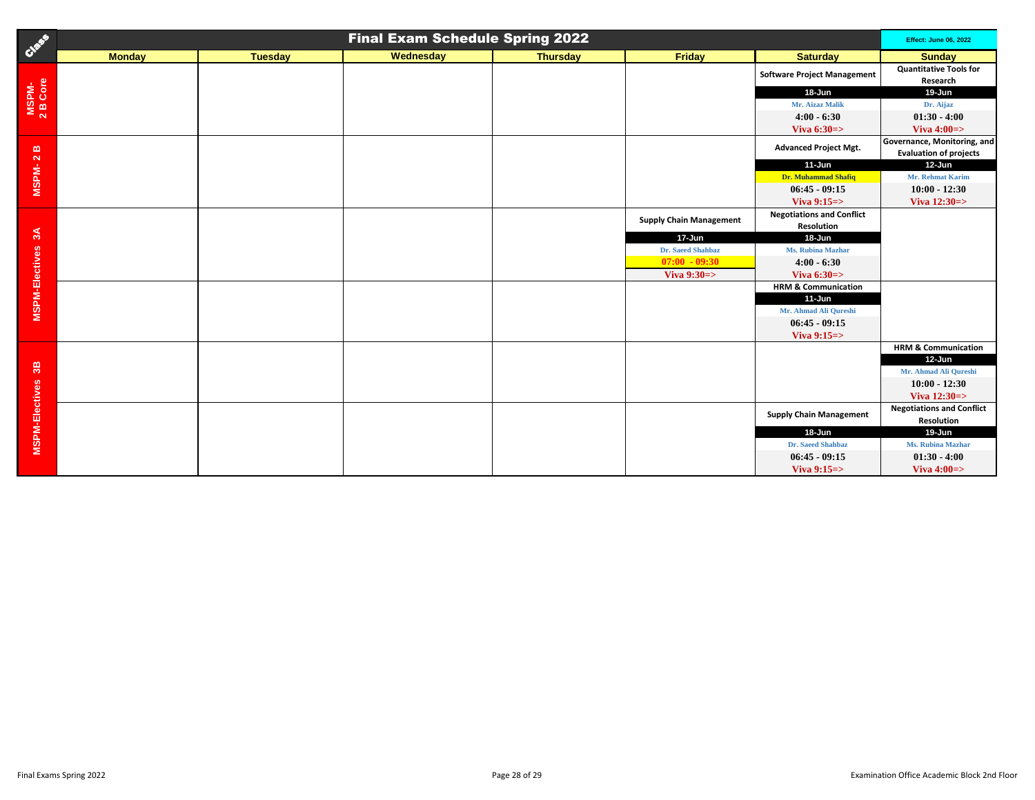| Creek                 | <b>Final Exam Schedule Spring 2022</b> |                |           |                 |                                |                                    |                                                              |
|-----------------------|----------------------------------------|----------------|-----------|-----------------|--------------------------------|------------------------------------|--------------------------------------------------------------|
|                       | <b>Monday</b>                          | <b>Tuesday</b> | Wednesday | <b>Thursday</b> | <b>Friday</b>                  | <b>Saturday</b>                    | <b>Sunday</b>                                                |
| MSPM-<br>2 B Core     |                                        |                |           |                 |                                | <b>Software Project Management</b> | <b>Quantitative Tools for</b><br>Research                    |
|                       |                                        |                |           |                 |                                | 18-Jun                             | 19-Jun                                                       |
|                       |                                        |                |           |                 |                                | Mr. Aizaz Malik                    | Dr. Aijaz                                                    |
|                       |                                        |                |           |                 |                                | $4:00 - 6:30$                      | $01:30 - 4:00$                                               |
|                       |                                        |                |           |                 |                                | Viva $6:30 \Rightarrow$            | Viva $4:00 \Rightarrow$                                      |
| MSPM-2B               |                                        |                |           |                 |                                | <b>Advanced Project Mgt.</b>       | Governance, Monitoring, and<br><b>Evaluation of projects</b> |
|                       |                                        |                |           |                 |                                | $11 - Jun$                         | 12-Jun                                                       |
|                       |                                        |                |           |                 |                                | Dr. Muhammad Shafiq                | Mr. Rehmat Karim                                             |
|                       |                                        |                |           |                 |                                | $06:45 - 09:15$                    | $10:00 - 12:30$                                              |
|                       |                                        |                |           |                 |                                | Viva 9:15=>                        | Viva 12:30=>                                                 |
|                       |                                        |                |           |                 |                                | <b>Negotiations and Conflict</b>   |                                                              |
|                       |                                        |                |           |                 | <b>Supply Chain Management</b> | Resolution                         |                                                              |
| 3A                    |                                        |                |           |                 | 17-Jun                         | 18-Jun                             |                                                              |
|                       |                                        |                |           |                 | Dr. Saeed Shahbaz              | Ms. Rubina Mazhar                  |                                                              |
|                       |                                        |                |           |                 | $07:00 - 09:30$                | $4:00 - 6:30$                      |                                                              |
|                       |                                        |                |           |                 | Viva $9:30 \Rightarrow$        | Viva $6:30 \Rightarrow$            |                                                              |
| <b>MSPM-Electives</b> |                                        |                |           |                 |                                | <b>HRM &amp; Communication</b>     |                                                              |
|                       |                                        |                |           |                 |                                | $11-Jun$                           |                                                              |
|                       |                                        |                |           |                 |                                | Mr. Ahmad Ali Qureshi              |                                                              |
|                       |                                        |                |           |                 |                                | $06:45 - 09:15$                    |                                                              |
|                       |                                        |                |           |                 |                                | Viva $9:15 =$                      |                                                              |
|                       |                                        |                |           |                 |                                |                                    | <b>HRM &amp; Communication</b>                               |
|                       |                                        |                |           |                 |                                |                                    | $12$ -Jun                                                    |
| $36\,$                |                                        |                |           |                 |                                |                                    | Mr. Ahmad Ali Qureshi                                        |
|                       |                                        |                |           |                 |                                |                                    | $10:00 - 12:30$                                              |
|                       |                                        |                |           |                 |                                |                                    | Viva $12:30 \Rightarrow$                                     |
|                       |                                        |                |           |                 |                                | <b>Supply Chain Management</b>     | <b>Negotiations and Conflict</b>                             |
| <b>MSPM-Electives</b> |                                        |                |           |                 |                                |                                    | Resolution                                                   |
|                       |                                        |                |           |                 |                                | 18-Jun                             | 19-Jun                                                       |
|                       |                                        |                |           |                 |                                | Dr. Saeed Shahbaz                  | Ms. Rubina Mazhar                                            |
|                       |                                        |                |           |                 |                                | $06:45 - 09:15$                    | $01:30 - 4:00$                                               |
|                       |                                        |                |           |                 |                                | Viva $9:15 =$                      | Viva $4:00 \Rightarrow$                                      |